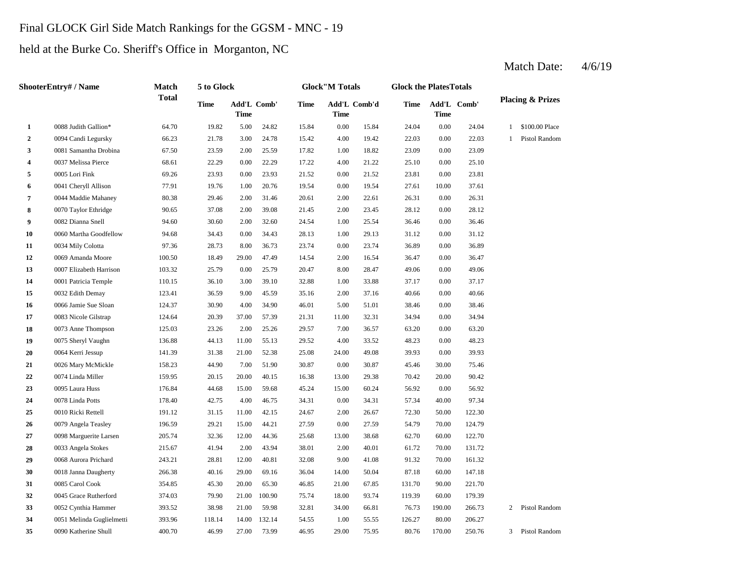## Final GLOCK Girl Side Match Rankings for the GGSM - MNC - 19

held at the Burke Co. Sheriff's Office in Morganton, NC

|                | <b>ShooterEntry# / Name</b> | Match        | 5 to Glock  |                            |        |             | <b>Glock</b> "M Totals |              | <b>Glock the PlatesTotals</b> |        |             |              |                             |
|----------------|-----------------------------|--------------|-------------|----------------------------|--------|-------------|------------------------|--------------|-------------------------------|--------|-------------|--------------|-----------------------------|
|                |                             | <b>Total</b> | <b>Time</b> | Add'L Comb'<br><b>Time</b> |        | <b>Time</b> | <b>Time</b>            | Add'L Comb'd | Time                          | Time   | Add'L Comb' |              | <b>Placing &amp; Prizes</b> |
| 1              | 0088 Judith Gallion*        | 64.70        | 19.82       | 5.00                       | 24.82  | 15.84       | 0.00                   | 15.84        | 24.04                         | 0.00   | 24.04       | $\mathbf{1}$ | \$100.00 Place              |
| $\overline{2}$ | 0094 Candi Legursky         | 66.23        | 21.78       | 3.00                       | 24.78  | 15.42       | 4.00                   | 19.42        | 22.03                         | 0.00   | 22.03       | $\mathbf{1}$ | Pistol Random               |
| 3              | 0081 Samantha Drobina       | 67.50        | 23.59       | 2.00                       | 25.59  | 17.82       | 1.00                   | 18.82        | 23.09                         | 0.00   | 23.09       |              |                             |
| 4              | 0037 Melissa Pierce         | 68.61        | 22.29       | 0.00                       | 22.29  | 17.22       | 4.00                   | 21.22        | 25.10                         | 0.00   | 25.10       |              |                             |
| 5              | 0005 Lori Fink              | 69.26        | 23.93       | 0.00                       | 23.93  | 21.52       | 0.00                   | 21.52        | 23.81                         | 0.00   | 23.81       |              |                             |
| 6              | 0041 Cheryll Allison        | 77.91        | 19.76       | 1.00                       | 20.76  | 19.54       | 0.00                   | 19.54        | 27.61                         | 10.00  | 37.61       |              |                             |
| $\overline{7}$ | 0044 Maddie Mahaney         | 80.38        | 29.46       | 2.00                       | 31.46  | 20.61       | 2.00                   | 22.61        | 26.31                         | 0.00   | 26.31       |              |                             |
| 8              | 0070 Taylor Ethridge        | 90.65        | 37.08       | 2.00                       | 39.08  | 21.45       | 2.00                   | 23.45        | 28.12                         | 0.00   | 28.12       |              |                             |
| 9              | 0082 Dianna Snell           | 94.60        | 30.60       | 2.00                       | 32.60  | 24.54       | 1.00                   | 25.54        | 36.46                         | 0.00   | 36.46       |              |                             |
| 10             | 0060 Martha Goodfellow      | 94.68        | 34.43       | 0.00                       | 34.43  | 28.13       | 1.00                   | 29.13        | 31.12                         | 0.00   | 31.12       |              |                             |
| 11             | 0034 Mily Colotta           | 97.36        | 28.73       | 8.00                       | 36.73  | 23.74       | 0.00                   | 23.74        | 36.89                         | 0.00   | 36.89       |              |                             |
| 12             | 0069 Amanda Moore           | 100.50       | 18.49       | 29.00                      | 47.49  | 14.54       | 2.00                   | 16.54        | 36.47                         | 0.00   | 36.47       |              |                             |
| 13             | 0007 Elizabeth Harrison     | 103.32       | 25.79       | 0.00                       | 25.79  | 20.47       | 8.00                   | 28.47        | 49.06                         | 0.00   | 49.06       |              |                             |
| 14             | 0001 Patricia Temple        | 110.15       | 36.10       | 3.00                       | 39.10  | 32.88       | 1.00                   | 33.88        | 37.17                         | 0.00   | 37.17       |              |                             |
| 15             | 0032 Edith Demay            | 123.41       | 36.59       | 9.00                       | 45.59  | 35.16       | 2.00                   | 37.16        | 40.66                         | 0.00   | 40.66       |              |                             |
| 16             | 0066 Jamie Sue Sloan        | 124.37       | 30.90       | 4.00                       | 34.90  | 46.01       | 5.00                   | 51.01        | 38.46                         | 0.00   | 38.46       |              |                             |
| 17             | 0083 Nicole Gilstrap        | 124.64       | 20.39       | 37.00                      | 57.39  | 21.31       | 11.00                  | 32.31        | 34.94                         | 0.00   | 34.94       |              |                             |
| 18             | 0073 Anne Thompson          | 125.03       | 23.26       | 2.00                       | 25.26  | 29.57       | 7.00                   | 36.57        | 63.20                         | 0.00   | 63.20       |              |                             |
| 19             | 0075 Sheryl Vaughn          | 136.88       | 44.13       | 11.00                      | 55.13  | 29.52       | 4.00                   | 33.52        | 48.23                         | 0.00   | 48.23       |              |                             |
| 20             | 0064 Kerri Jessup           | 141.39       | 31.38       | 21.00                      | 52.38  | 25.08       | 24.00                  | 49.08        | 39.93                         | 0.00   | 39.93       |              |                             |
| 21             | 0026 Mary McMickle          | 158.23       | 44.90       | 7.00                       | 51.90  | 30.87       | 0.00                   | 30.87        | 45.46                         | 30.00  | 75.46       |              |                             |
| 22             | 0074 Linda Miller           | 159.95       | 20.15       | 20.00                      | 40.15  | 16.38       | 13.00                  | 29.38        | 70.42                         | 20.00  | 90.42       |              |                             |
| 23             | 0095 Laura Huss             | 176.84       | 44.68       | 15.00                      | 59.68  | 45.24       | 15.00                  | 60.24        | 56.92                         | 0.00   | 56.92       |              |                             |
| 24             | 0078 Linda Potts            | 178.40       | 42.75       | 4.00                       | 46.75  | 34.31       | 0.00                   | 34.31        | 57.34                         | 40.00  | 97.34       |              |                             |
| 25             | 0010 Ricki Rettell          | 191.12       | 31.15       | 11.00                      | 42.15  | 24.67       | 2.00                   | 26.67        | 72.30                         | 50.00  | 122.30      |              |                             |
| 26             | 0079 Angela Teasley         | 196.59       | 29.21       | 15.00                      | 44.21  | 27.59       | 0.00                   | 27.59        | 54.79                         | 70.00  | 124.79      |              |                             |
| 27             | 0098 Marguerite Larsen      | 205.74       | 32.36       | 12.00                      | 44.36  | 25.68       | 13.00                  | 38.68        | 62.70                         | 60.00  | 122.70      |              |                             |
| 28             | 0033 Angela Stokes          | 215.67       | 41.94       | 2.00                       | 43.94  | 38.01       | 2.00                   | 40.01        | 61.72                         | 70.00  | 131.72      |              |                             |
| 29             | 0068 Aurora Prichard        | 243.21       | 28.81       | 12.00                      | 40.81  | 32.08       | 9.00                   | 41.08        | 91.32                         | 70.00  | 161.32      |              |                             |
| 30             | 0018 Janna Daugherty        | 266.38       | 40.16       | 29.00                      | 69.16  | 36.04       | 14.00                  | 50.04        | 87.18                         | 60.00  | 147.18      |              |                             |
| 31             | 0085 Carol Cook             | 354.85       | 45.30       | 20.00                      | 65.30  | 46.85       | 21.00                  | 67.85        | 131.70                        | 90.00  | 221.70      |              |                             |
| 32             | 0045 Grace Rutherford       | 374.03       | 79.90       | 21.00                      | 100.90 | 75.74       | 18.00                  | 93.74        | 119.39                        | 60.00  | 179.39      |              |                             |
| 33             | 0052 Cynthia Hammer         | 393.52       | 38.98       | 21.00                      | 59.98  | 32.81       | 34.00                  | 66.81        | 76.73                         | 190.00 | 266.73      | 2            | Pistol Random               |
| 34             | 0051 Melinda Guglielmetti   | 393.96       | 118.14      | 14.00                      | 132.14 | 54.55       | 1.00                   | 55.55        | 126.27                        | 80.00  | 206.27      |              |                             |
| 35             | 0090 Katherine Shull        | 400.70       | 46.99       | 27.00                      | 73.99  | 46.95       | 29.00                  | 75.95        | 80.76                         | 170.00 | 250.76      |              | 3 Pistol Random             |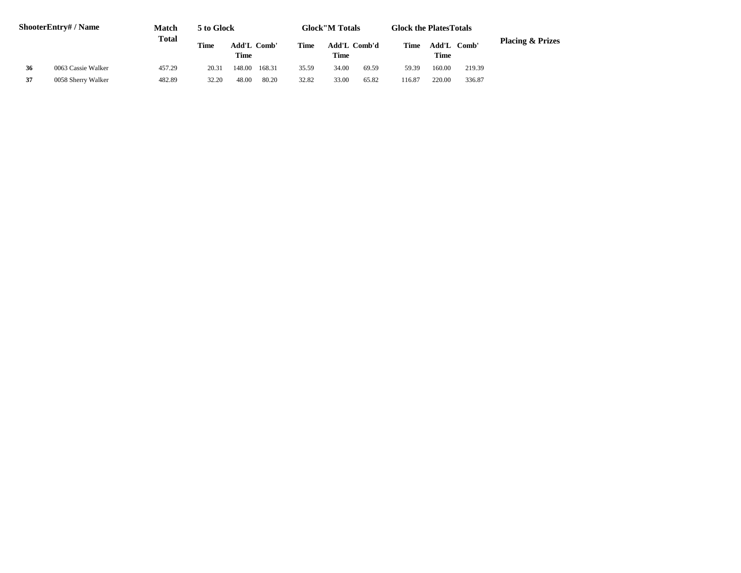|    | <b>ShooterEntry#/Name</b> | Match  | 5 to Glock  |                     |        |       | <b>Glock</b> "M Totals |       | <b>Glock the PlatesTotals</b> |               |        |                             |
|----|---------------------------|--------|-------------|---------------------|--------|-------|------------------------|-------|-------------------------------|---------------|--------|-----------------------------|
|    |                           | Total  | <b>Time</b> | Add'L Comb'<br>Time |        | Time  | Add'L Comb'd<br>Time   |       | <b>Time</b>                   | Add'L<br>Time | Comb'  | <b>Placing &amp; Prizes</b> |
| 36 | 0063 Cassie Walker        | 457.29 | 20.31       | 48.00               | 168.31 | 35.59 | 34.00                  | 69.59 | 59.39                         | 160.00        | 219.39 |                             |
| 37 | 0058 Sherry Walker        | 482.89 | 32.20       | 48.00               | 80.20  | 32.82 | 33.00                  | 65.82 | 116.87                        | 220.00        | 336.87 |                             |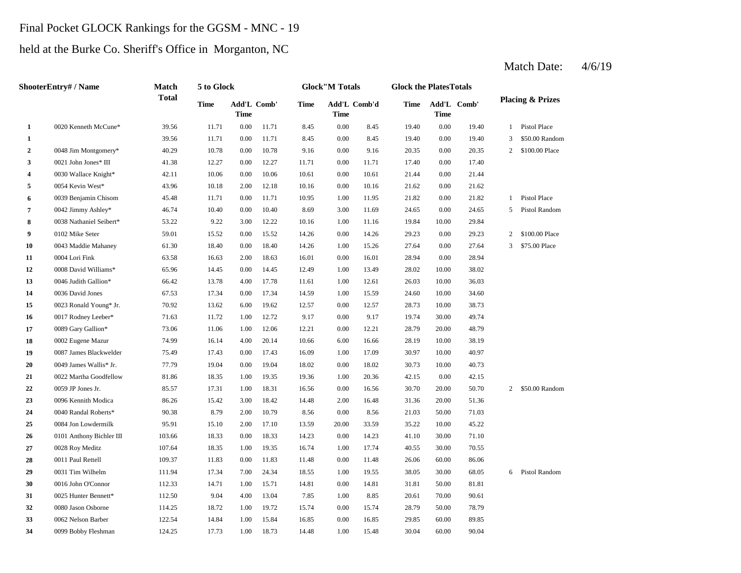## Final Pocket GLOCK Rankings for the GGSM - MNC - 19

## held at the Burke Co. Sheriff's Office in Morganton, NC

|                         | ShooterEntry# / Name     | <b>Match</b> | 5 to Glock  |                            |       |             | <b>Glock</b> "M Totals      |       | <b>Glock the PlatesTotals</b> |                            |       |                |                             |
|-------------------------|--------------------------|--------------|-------------|----------------------------|-------|-------------|-----------------------------|-------|-------------------------------|----------------------------|-------|----------------|-----------------------------|
|                         |                          | <b>Total</b> | <b>Time</b> | Add'L Comb'<br><b>Time</b> |       | <b>Time</b> | Add'L Comb'd<br><b>Time</b> |       | Time                          | Add'L Comb'<br><b>Time</b> |       |                | <b>Placing &amp; Prizes</b> |
| 1                       | 0020 Kenneth McCune*     | 39.56        | 11.71       | 0.00                       | 11.71 | 8.45        | 0.00                        | 8.45  | 19.40                         | 0.00                       | 19.40 | $\mathbf{1}$   | Pistol Place                |
| 1                       |                          | 39.56        | 11.71       | 0.00                       | 11.71 | 8.45        | 0.00                        | 8.45  | 19.40                         | 0.00                       | 19.40 | 3              | \$50.00 Random              |
| $\overline{2}$          | 0048 Jim Montgomery*     | 40.29        | 10.78       | 0.00                       | 10.78 | 9.16        | 0.00                        | 9.16  | 20.35                         | 0.00                       | 20.35 | 2              | \$100.00 Place              |
| 3                       | 0021 John Jones* III     | 41.38        | 12.27       | 0.00                       | 12.27 | 11.71       | 0.00                        | 11.71 | 17.40                         | 0.00                       | 17.40 |                |                             |
| $\overline{\mathbf{4}}$ | 0030 Wallace Knight*     | 42.11        | 10.06       | 0.00                       | 10.06 | 10.61       | 0.00                        | 10.61 | 21.44                         | 0.00                       | 21.44 |                |                             |
| 5                       | 0054 Kevin West*         | 43.96        | 10.18       | 2.00                       | 12.18 | 10.16       | 0.00                        | 10.16 | 21.62                         | 0.00                       | 21.62 |                |                             |
| 6                       | 0039 Benjamin Chisom     | 45.48        | 11.71       | 0.00                       | 11.71 | 10.95       | 1.00                        | 11.95 | 21.82                         | 0.00                       | 21.82 | 1              | Pistol Place                |
| $\overline{7}$          | 0042 Jimmy Ashley*       | 46.74        | 10.40       | 0.00                       | 10.40 | 8.69        | 3.00                        | 11.69 | 24.65                         | 0.00                       | 24.65 | 5              | Pistol Random               |
| 8                       | 0038 Nathaniel Seibert*  | 53.22        | 9.22        | 3.00                       | 12.22 | 10.16       | 1.00                        | 11.16 | 19.84                         | 10.00                      | 29.84 |                |                             |
| $\boldsymbol{9}$        | 0102 Mike Seter          | 59.01        | 15.52       | 0.00                       | 15.52 | 14.26       | 0.00                        | 14.26 | 29.23                         | 0.00                       | 29.23 | $\overline{c}$ | \$100.00 Place              |
| 10                      | 0043 Maddie Mahaney      | 61.30        | 18.40       | 0.00                       | 18.40 | 14.26       | 1.00                        | 15.26 | 27.64                         | 0.00                       | 27.64 | 3              | \$75.00 Place               |
| 11                      | 0004 Lori Fink           | 63.58        | 16.63       | 2.00                       | 18.63 | 16.01       | 0.00                        | 16.01 | 28.94                         | 0.00                       | 28.94 |                |                             |
| 12                      | 0008 David Williams*     | 65.96        | 14.45       | 0.00                       | 14.45 | 12.49       | 1.00                        | 13.49 | 28.02                         | 10.00                      | 38.02 |                |                             |
| 13                      | 0046 Judith Gallion*     | 66.42        | 13.78       | 4.00                       | 17.78 | 11.61       | 1.00                        | 12.61 | 26.03                         | 10.00                      | 36.03 |                |                             |
| 14                      | 0036 David Jones         | 67.53        | 17.34       | 0.00                       | 17.34 | 14.59       | 1.00                        | 15.59 | 24.60                         | 10.00                      | 34.60 |                |                             |
| 15                      | 0023 Ronald Young* Jr.   | 70.92        | 13.62       | 6.00                       | 19.62 | 12.57       | 0.00                        | 12.57 | 28.73                         | 10.00                      | 38.73 |                |                             |
| 16                      | 0017 Rodney Leeber*      | 71.63        | 11.72       | 1.00                       | 12.72 | 9.17        | 0.00                        | 9.17  | 19.74                         | 30.00                      | 49.74 |                |                             |
| 17                      | 0089 Gary Gallion*       | 73.06        | 11.06       | 1.00                       | 12.06 | 12.21       | 0.00                        | 12.21 | 28.79                         | 20.00                      | 48.79 |                |                             |
| 18                      | 0002 Eugene Mazur        | 74.99        | 16.14       | 4.00                       | 20.14 | 10.66       | 6.00                        | 16.66 | 28.19                         | 10.00                      | 38.19 |                |                             |
| 19                      | 0087 James Blackwelder   | 75.49        | 17.43       | 0.00                       | 17.43 | 16.09       | 1.00                        | 17.09 | 30.97                         | 10.00                      | 40.97 |                |                             |
| 20                      | 0049 James Wallis* Jr.   | 77.79        | 19.04       | 0.00                       | 19.04 | 18.02       | 0.00                        | 18.02 | 30.73                         | 10.00                      | 40.73 |                |                             |
| 21                      | 0022 Martha Goodfellow   | 81.86        | 18.35       | 1.00                       | 19.35 | 19.36       | 1.00                        | 20.36 | 42.15                         | 0.00                       | 42.15 |                |                             |
| 22                      | 0059 JP Jones Jr.        | 85.57        | 17.31       | 1.00                       | 18.31 | 16.56       | 0.00                        | 16.56 | 30.70                         | 20.00                      | 50.70 | $\overline{2}$ | \$50.00 Random              |
| 23                      | 0096 Kennith Modica      | 86.26        | 15.42       | 3.00                       | 18.42 | 14.48       | 2.00                        | 16.48 | 31.36                         | 20.00                      | 51.36 |                |                             |
| 24                      | 0040 Randal Roberts*     | 90.38        | 8.79        | 2.00                       | 10.79 | 8.56        | 0.00                        | 8.56  | 21.03                         | 50.00                      | 71.03 |                |                             |
| 25                      | 0084 Jon Lowdermilk      | 95.91        | 15.10       | 2.00                       | 17.10 | 13.59       | 20.00                       | 33.59 | 35.22                         | 10.00                      | 45.22 |                |                             |
| 26                      | 0101 Anthony Bichler III | 103.66       | 18.33       | 0.00                       | 18.33 | 14.23       | 0.00                        | 14.23 | 41.10                         | 30.00                      | 71.10 |                |                             |
| 27                      | 0028 Roy Meditz          | 107.64       | 18.35       | 1.00                       | 19.35 | 16.74       | 1.00                        | 17.74 | 40.55                         | 30.00                      | 70.55 |                |                             |
| 28                      | 0011 Paul Rettell        | 109.37       | 11.83       | 0.00                       | 11.83 | 11.48       | 0.00                        | 11.48 | 26.06                         | 60.00                      | 86.06 |                |                             |
| 29                      | 0031 Tim Wilhelm         | 111.94       | 17.34       | 7.00                       | 24.34 | 18.55       | 1.00                        | 19.55 | 38.05                         | 30.00                      | 68.05 | 6              | Pistol Random               |
| 30                      | 0016 John O'Connor       | 112.33       | 14.71       | 1.00                       | 15.71 | 14.81       | 0.00                        | 14.81 | 31.81                         | 50.00                      | 81.81 |                |                             |
| 31                      | 0025 Hunter Bennett*     | 112.50       | 9.04        | 4.00                       | 13.04 | 7.85        | 1.00                        | 8.85  | 20.61                         | 70.00                      | 90.61 |                |                             |
| 32                      | 0080 Jason Osborne       | 114.25       | 18.72       | 1.00                       | 19.72 | 15.74       | 0.00                        | 15.74 | 28.79                         | 50.00                      | 78.79 |                |                             |
| 33                      | 0062 Nelson Barber       | 122.54       | 14.84       | 1.00                       | 15.84 | 16.85       | 0.00                        | 16.85 | 29.85                         | 60.00                      | 89.85 |                |                             |
| 34                      | 0099 Bobby Fleshman      | 124.25       | 17.73       | 1.00                       | 18.73 | 14.48       | 1.00                        | 15.48 | 30.04                         | 60.00                      | 90.04 |                |                             |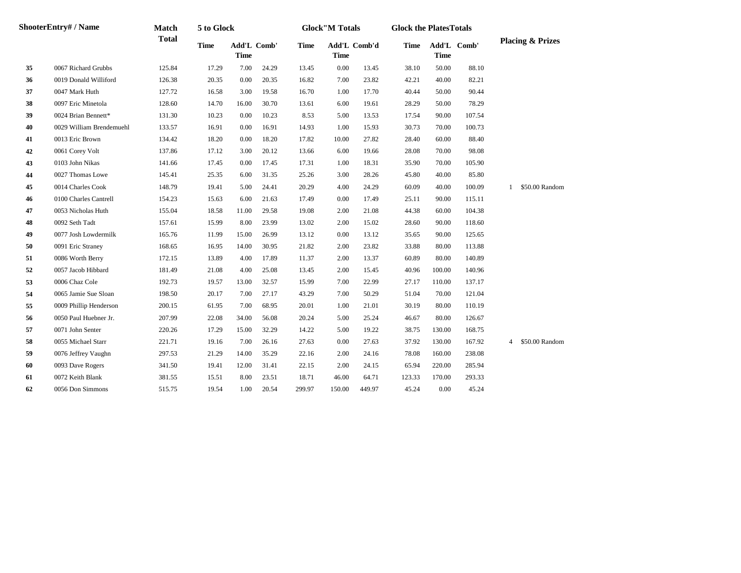|    | <b>ShooterEntry# / Name</b> | <b>Match</b> | 5 to Glock  |                                   |       |             | <b>Glock</b> "M Totals |              | <b>Glock the PlatesTotals</b> |                            |        |                                  |
|----|-----------------------------|--------------|-------------|-----------------------------------|-------|-------------|------------------------|--------------|-------------------------------|----------------------------|--------|----------------------------------|
|    |                             | <b>Total</b> | <b>Time</b> | <b>Add'L Comb'</b><br><b>Time</b> |       | <b>Time</b> | <b>Time</b>            | Add'L Comb'd | <b>Time</b>                   | Add'L Comb'<br><b>Time</b> |        | <b>Placing &amp; Prizes</b>      |
| 35 | 0067 Richard Grubbs         | 125.84       | 17.29       | 7.00                              | 24.29 | 13.45       | 0.00                   | 13.45        | 38.10                         | 50.00                      | 88.10  |                                  |
| 36 | 0019 Donald Williford       | 126.38       | 20.35       | 0.00                              | 20.35 | 16.82       | 7.00                   | 23.82        | 42.21                         | 40.00                      | 82.21  |                                  |
| 37 | 0047 Mark Huth              | 127.72       | 16.58       | 3.00                              | 19.58 | 16.70       | 1.00                   | 17.70        | 40.44                         | 50.00                      | 90.44  |                                  |
| 38 | 0097 Eric Minetola          | 128.60       | 14.70       | 16.00                             | 30.70 | 13.61       | 6.00                   | 19.61        | 28.29                         | 50.00                      | 78.29  |                                  |
| 39 | 0024 Brian Bennett*         | 131.30       | 10.23       | 0.00                              | 10.23 | 8.53        | 5.00                   | 13.53        | 17.54                         | 90.00                      | 107.54 |                                  |
| 40 | 0029 William Brendemuehl    | 133.57       | 16.91       | 0.00                              | 16.91 | 14.93       | 1.00                   | 15.93        | 30.73                         | 70.00                      | 100.73 |                                  |
| 41 | 0013 Eric Brown             | 134.42       | 18.20       | 0.00                              | 18.20 | 17.82       | 10.00                  | 27.82        | 28.40                         | 60.00                      | 88.40  |                                  |
| 42 | 0061 Corey Volt             | 137.86       | 17.12       | 3.00                              | 20.12 | 13.66       | 6.00                   | 19.66        | 28.08                         | 70.00                      | 98.08  |                                  |
| 43 | 0103 John Nikas             | 141.66       | 17.45       | 0.00                              | 17.45 | 17.31       | 1.00                   | 18.31        | 35.90                         | 70.00                      | 105.90 |                                  |
| 44 | 0027 Thomas Lowe            | 145.41       | 25.35       | 6.00                              | 31.35 | 25.26       | 3.00                   | 28.26        | 45.80                         | 40.00                      | 85.80  |                                  |
| 45 | 0014 Charles Cook           | 148.79       | 19.41       | 5.00                              | 24.41 | 20.29       | 4.00                   | 24.29        | 60.09                         | 40.00                      | 100.09 | \$50.00 Random<br>$\mathbf{1}$   |
| 46 | 0100 Charles Cantrell       | 154.23       | 15.63       | 6.00                              | 21.63 | 17.49       | 0.00                   | 17.49        | 25.11                         | 90.00                      | 115.11 |                                  |
| 47 | 0053 Nicholas Huth          | 155.04       | 18.58       | 11.00                             | 29.58 | 19.08       | 2.00                   | 21.08        | 44.38                         | 60.00                      | 104.38 |                                  |
| 48 | 0092 Seth Tadt              | 157.61       | 15.99       | 8.00                              | 23.99 | 13.02       | 2.00                   | 15.02        | 28.60                         | 90.00                      | 118.60 |                                  |
| 49 | 0077 Josh Lowdermilk        | 165.76       | 11.99       | 15.00                             | 26.99 | 13.12       | 0.00                   | 13.12        | 35.65                         | 90.00                      | 125.65 |                                  |
| 50 | 0091 Eric Straney           | 168.65       | 16.95       | 14.00                             | 30.95 | 21.82       | 2.00                   | 23.82        | 33.88                         | 80.00                      | 113.88 |                                  |
| 51 | 0086 Worth Berry            | 172.15       | 13.89       | 4.00                              | 17.89 | 11.37       | 2.00                   | 13.37        | 60.89                         | 80.00                      | 140.89 |                                  |
| 52 | 0057 Jacob Hibbard          | 181.49       | 21.08       | 4.00                              | 25.08 | 13.45       | 2.00                   | 15.45        | 40.96                         | 100.00                     | 140.96 |                                  |
| 53 | 0006 Chaz Cole              | 192.73       | 19.57       | 13.00                             | 32.57 | 15.99       | 7.00                   | 22.99        | 27.17                         | 110.00                     | 137.17 |                                  |
| 54 | 0065 Jamie Sue Sloan        | 198.50       | 20.17       | 7.00                              | 27.17 | 43.29       | 7.00                   | 50.29        | 51.04                         | 70.00                      | 121.04 |                                  |
| 55 | 0009 Phillip Henderson      | 200.15       | 61.95       | 7.00                              | 68.95 | 20.01       | 1.00                   | 21.01        | 30.19                         | 80.00                      | 110.19 |                                  |
| 56 | 0050 Paul Huebner Jr.       | 207.99       | 22.08       | 34.00                             | 56.08 | 20.24       | 5.00                   | 25.24        | 46.67                         | 80.00                      | 126.67 |                                  |
| 57 | 0071 John Senter            | 220.26       | 17.29       | 15.00                             | 32.29 | 14.22       | 5.00                   | 19.22        | 38.75                         | 130.00                     | 168.75 |                                  |
| 58 | 0055 Michael Starr          | 221.71       | 19.16       | 7.00                              | 26.16 | 27.63       | 0.00                   | 27.63        | 37.92                         | 130.00                     | 167.92 | \$50.00 Random<br>$\overline{4}$ |
| 59 | 0076 Jeffrey Vaughn         | 297.53       | 21.29       | 14.00                             | 35.29 | 22.16       | 2.00                   | 24.16        | 78.08                         | 160.00                     | 238.08 |                                  |
| 60 | 0093 Dave Rogers            | 341.50       | 19.41       | 12.00                             | 31.41 | 22.15       | 2.00                   | 24.15        | 65.94                         | 220.00                     | 285.94 |                                  |
| 61 | 0072 Keith Blank            | 381.55       | 15.51       | 8.00                              | 23.51 | 18.71       | 46.00                  | 64.71        | 123.33                        | 170.00                     | 293.33 |                                  |
| 62 | 0056 Don Simmons            | 515.75       | 19.54       | 1.00                              | 20.54 | 299.97      | 150.00                 | 449.97       | 45.24                         | 0.00                       | 45.24  |                                  |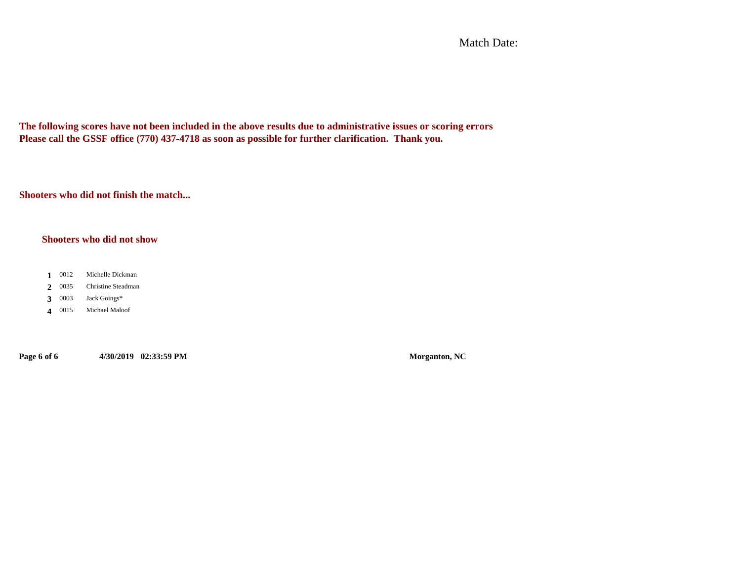Match Date:

**The following scores have not been included in the above results due to administrative issues or scoring errors Please call the GSSF office (770) 437-4718 as soon as possible for further clarification. Thank you.**

**Shooters who did not finish the match...**

#### **Shooters who did not show**

- $1 \t 0012$ **1** Michelle Dickman
- $2^{0035}$ **2** Christine Steadman
- 3 0003 **3** Jack Goings\*
- **4** 0015 Michael Maloof

**Page 6 of 6 4/30/2019 02:33:59 PM Morganton, NC**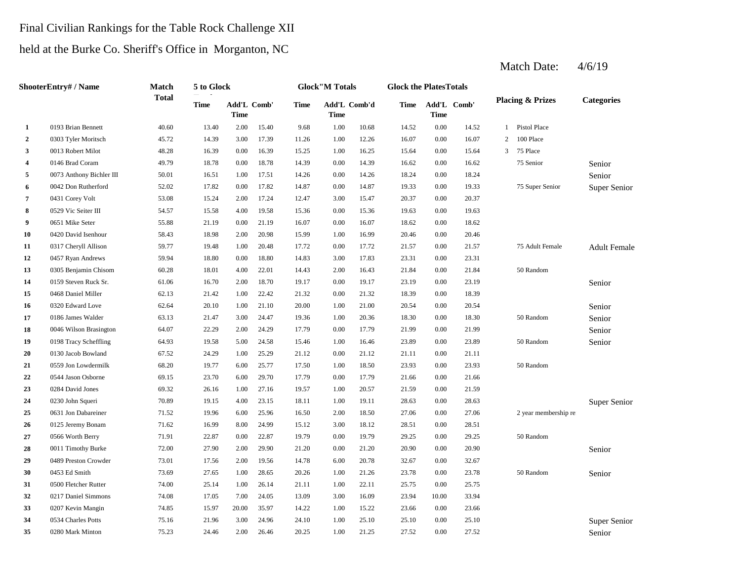# Final Civilian Rankings for the Table Rock Challenge XII

### held at the Burke Co. Sheriff's Office in Morganton, NC

|                | <b>ShooterEntry# / Name</b> | Match        | 5 to Glock  |                            |       |       | <b>Glock</b> "M Totals      |       | <b>Glock the PlatesTotals</b> |             |             |                |                             |                     |
|----------------|-----------------------------|--------------|-------------|----------------------------|-------|-------|-----------------------------|-------|-------------------------------|-------------|-------------|----------------|-----------------------------|---------------------|
|                |                             | <b>Total</b> | <b>Time</b> | Add'L Comb'<br><b>Time</b> |       | Time  | Add'L Comb'd<br><b>Time</b> |       | Time                          | <b>Time</b> | Add'L Comb' |                | <b>Placing &amp; Prizes</b> | <b>Categories</b>   |
| 1              | 0193 Brian Bennett          | 40.60        | 13.40       | 2.00                       | 15.40 | 9.68  | 1.00                        | 10.68 | 14.52                         | 0.00        | 14.52       | $\mathbf{1}$   | Pistol Place                |                     |
| $\overline{2}$ | 0303 Tyler Moritsch         | 45.72        | 14.39       | 3.00                       | 17.39 | 11.26 | 1.00                        | 12.26 | 16.07                         | 0.00        | 16.07       | $\overline{2}$ | 100 Place                   |                     |
| $\mathbf{3}$   | 0013 Robert Milot           | 48.28        | 16.39       | 0.00                       | 16.39 | 15.25 | 1.00                        | 16.25 | 15.64                         | 0.00        | 15.64       | 3              | 75 Place                    |                     |
| 4              | 0146 Brad Coram             | 49.79        | 18.78       | $0.00\,$                   | 18.78 | 14.39 | 0.00                        | 14.39 | 16.62                         | 0.00        | 16.62       |                | 75 Senior                   | Senior              |
| 5              | 0073 Anthony Bichler III    | 50.01        | 16.51       | 1.00                       | 17.51 | 14.26 | 0.00                        | 14.26 | 18.24                         | 0.00        | 18.24       |                |                             | Senior              |
| 6              | 0042 Don Rutherford         | 52.02        | 17.82       | 0.00                       | 17.82 | 14.87 | 0.00                        | 14.87 | 19.33                         | 0.00        | 19.33       |                | 75 Super Senior             | Super Senior        |
| 7              | 0431 Corey Volt             | 53.08        | 15.24       | 2.00                       | 17.24 | 12.47 | 3.00                        | 15.47 | 20.37                         | 0.00        | 20.37       |                |                             |                     |
| 8              | 0529 Vic Seiter III         | 54.57        | 15.58       | 4.00                       | 19.58 | 15.36 | 0.00                        | 15.36 | 19.63                         | 0.00        | 19.63       |                |                             |                     |
| 9              | 0651 Mike Seter             | 55.88        | 21.19       | 0.00                       | 21.19 | 16.07 | 0.00                        | 16.07 | 18.62                         | 0.00        | 18.62       |                |                             |                     |
| 10             | 0420 David Isenhour         | 58.43        | 18.98       | 2.00                       | 20.98 | 15.99 | 1.00                        | 16.99 | 20.46                         | 0.00        | 20.46       |                |                             |                     |
| 11             | 0317 Cheryll Allison        | 59.77        | 19.48       | 1.00                       | 20.48 | 17.72 | 0.00                        | 17.72 | 21.57                         | 0.00        | 21.57       |                | 75 Adult Female             | <b>Adult Female</b> |
| 12             | 0457 Ryan Andrews           | 59.94        | 18.80       | 0.00                       | 18.80 | 14.83 | 3.00                        | 17.83 | 23.31                         | 0.00        | 23.31       |                |                             |                     |
| 13             | 0305 Benjamin Chisom        | 60.28        | 18.01       | 4.00                       | 22.01 | 14.43 | 2.00                        | 16.43 | 21.84                         | 0.00        | 21.84       |                | 50 Random                   |                     |
| 14             | 0159 Steven Ruck Sr.        | 61.06        | 16.70       | 2.00                       | 18.70 | 19.17 | 0.00                        | 19.17 | 23.19                         | 0.00        | 23.19       |                |                             | Senior              |
| 15             | 0468 Daniel Miller          | 62.13        | 21.42       | 1.00                       | 22.42 | 21.32 | 0.00                        | 21.32 | 18.39                         | 0.00        | 18.39       |                |                             |                     |
| 16             | 0320 Edward Love            | 62.64        | 20.10       | 1.00                       | 21.10 | 20.00 | 1.00                        | 21.00 | 20.54                         | 0.00        | 20.54       |                |                             | Senior              |
| 17             | 0186 James Walder           | 63.13        | 21.47       | 3.00                       | 24.47 | 19.36 | 1.00                        | 20.36 | 18.30                         | 0.00        | 18.30       |                | 50 Random                   | Senior              |
| 18             | 0046 Wilson Brasington      | 64.07        | 22.29       | 2.00                       | 24.29 | 17.79 | 0.00                        | 17.79 | 21.99                         | 0.00        | 21.99       |                |                             | Senior              |
| 19             | 0198 Tracy Scheffling       | 64.93        | 19.58       | 5.00                       | 24.58 | 15.46 | 1.00                        | 16.46 | 23.89                         | 0.00        | 23.89       |                | 50 Random                   | Senior              |
| 20             | 0130 Jacob Bowland          | 67.52        | 24.29       | 1.00                       | 25.29 | 21.12 | 0.00                        | 21.12 | 21.11                         | 0.00        | 21.11       |                |                             |                     |
| 21             | 0559 Jon Lowdermilk         | 68.20        | 19.77       | 6.00                       | 25.77 | 17.50 | 1.00                        | 18.50 | 23.93                         | 0.00        | 23.93       |                | 50 Random                   |                     |
| 22             | 0544 Jason Osborne          | 69.15        | 23.70       | 6.00                       | 29.70 | 17.79 | 0.00                        | 17.79 | 21.66                         | 0.00        | 21.66       |                |                             |                     |
| 23             | 0284 David Jones            | 69.32        | 26.16       | 1.00                       | 27.16 | 19.57 | 1.00                        | 20.57 | 21.59                         | 0.00        | 21.59       |                |                             |                     |
| 24             | 0230 John Squeri            | 70.89        | 19.15       | 4.00                       | 23.15 | 18.11 | 1.00                        | 19.11 | 28.63                         | 0.00        | 28.63       |                |                             | Super Senior        |
| 25             | 0631 Jon Dabareiner         | 71.52        | 19.96       | 6.00                       | 25.96 | 16.50 | 2.00                        | 18.50 | 27.06                         | 0.00        | 27.06       |                | 2 year membership re        |                     |
| 26             | 0125 Jeremy Bonam           | 71.62        | 16.99       | $8.00\,$                   | 24.99 | 15.12 | 3.00                        | 18.12 | 28.51                         | 0.00        | 28.51       |                |                             |                     |
| 27             | 0566 Worth Berry            | 71.91        | 22.87       | 0.00                       | 22.87 | 19.79 | 0.00                        | 19.79 | 29.25                         | 0.00        | 29.25       |                | 50 Random                   |                     |
| 28             | 0011 Timothy Burke          | 72.00        | 27.90       | 2.00                       | 29.90 | 21.20 | 0.00                        | 21.20 | 20.90                         | 0.00        | 20.90       |                |                             | Senior              |
| 29             | 0489 Preston Crowder        | 73.01        | 17.56       | 2.00                       | 19.56 | 14.78 | 6.00                        | 20.78 | 32.67                         | 0.00        | 32.67       |                |                             |                     |
| 30             | 0453 Ed Smith               | 73.69        | 27.65       | 1.00                       | 28.65 | 20.26 | 1.00                        | 21.26 | 23.78                         | 0.00        | 23.78       |                | 50 Random                   | Senior              |
| 31             | 0500 Fletcher Rutter        | 74.00        | 25.14       | 1.00                       | 26.14 | 21.11 | 1.00                        | 22.11 | 25.75                         | 0.00        | 25.75       |                |                             |                     |
| 32             | 0217 Daniel Simmons         | 74.08        | 17.05       | 7.00                       | 24.05 | 13.09 | 3.00                        | 16.09 | 23.94                         | 10.00       | 33.94       |                |                             |                     |
| 33             | 0207 Kevin Mangin           | 74.85        | 15.97       | 20.00                      | 35.97 | 14.22 | 1.00                        | 15.22 | 23.66                         | 0.00        | 23.66       |                |                             |                     |
| 34             | 0534 Charles Potts          | 75.16        | 21.96       | 3.00                       | 24.96 | 24.10 | 1.00                        | 25.10 | 25.10                         | 0.00        | 25.10       |                |                             | Super Senior        |
| 35             | 0280 Mark Minton            | 75.23        | 24.46       | 2.00                       | 26.46 | 20.25 | 1.00                        | 21.25 | 27.52                         | 0.00        | 27.52       |                |                             | Senior              |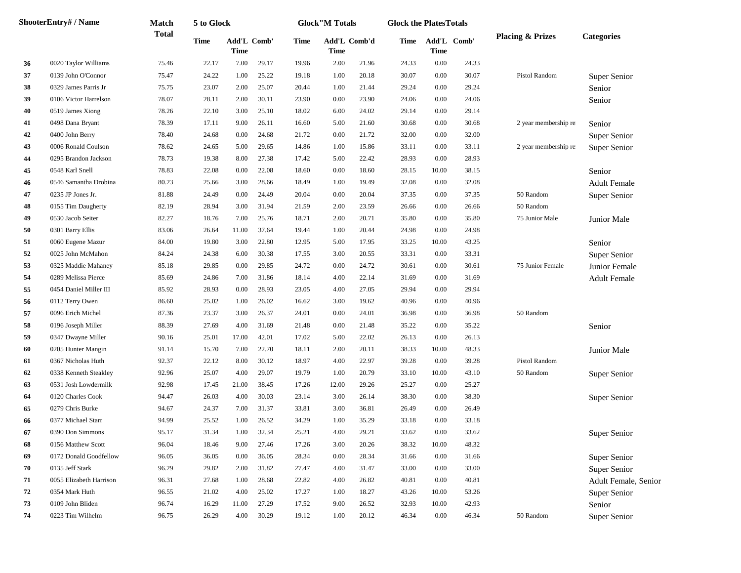|    | ShooterEntry# / Name    | <b>Match</b> | 5 to Glock  |                            |       |             | <b>Glock</b> "M Totals |       | <b>Glock the PlatesTotals</b> |                            |       |                             |                      |
|----|-------------------------|--------------|-------------|----------------------------|-------|-------------|------------------------|-------|-------------------------------|----------------------------|-------|-----------------------------|----------------------|
|    |                         | <b>Total</b> | <b>Time</b> | Add'L Comb'<br><b>Time</b> |       | <b>Time</b> | Add'L Comb'd<br>Time   |       | Time                          | Add'L Comb'<br><b>Time</b> |       | <b>Placing &amp; Prizes</b> | <b>Categories</b>    |
| 36 | 0020 Taylor Williams    | 75.46        | 22.17       | 7.00                       | 29.17 | 19.96       | 2.00                   | 21.96 | 24.33                         | 0.00                       | 24.33 |                             |                      |
| 37 | 0139 John O'Connor      | 75.47        | 24.22       | 1.00                       | 25.22 | 19.18       | 1.00                   | 20.18 | 30.07                         | 0.00                       | 30.07 | Pistol Random               | Super Senior         |
| 38 | 0329 James Parris Jr    | 75.75        | 23.07       | 2.00                       | 25.07 | 20.44       | 1.00                   | 21.44 | 29.24                         | 0.00                       | 29.24 |                             | Senior               |
| 39 | 0106 Victor Harrelson   | 78.07        | 28.11       | 2.00                       | 30.11 | 23.90       | 0.00                   | 23.90 | 24.06                         | 0.00                       | 24.06 |                             | Senior               |
| 40 | 0519 James Xiong        | 78.26        | 22.10       | 3.00                       | 25.10 | 18.02       | 6.00                   | 24.02 | 29.14                         | 0.00                       | 29.14 |                             |                      |
| 41 | 0498 Dana Bryant        | 78.39        | 17.11       | 9.00                       | 26.11 | 16.60       | 5.00                   | 21.60 | 30.68                         | 0.00                       | 30.68 | 2 year membership re        | Senior               |
| 42 | 0400 John Berry         | 78.40        | 24.68       | 0.00                       | 24.68 | 21.72       | 0.00                   | 21.72 | 32.00                         | 0.00                       | 32.00 |                             | Super Senior         |
| 43 | 0006 Ronald Coulson     | 78.62        | 24.65       | 5.00                       | 29.65 | 14.86       | 1.00                   | 15.86 | 33.11                         | 0.00                       | 33.11 | 2 year membership re        | Super Senior         |
| 44 | 0295 Brandon Jackson    | 78.73        | 19.38       | 8.00                       | 27.38 | 17.42       | 5.00                   | 22.42 | 28.93                         | 0.00                       | 28.93 |                             |                      |
| 45 | 0548 Karl Snell         | 78.83        | 22.08       | 0.00                       | 22.08 | 18.60       | 0.00                   | 18.60 | 28.15                         | 10.00                      | 38.15 |                             | Senior               |
| 46 | 0546 Samantha Drobina   | 80.23        | 25.66       | 3.00                       | 28.66 | 18.49       | 1.00                   | 19.49 | 32.08                         | 0.00                       | 32.08 |                             | <b>Adult Female</b>  |
| 47 | 0235 JP Jones Jr.       | 81.88        | 24.49       | 0.00                       | 24.49 | 20.04       | 0.00                   | 20.04 | 37.35                         | 0.00                       | 37.35 | 50 Random                   | Super Senior         |
| 48 | 0155 Tim Daugherty      | 82.19        | 28.94       | 3.00                       | 31.94 | 21.59       | 2.00                   | 23.59 | 26.66                         | 0.00                       | 26.66 | 50 Random                   |                      |
| 49 | 0530 Jacob Seiter       | 82.27        | 18.76       | 7.00                       | 25.76 | 18.71       | 2.00                   | 20.71 | 35.80                         | 0.00                       | 35.80 | 75 Junior Male              | Junior Male          |
| 50 | 0301 Barry Ellis        | 83.06        | 26.64       | 11.00                      | 37.64 | 19.44       | 1.00                   | 20.44 | 24.98                         | 0.00                       | 24.98 |                             |                      |
| 51 | 0060 Eugene Mazur       | 84.00        | 19.80       | 3.00                       | 22.80 | 12.95       | 5.00                   | 17.95 | 33.25                         | 10.00                      | 43.25 |                             | Senior               |
| 52 | 0025 John McMahon       | 84.24        | 24.38       | 6.00                       | 30.38 | 17.55       | 3.00                   | 20.55 | 33.31                         | 0.00                       | 33.31 |                             | Super Senior         |
| 53 | 0325 Maddie Mahaney     | 85.18        | 29.85       | 0.00                       | 29.85 | 24.72       | 0.00                   | 24.72 | 30.61                         | 0.00                       | 30.61 | 75 Junior Female            | Junior Female        |
| 54 | 0289 Melissa Pierce     | 85.69        | 24.86       | 7.00                       | 31.86 | 18.14       | 4.00                   | 22.14 | 31.69                         | 0.00                       | 31.69 |                             | <b>Adult Female</b>  |
| 55 | 0454 Daniel Miller III  | 85.92        | 28.93       | 0.00                       | 28.93 | 23.05       | 4.00                   | 27.05 | 29.94                         | 0.00                       | 29.94 |                             |                      |
| 56 | 0112 Terry Owen         | 86.60        | 25.02       | 1.00                       | 26.02 | 16.62       | 3.00                   | 19.62 | 40.96                         | 0.00                       | 40.96 |                             |                      |
| 57 | 0096 Erich Michel       | 87.36        | 23.37       | 3.00                       | 26.37 | 24.01       | 0.00                   | 24.01 | 36.98                         | 0.00                       | 36.98 | 50 Random                   |                      |
| 58 | 0196 Joseph Miller      | 88.39        | 27.69       | 4.00                       | 31.69 | 21.48       | 0.00                   | 21.48 | 35.22                         | 0.00                       | 35.22 |                             | Senior               |
| 59 | 0347 Dwayne Miller      | 90.16        | 25.01       | 17.00                      | 42.01 | 17.02       | 5.00                   | 22.02 | 26.13                         | 0.00                       | 26.13 |                             |                      |
| 60 | 0205 Hunter Mangin      | 91.14        | 15.70       | 7.00                       | 22.70 | 18.11       | 2.00                   | 20.11 | 38.33                         | 10.00                      | 48.33 |                             | Junior Male          |
| 61 | 0367 Nicholas Huth      | 92.37        | 22.12       | 8.00                       | 30.12 | 18.97       | 4.00                   | 22.97 | 39.28                         | 0.00                       | 39.28 | Pistol Random               |                      |
| 62 | 0338 Kenneth Steakley   | 92.96        | 25.07       | 4.00                       | 29.07 | 19.79       | 1.00                   | 20.79 | 33.10                         | 10.00                      | 43.10 | 50 Random                   | Super Senior         |
| 63 | 0531 Josh Lowdermilk    | 92.98        | 17.45       | 21.00                      | 38.45 | 17.26       | 12.00                  | 29.26 | 25.27                         | 0.00                       | 25.27 |                             |                      |
| 64 | 0120 Charles Cook       | 94.47        | 26.03       | 4.00                       | 30.03 | 23.14       | 3.00                   | 26.14 | 38.30                         | 0.00                       | 38.30 |                             | Super Senior         |
| 65 | 0279 Chris Burke        | 94.67        | 24.37       | 7.00                       | 31.37 | 33.81       | 3.00                   | 36.81 | 26.49                         | 0.00                       | 26.49 |                             |                      |
| 66 | 0377 Michael Starr      | 94.99        | 25.52       | 1.00                       | 26.52 | 34.29       | 1.00                   | 35.29 | 33.18                         | 0.00                       | 33.18 |                             |                      |
| 67 | 0390 Don Simmons        | 95.17        | 31.34       | 1.00                       | 32.34 | 25.21       | 4.00                   | 29.21 | 33.62                         | 0.00                       | 33.62 |                             | Super Senior         |
| 68 | 0156 Matthew Scott      | 96.04        | 18.46       | 9.00                       | 27.46 | 17.26       | 3.00                   | 20.26 | 38.32                         | 10.00                      | 48.32 |                             |                      |
| 69 | 0172 Donald Goodfellow  | 96.05        | 36.05       | 0.00                       | 36.05 | 28.34       | 0.00                   | 28.34 | 31.66                         | 0.00                       | 31.66 |                             | Super Senior         |
| 70 | 0135 Jeff Stark         | 96.29        | 29.82       | 2.00                       | 31.82 | 27.47       | 4.00                   | 31.47 | 33.00                         | 0.00                       | 33.00 |                             | Super Senior         |
| 71 | 0055 Elizabeth Harrison | 96.31        | 27.68       | 1.00                       | 28.68 | 22.82       | 4.00                   | 26.82 | 40.81                         | 0.00                       | 40.81 |                             | Adult Female, Senior |
| 72 | 0354 Mark Huth          | 96.55        | 21.02       | 4.00                       | 25.02 | 17.27       | 1.00                   | 18.27 | 43.26                         | 10.00                      | 53.26 |                             | Super Senior         |
| 73 | 0109 John Bliden        | 96.74        | 16.29       | 11.00                      | 27.29 | 17.52       | 9.00                   | 26.52 | 32.93                         | 10.00                      | 42.93 |                             | Senior               |
| 74 | 0223 Tim Wilhelm        | 96.75        | 26.29       | 4.00                       | 30.29 | 19.12       | 1.00                   | 20.12 | 46.34                         | 0.00                       | 46.34 | 50 Random                   | Super Senior         |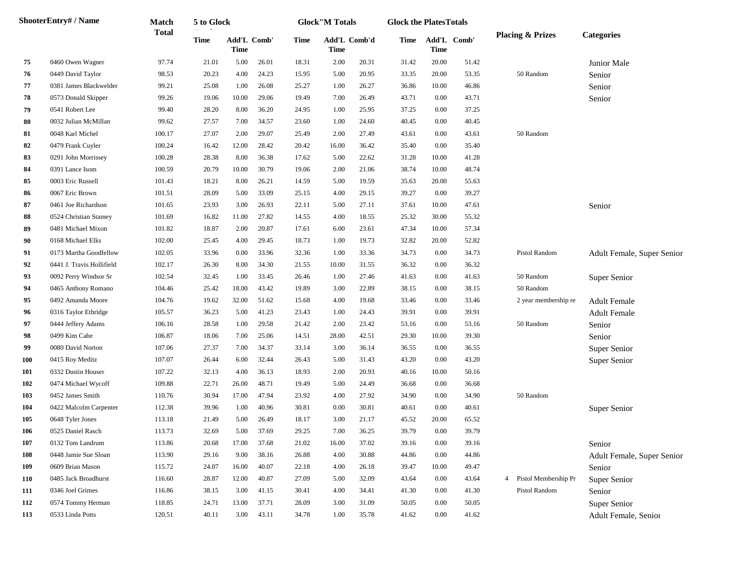|            | ShooterEntry# / Name      | <b>Match</b> | 5 to Glock  |                            |       |             | <b>Glock</b> "M Totals      |       | <b>Glock the PlatesTotals</b> |                            |       |                             |                            |
|------------|---------------------------|--------------|-------------|----------------------------|-------|-------------|-----------------------------|-------|-------------------------------|----------------------------|-------|-----------------------------|----------------------------|
|            |                           | <b>Total</b> | <b>Time</b> | Add'L Comb'<br><b>Time</b> |       | <b>Time</b> | Add'L Comb'd<br><b>Time</b> |       | Time                          | Add'L Comb'<br><b>Time</b> |       | <b>Placing &amp; Prizes</b> | <b>Categories</b>          |
| 75         | 0460 Owen Wagner          | 97.74        | 21.01       | 5.00                       | 26.01 | 18.31       | 2.00                        | 20.31 | 31.42                         | 20.00                      | 51.42 |                             | Junior Male                |
| 76         | 0449 David Taylor         | 98.53        | 20.23       | 4.00                       | 24.23 | 15.95       | 5.00                        | 20.95 | 33.35                         | 20.00                      | 53.35 | 50 Random                   | Senior                     |
| 77         | 0381 James Blackwelder    | 99.21        | 25.08       | 1.00                       | 26.08 | 25.27       | 1.00                        | 26.27 | 36.86                         | 10.00                      | 46.86 |                             | Senior                     |
| 78         | 0573 Donald Skipper       | 99.26        | 19.06       | 10.00                      | 29.06 | 19.49       | 7.00                        | 26.49 | 43.71                         | 0.00                       | 43.71 |                             | Senior                     |
| 79         | 0541 Robert Lee           | 99.40        | 28.20       | 8.00                       | 36.20 | 24.95       | 1.00                        | 25.95 | 37.25                         | 0.00                       | 37.25 |                             |                            |
| 80         | 0032 Julian McMillan      | 99.62        | 27.57       | 7.00                       | 34.57 | 23.60       | 1.00                        | 24.60 | 40.45                         | 0.00                       | 40.45 |                             |                            |
| 81         | 0048 Karl Michel          | 100.17       | 27.07       | 2.00                       | 29.07 | 25.49       | 2.00                        | 27.49 | 43.61                         | 0.00                       | 43.61 | 50 Random                   |                            |
| 82         | 0479 Frank Cuyler         | 100.24       | 16.42       | 12.00                      | 28.42 | 20.42       | 16.00                       | 36.42 | 35.40                         | 0.00                       | 35.40 |                             |                            |
| 83         | 0291 John Morrissey       | 100.28       | 28.38       | 8.00                       | 36.38 | 17.62       | 5.00                        | 22.62 | 31.28                         | 10.00                      | 41.28 |                             |                            |
| 84         | 0391 Lance Isom           | 100.59       | 20.79       | 10.00                      | 30.79 | 19.06       | 2.00                        | 21.06 | 38.74                         | 10.00                      | 48.74 |                             |                            |
| 85         | 0003 Eric Russell         | 101.43       | 18.21       | 8.00                       | 26.21 | 14.59       | 5.00                        | 19.59 | 35.63                         | 20.00                      | 55.63 |                             |                            |
| 86         | 0067 Eric Brown           | 101.51       | 28.09       | 5.00                       | 33.09 | 25.15       | 4.00                        | 29.15 | 39.27                         | 0.00                       | 39.27 |                             |                            |
| 87         | 0461 Joe Richardson       | 101.65       | 23.93       | 3.00                       | 26.93 | 22.11       | 5.00                        | 27.11 | 37.61                         | 10.00                      | 47.61 |                             | Senior                     |
| 88         | 0524 Christian Stamey     | 101.69       | 16.82       | 11.00                      | 27.82 | 14.55       | 4.00                        | 18.55 | 25.32                         | 30.00                      | 55.32 |                             |                            |
| 89         | 0481 Michael Mixon        | 101.82       | 18.87       | 2.00                       | 20.87 | 17.61       | 6.00                        | 23.61 | 47.34                         | 10.00                      | 57.34 |                             |                            |
| 90         | 0168 Michael Elks         | 102.00       | 25.45       | 4.00                       | 29.45 | 18.73       | 1.00                        | 19.73 | 32.82                         | 20.00                      | 52.82 |                             |                            |
| 91         | 0173 Martha Goodfellow    | 102.05       | 33.96       | 0.00                       | 33.96 | 32.36       | 1.00                        | 33.36 | 34.73                         | 0.00                       | 34.73 | Pistol Random               | Adult Female, Super Senior |
| 92         | 0441 J. Travis Hollifield | 102.17       | 26.30       | 8.00                       | 34.30 | 21.55       | 10.00                       | 31.55 | 36.32                         | 0.00                       | 36.32 |                             |                            |
| 93         | 0092 Perry Windsor Sr     | 102.54       | 32.45       | 1.00                       | 33.45 | 26.46       | 1.00                        | 27.46 | 41.63                         | 0.00                       | 41.63 | 50 Random                   | Super Senior               |
| 94         | 0465 Anthony Romano       | 104.46       | 25.42       | 18.00                      | 43.42 | 19.89       | 3.00                        | 22.89 | 38.15                         | 0.00                       | 38.15 | 50 Random                   |                            |
| 95         | 0492 Amanda Moore         | 104.76       | 19.62       | 32.00                      | 51.62 | 15.68       | 4.00                        | 19.68 | 33.46                         | 0.00                       | 33.46 | 2 year membership re        | <b>Adult Female</b>        |
| 96         | 0316 Taylor Ethridge      | 105.57       | 36.23       | 5.00                       | 41.23 | 23.43       | 1.00                        | 24.43 | 39.91                         | 0.00                       | 39.91 |                             | <b>Adult Female</b>        |
| 97         | 0444 Jeffery Adams        | 106.16       | 28.58       | 1.00                       | 29.58 | 21.42       | 2.00                        | 23.42 | 53.16                         | 0.00                       | 53.16 | 50 Random                   | Senior                     |
| 98         | 0499 Kim Cabe             | 106.87       | 18.06       | 7.00                       | 25.06 | 14.51       | 28.00                       | 42.51 | 29.30                         | 10.00                      | 39.30 |                             | Senior                     |
| 99         | 0080 David Norton         | 107.06       | 27.37       | 7.00                       | 34.37 | 33.14       | 3.00                        | 36.14 | 36.55                         | 0.00                       | 36.55 |                             | Super Senior               |
| <b>100</b> | 0415 Roy Meditz           | 107.07       | 26.44       | 6.00                       | 32.44 | 26.43       | 5.00                        | 31.43 | 43.20                         | 0.00                       | 43.20 |                             | Super Senior               |
| 101        | 0332 Dustin Houser        | 107.22       | 32.13       | 4.00                       | 36.13 | 18.93       | 2.00                        | 20.93 | 40.16                         | 10.00                      | 50.16 |                             |                            |
| 102        | 0474 Michael Wycoff       | 109.88       | 22.71       | 26.00                      | 48.71 | 19.49       | 5.00                        | 24.49 | 36.68                         | 0.00                       | 36.68 |                             |                            |
| 103        | 0452 James Smith          | 110.76       | 30.94       | 17.00                      | 47.94 | 23.92       | 4.00                        | 27.92 | 34.90                         | 0.00                       | 34.90 | 50 Random                   |                            |
| 104        | 0422 Malcolm Carpenter    | 112.38       | 39.96       | 1.00                       | 40.96 | 30.81       | 0.00                        | 30.81 | 40.61                         | 0.00                       | 40.61 |                             | Super Senior               |
| 105        | 0648 Tyler Jones          | 113.18       | 21.49       | 5.00                       | 26.49 | 18.17       | 3.00                        | 21.17 | 45.52                         | 20.00                      | 65.52 |                             |                            |
| 106        | 0525 Daniel Rasch         | 113.73       | 32.69       | 5.00                       | 37.69 | 29.25       | 7.00                        | 36.25 | 39.79                         | 0.00                       | 39.79 |                             |                            |
| 107        | 0132 Tom Landrum          | 113.86       | 20.68       | 17.00                      | 37.68 | 21.02       | 16.00                       | 37.02 | 39.16                         | 0.00                       | 39.16 |                             | Senior                     |
| 108        | 0448 Jamie Sue Sloan      | 113.90       | 29.16       | 9.00                       | 38.16 | 26.88       | 4.00                        | 30.88 | 44.86                         | 0.00                       | 44.86 |                             | Adult Female, Super Senior |
| 109        | 0609 Brian Mason          | 115.72       | 24.07       | 16.00                      | 40.07 | 22.18       | 4.00                        | 26.18 | 39.47                         | 10.00                      | 49.47 |                             | Senior                     |
| 110        | 0485 Jack Broadhurst      | 116.60       | 28.87       | 12.00                      | 40.87 | 27.09       | 5.00                        | 32.09 | 43.64                         | 0.00                       | 43.64 | 4 Pistol Membership Pr      | Super Senior               |
| 111        | 0346 Joel Grimes          | 116.86       | 38.15       | 3.00                       | 41.15 | 30.41       | 4.00                        | 34.41 | 41.30                         | 0.00                       | 41.30 | Pistol Random               | Senior                     |
| 112        | 0574 Tommy Herman         | 118.85       | 24.71       | 13.00                      | 37.71 | 28.09       | 3.00                        | 31.09 | 50.05                         | 0.00                       | 50.05 |                             | Super Senior               |
| 113        | 0533 Linda Potts          | 120.51       | 40.11       | 3.00                       | 43.11 | 34.78       | 1.00                        | 35.78 | 41.62                         | 0.00                       | 41.62 |                             | Adult Female, Senior       |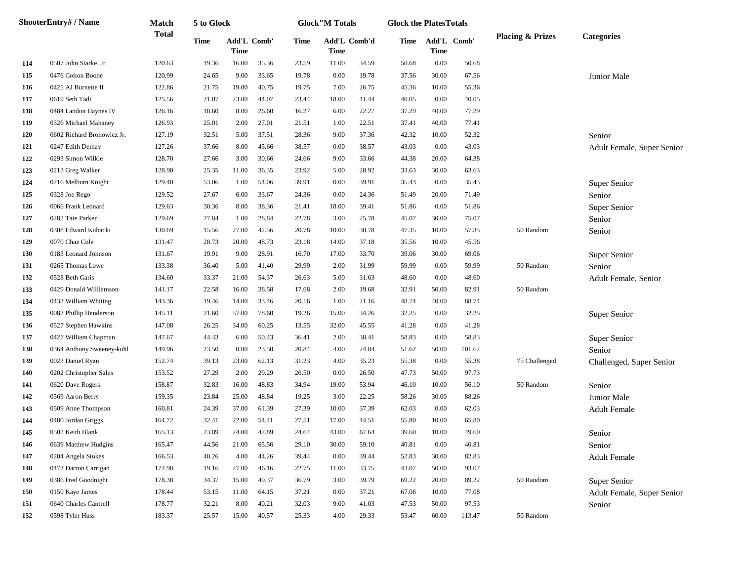|     | ShooterEntry# / Name       | Match        | 5 to Glock  |                            |       |             | <b>Glock</b> "M Totals |       | <b>Glock the PlatesTotals</b> |                            |        |                             |                            |
|-----|----------------------------|--------------|-------------|----------------------------|-------|-------------|------------------------|-------|-------------------------------|----------------------------|--------|-----------------------------|----------------------------|
|     |                            | <b>Total</b> | <b>Time</b> | Add'L Comb'<br><b>Time</b> |       | <b>Time</b> | Add'L Comb'd<br>Time   |       | Time                          | Add'L Comb'<br><b>Time</b> |        | <b>Placing &amp; Prizes</b> | <b>Categories</b>          |
| 114 | 0507 John Starke, Jr.      | 120.63       | 19.36       | 16.00                      | 35.36 | 23.59       | 11.00                  | 34.59 | 50.68                         | 0.00                       | 50.68  |                             |                            |
| 115 | 0476 Colton Boone          | 120.99       | 24.65       | 9.00                       | 33.65 | 19.78       | 0.00                   | 19.78 | 37.56                         | 30.00                      | 67.56  |                             | Junior Male                |
| 116 | 0425 AJ Burnette II        | 122.86       | 21.75       | 19.00                      | 40.75 | 19.75       | 7.00                   | 26.75 | 45.36                         | 10.00                      | 55.36  |                             |                            |
| 117 | 0619 Seth Tadt             | 125.56       | 21.07       | 23.00                      | 44.07 | 23.44       | 18.00                  | 41.44 | 40.05                         | 0.00                       | 40.05  |                             |                            |
| 118 | 0484 Landon Haynes IV      | 126.16       | 18.60       | 8.00                       | 26.60 | 16.27       | 6.00                   | 22.27 | 37.29                         | 40.00                      | 77.29  |                             |                            |
| 119 | 0326 Michael Mahaney       | 126.93       | 25.01       | 2.00                       | 27.01 | 21.51       | 1.00                   | 22.51 | 37.41                         | 40.00                      | 77.41  |                             |                            |
| 120 | 0602 Richard Bronowicz Jr. | 127.19       | 32.51       | 5.00                       | 37.51 | 28.36       | 9.00                   | 37.36 | 42.32                         | 10.00                      | 52.32  |                             | Senior                     |
| 121 | 0247 Edith Demay           | 127.26       | 37.66       | 8.00                       | 45.66 | 38.57       | 0.00                   | 38.57 | 43.03                         | 0.00                       | 43.03  |                             | Adult Female, Super Senior |
| 122 | 0293 Simon Wilkie          | 128.70       | 27.66       | 3.00                       | 30.66 | 24.66       | 9.00                   | 33.66 | 44.38                         | 20.00                      | 64.38  |                             |                            |
| 123 | 0213 Greg Walker           | 128.90       | 25.35       | 11.00                      | 36.35 | 23.92       | 5.00                   | 28.92 | 33.63                         | 30.00                      | 63.63  |                             |                            |
| 124 | 0216 Melburn Knight        | 129.40       | 53.06       | 1.00                       | 54.06 | 39.91       | 0.00                   | 39.91 | 35.43                         | 0.00                       | 35.43  |                             | Super Senior               |
| 125 | 0328 Joe Rego              | 129.52       | 27.67       | 6.00                       | 33.67 | 24.36       | 0.00                   | 24.36 | 51.49                         | 20.00                      | 71.49  |                             | Senior                     |
| 126 | 0066 Frank Leonard         | 129.63       | 30.36       | 8.00                       | 38.36 | 21.41       | 18.00                  | 39.41 | 51.86                         | 0.00                       | 51.86  |                             | Super Senior               |
| 127 | 0282 Tate Parker           | 129.69       | 27.84       | 1.00                       | 28.84 | 22.78       | 3.00                   | 25.78 | 45.07                         | 30.00                      | 75.07  |                             | Senior                     |
| 128 | 0308 Edward Kubacki        | 130.69       | 15.56       | 27.00                      | 42.56 | 20.78       | 10.00                  | 30.78 | 47.35                         | 10.00                      | 57.35  | 50 Random                   | Senior                     |
| 129 | 0070 Chaz Cole             | 131.47       | 28.73       | 20.00                      | 48.73 | 23.18       | 14.00                  | 37.18 | 35.56                         | 10.00                      | 45.56  |                             |                            |
| 130 | 0183 Leonard Johnson       | 131.67       | 19.91       | 9.00                       | 28.91 | 16.70       | 17.00                  | 33.70 | 39.06                         | 30.00                      | 69.06  |                             | Super Senior               |
| 131 | 0265 Thomas Lowe           | 133.38       | 36.40       | 5.00                       | 41.40 | 29.99       | 2.00                   | 31.99 | 59.99                         | 0.00                       | 59.99  | 50 Random                   | Senior                     |
| 132 | 0528 Beth Garis            | 134.60       | 33.37       | 21.00                      | 54.37 | 26.63       | 5.00                   | 31.63 | 48.60                         | 0.00                       | 48.60  |                             | Adult Female, Senior       |
| 133 | 0429 Donald Williamson     | 141.17       | 22.58       | 16.00                      | 38.58 | 17.68       | 2.00                   | 19.68 | 32.91                         | 50.00                      | 82.91  | 50 Random                   |                            |
| 134 | 0433 William Whiting       | 143.36       | 19.46       | 14.00                      | 33.46 | 20.16       | 1.00                   | 21.16 | 48.74                         | 40.00                      | 88.74  |                             |                            |
| 135 | 0083 Phillip Henderson     | 145.11       | 21.60       | 57.00                      | 78.60 | 19.26       | 15.00                  | 34.26 | 32.25                         | 0.00                       | 32.25  |                             | Super Senior               |
| 136 | 0527 Stephen Hawkins       | 147.08       | 26.25       | 34.00                      | 60.25 | 13.55       | 32.00                  | 45.55 | 41.28                         | 0.00                       | 41.28  |                             |                            |
| 137 | 0427 William Chapman       | 147.67       | 44.43       | 6.00                       | 50.43 | 36.41       | 2.00                   | 38.41 | 58.83                         | 0.00                       | 58.83  |                             | Super Senior               |
| 138 | 0364 Anthony Sweeney-kohl  | 149.96       | 23.50       | 0.00                       | 23.50 | 20.84       | 4.00                   | 24.84 | 51.62                         | 50.00                      | 101.62 |                             | Senior                     |
| 139 | 0023 Daniel Ryan           | 152.74       | 39.13       | 23.00                      | 62.13 | 31.23       | 4.00                   | 35.23 | 55.38                         | 0.00                       | 55.38  | 75 Challenged               | Challenged, Super Senior   |
| 140 | 0202 Christopher Sales     | 153.52       | 27.29       | 2.00                       | 29.29 | 26.50       | 0.00                   | 26.50 | 47.73                         | 50.00                      | 97.73  |                             |                            |
| 141 | 0620 Dave Rogers           | 158.87       | 32.83       | 16.00                      | 48.83 | 34.94       | 19.00                  | 53.94 | 46.10                         | 10.00                      | 56.10  | 50 Random                   | Senior                     |
| 142 | 0569 Aaron Berry           | 159.35       | 23.84       | 25.00                      | 48.84 | 19.25       | 3.00                   | 22.25 | 58.26                         | 30.00                      | 88.26  |                             | Junior Male                |
| 143 | 0509 Anne Thompson         | 160.81       | 24.39       | 37.00                      | 61.39 | 27.39       | 10.00                  | 37.39 | 62.03                         | 0.00                       | 62.03  |                             | <b>Adult Female</b>        |
| 144 | 0480 Jordan Griggs         | 164.72       | 32.41       | 22.00                      | 54.41 | 27.51       | 17.00                  | 44.51 | 55.80                         | 10.00                      | 65.80  |                             |                            |
| 145 | 0502 Keith Blank           | 165.13       | 23.89       | 24.00                      | 47.89 | 24.64       | 43.00                  | 67.64 | 39.60                         | 10.00                      | 49.60  |                             | Senior                     |
| 146 | 0639 Matthew Hudgins       | 165.47       | 44.56       | 21.00                      | 65.56 | 29.10       | 30.00                  | 59.10 | 40.81                         | 0.00                       | 40.81  |                             | Senior                     |
| 147 | 0204 Angela Stokes         | 166.53       | 40.26       | 4.00                       | 44.26 | 39.44       | $0.00\,$               | 39.44 | 52.83                         | 30.00                      | 82.83  |                             | <b>Adult Female</b>        |
| 148 | 0473 Darron Carrigan       | 172.98       | 19.16       | 27.00                      | 46.16 | 22.75       | 11.00                  | 33.75 | 43.07                         | 50.00                      | 93.07  |                             |                            |
| 149 | 0386 Fred Goodnight        | 178.38       | 34.37       | 15.00                      | 49.37 | 36.79       | 3.00                   | 39.79 | 69.22                         | 20.00                      | 89.22  | 50 Random                   | Super Senior               |
| 150 | 0150 Kaye James            | 178.44       | 53.15       | 11.00                      | 64.15 | 37.21       | 0.00                   | 37.21 | 67.08                         | 10.00                      | 77.08  |                             | Adult Female, Super Senior |
| 151 | 0640 Charles Cantrell      | 178.77       | 32.21       | 8.00                       | 40.21 | 32.03       | 9.00                   | 41.03 | 47.53                         | 50.00                      | 97.53  |                             | Senior                     |
| 152 | 0598 Tyler Huss            | 183.37       | 25.57       | 15.00                      | 40.57 | 25.33       | 4.00                   | 29.33 | 53.47                         | 60.00                      | 113.47 | 50 Random                   |                            |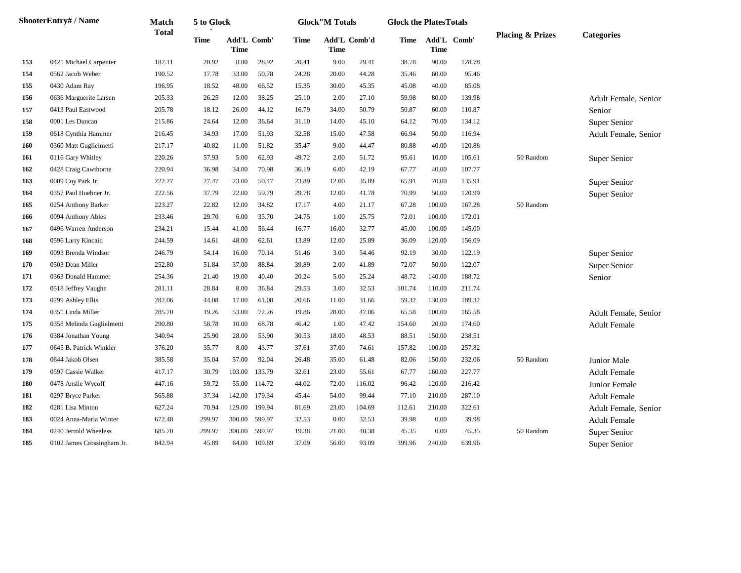|     | <b>ShooterEntry#/Name</b>  | <b>Match</b> | 5 to Glock  |                            |        |             | <b>Glock</b> "M Totals |              | <b>Glock the PlatesTotals</b> |                            |        |                             |                      |
|-----|----------------------------|--------------|-------------|----------------------------|--------|-------------|------------------------|--------------|-------------------------------|----------------------------|--------|-----------------------------|----------------------|
|     |                            | <b>Total</b> | <b>Time</b> | Add'L Comb'<br><b>Time</b> |        | <b>Time</b> | Time                   | Add'L Comb'd | Time                          | Add'L Comb'<br><b>Time</b> |        | <b>Placing &amp; Prizes</b> | <b>Categories</b>    |
| 153 | 0421 Michael Carpenter     | 187.11       | 20.92       | 8.00                       | 28.92  | 20.41       | 9.00                   | 29.41        | 38.78                         | 90.00                      | 128.78 |                             |                      |
| 154 | 0562 Jacob Weber           | 190.52       | 17.78       | 33.00                      | 50.78  | 24.28       | 20.00                  | 44.28        | 35.46                         | 60.00                      | 95.46  |                             |                      |
| 155 | 0430 Adam Ray              | 196.95       | 18.52       | 48.00                      | 66.52  | 15.35       | 30.00                  | 45.35        | 45.08                         | 40.00                      | 85.08  |                             |                      |
| 156 | 0636 Marguerite Larsen     | 205.33       | 26.25       | 12.00                      | 38.25  | 25.10       | 2.00                   | 27.10        | 59.98                         | 80.00                      | 139.98 |                             | Adult Female, Senior |
| 157 | 0413 Paul Eastwood         | 205.78       | 18.12       | 26.00                      | 44.12  | 16.79       | 34.00                  | 50.79        | 50.87                         | 60.00                      | 110.87 |                             | Senior               |
| 158 | 0001 Les Duncan            | 215.86       | 24.64       | 12.00                      | 36.64  | 31.10       | 14.00                  | 45.10        | 64.12                         | 70.00                      | 134.12 |                             | Super Senior         |
| 159 | 0618 Cynthia Hammer        | 216.45       | 34.93       | 17.00                      | 51.93  | 32.58       | 15.00                  | 47.58        | 66.94                         | 50.00                      | 116.94 |                             | Adult Female, Senior |
| 160 | 0360 Matt Guglielmetti     | 217.17       | 40.82       | 11.00                      | 51.82  | 35.47       | 9.00                   | 44.47        | 80.88                         | 40.00                      | 120.88 |                             |                      |
| 161 | 0116 Gary Whitley          | 220.26       | 57.93       | 5.00                       | 62.93  | 49.72       | 2.00                   | 51.72        | 95.61                         | 10.00                      | 105.61 | 50 Random                   | Super Senior         |
| 162 | 0428 Craig Cawthorne       | 220.94       | 36.98       | 34.00                      | 70.98  | 36.19       | 6.00                   | 42.19        | 67.77                         | 40.00                      | 107.77 |                             |                      |
| 163 | 0009 Coy Park Jr.          | 222.27       | 27.47       | 23.00                      | 50.47  | 23.89       | 12.00                  | 35.89        | 65.91                         | 70.00                      | 135.91 |                             | Super Senior         |
| 164 | 0357 Paul Huebner Jr.      | 222.56       | 37.79       | 22.00                      | 59.79  | 29.78       | 12.00                  | 41.78        | 70.99                         | 50.00                      | 120.99 |                             | Super Senior         |
| 165 | 0254 Anthony Barker        | 223.27       | 22.82       | 12.00                      | 34.82  | 17.17       | 4.00                   | 21.17        | 67.28                         | 100.00                     | 167.28 | 50 Random                   |                      |
| 166 | 0094 Anthony Ables         | 233.46       | 29.70       | 6.00                       | 35.70  | 24.75       | 1.00                   | 25.75        | 72.01                         | 100.00                     | 172.01 |                             |                      |
| 167 | 0496 Warren Anderson       | 234.21       | 15.44       | 41.00                      | 56.44  | 16.77       | 16.00                  | 32.77        | 45.00                         | 100.00                     | 145.00 |                             |                      |
| 168 | 0596 Larry Kincaid         | 244.59       | 14.61       | 48.00                      | 62.61  | 13.89       | 12.00                  | 25.89        | 36.09                         | 120.00                     | 156.09 |                             |                      |
| 169 | 0093 Brenda Windsor        | 246.79       | 54.14       | 16.00                      | 70.14  | 51.46       | 3.00                   | 54.46        | 92.19                         | 30.00                      | 122.19 |                             | Super Senior         |
| 170 | 0503 Dean Miller           | 252.80       | 51.84       | 37.00                      | 88.84  | 39.89       | 2.00                   | 41.89        | 72.07                         | 50.00                      | 122.07 |                             | Super Senior         |
| 171 | 0363 Donald Hammer         | 254.36       | 21.40       | 19.00                      | 40.40  | 20.24       | 5.00                   | 25.24        | 48.72                         | 140.00                     | 188.72 |                             | Senior               |
| 172 | 0518 Jeffrey Vaughn        | 281.11       | 28.84       | 8.00                       | 36.84  | 29.53       | 3.00                   | 32.53        | 101.74                        | 110.00                     | 211.74 |                             |                      |
| 173 | 0299 Ashley Ellis          | 282.06       | 44.08       | 17.00                      | 61.08  | 20.66       | 11.00                  | 31.66        | 59.32                         | 130.00                     | 189.32 |                             |                      |
| 174 | 0351 Linda Miller          | 285.70       | 19.26       | 53.00                      | 72.26  | 19.86       | 28.00                  | 47.86        | 65.58                         | 100.00                     | 165.58 |                             | Adult Female, Senior |
| 175 | 0358 Melinda Guglielmetti  | 290.80       | 58.78       | 10.00                      | 68.78  | 46.42       | 1.00                   | 47.42        | 154.60                        | 20.00                      | 174.60 |                             | <b>Adult Female</b>  |
| 176 | 0384 Jonathan Young        | 340.94       | 25.90       | 28.00                      | 53.90  | 30.53       | 18.00                  | 48.53        | 88.51                         | 150.00                     | 238.51 |                             |                      |
| 177 | 0645 B. Patrick Winkler    | 376.20       | 35.77       | 8.00                       | 43.77  | 37.61       | 37.00                  | 74.61        | 157.82                        | 100.00                     | 257.82 |                             |                      |
| 178 | 0644 Jakob Olsen           | 385.58       | 35.04       | 57.00                      | 92.04  | 26.48       | 35.00                  | 61.48        | 82.06                         | 150.00                     | 232.06 | 50 Random                   | Junior Male          |
| 179 | 0597 Cassie Walker         | 417.17       | 30.79       | 103.00                     | 133.79 | 32.61       | 23.00                  | 55.61        | 67.77                         | 160.00                     | 227.77 |                             | <b>Adult Female</b>  |
| 180 | 0478 Anslie Wycoff         | 447.16       | 59.72       | 55.00                      | 114.72 | 44.02       | 72.00                  | 116.02       | 96.42                         | 120.00                     | 216.42 |                             | Junior Female        |
| 181 | 0297 Bryce Parker          | 565.88       | 37.34       | 142.00                     | 179.34 | 45.44       | 54.00                  | 99.44        | 77.10                         | 210.00                     | 287.10 |                             | <b>Adult Female</b>  |
| 182 | 0281 Lisa Minton           | 627.24       | 70.94       | 129.00                     | 199.94 | 81.69       | 23.00                  | 104.69       | 112.61                        | 210.00                     | 322.61 |                             | Adult Female, Senior |
| 183 | 0024 Anna-Maria Winter     | 672.48       | 299.97      | 300.00                     | 599.97 | 32.53       | 0.00                   | 32.53        | 39.98                         | 0.00                       | 39.98  |                             | <b>Adult Female</b>  |
| 184 | 0240 Jerrold Wheeless      | 685.70       | 299.97      | 300.00                     | 599.97 | 19.38       | 21.00                  | 40.38        | 45.35                         | 0.00                       | 45.35  | 50 Random                   | Super Senior         |
| 185 | 0102 James Crossingham Jr. | 842.94       | 45.89       | 64.00                      | 109.89 | 37.09       | 56.00                  | 93.09        | 399.96                        | 240.00                     | 639.96 |                             | Super Senior         |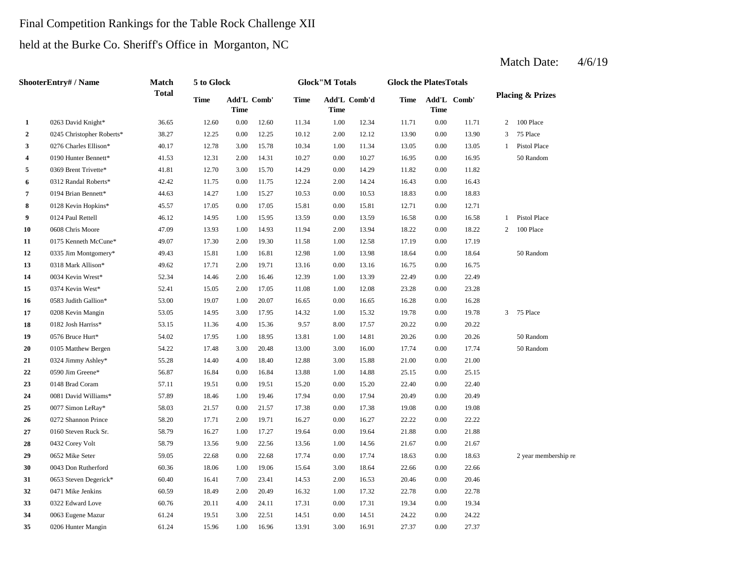## Final Competition Rankings for the Table Rock Challenge XII

## held at the Burke Co. Sheriff's Office in Morganton, NC

|                | <b>ShooterEntry#/Name</b> | Match        | 5 to Glock  |                     |       |             | <b>Glock</b> "M Totals      |       | <b>Glock the PlatesTotals</b> |                     |       |                |                             |
|----------------|---------------------------|--------------|-------------|---------------------|-------|-------------|-----------------------------|-------|-------------------------------|---------------------|-------|----------------|-----------------------------|
|                |                           | <b>Total</b> | <b>Time</b> | Add'L Comb'<br>Time |       | <b>Time</b> | Add'L Comb'd<br><b>Time</b> |       | Time                          | Add'L Comb'<br>Time |       |                | <b>Placing &amp; Prizes</b> |
| 1              | 0263 David Knight*        | 36.65        | 12.60       | $0.00\,$            | 12.60 | 11.34       | 1.00                        | 12.34 | 11.71                         | 0.00                | 11.71 | $\overline{2}$ | 100 Place                   |
| $\overline{2}$ | 0245 Christopher Roberts* | 38.27        | 12.25       | $0.00\,$            | 12.25 | 10.12       | 2.00                        | 12.12 | 13.90                         | 0.00                | 13.90 | 3              | 75 Place                    |
| 3              | 0276 Charles Ellison*     | 40.17        | 12.78       | 3.00                | 15.78 | 10.34       | 1.00                        | 11.34 | 13.05                         | 0.00                | 13.05 | 1              | Pistol Place                |
| 4              | 0190 Hunter Bennett*      | 41.53        | 12.31       | 2.00                | 14.31 | 10.27       | 0.00                        | 10.27 | 16.95                         | 0.00                | 16.95 |                | 50 Random                   |
| 5              | 0369 Brent Trivette*      | 41.81        | 12.70       | 3.00                | 15.70 | 14.29       | 0.00                        | 14.29 | 11.82                         | 0.00                | 11.82 |                |                             |
| 6              | 0312 Randal Roberts*      | 42.42        | 11.75       | 0.00                | 11.75 | 12.24       | 2.00                        | 14.24 | 16.43                         | 0.00                | 16.43 |                |                             |
| $\overline{7}$ | 0194 Brian Bennett*       | 44.63        | 14.27       | 1.00                | 15.27 | 10.53       | 0.00                        | 10.53 | 18.83                         | 0.00                | 18.83 |                |                             |
| 8              | 0128 Kevin Hopkins*       | 45.57        | 17.05       | 0.00                | 17.05 | 15.81       | 0.00                        | 15.81 | 12.71                         | 0.00                | 12.71 |                |                             |
| 9              | 0124 Paul Rettell         | 46.12        | 14.95       | 1.00                | 15.95 | 13.59       | 0.00                        | 13.59 | 16.58                         | 0.00                | 16.58 | $\mathbf{1}$   | Pistol Place                |
| 10             | 0608 Chris Moore          | 47.09        | 13.93       | 1.00                | 14.93 | 11.94       | 2.00                        | 13.94 | 18.22                         | 0.00                | 18.22 | $\overline{2}$ | 100 Place                   |
| 11             | 0175 Kenneth McCune*      | 49.07        | 17.30       | 2.00                | 19.30 | 11.58       | 1.00                        | 12.58 | 17.19                         | 0.00                | 17.19 |                |                             |
| 12             | 0335 Jim Montgomery*      | 49.43        | 15.81       | 1.00                | 16.81 | 12.98       | 1.00                        | 13.98 | 18.64                         | 0.00                | 18.64 |                | 50 Random                   |
| 13             | 0318 Mark Allison*        | 49.62        | 17.71       | 2.00                | 19.71 | 13.16       | 0.00                        | 13.16 | 16.75                         | 0.00                | 16.75 |                |                             |
| 14             | 0034 Kevin Wrest*         | 52.34        | 14.46       | 2.00                | 16.46 | 12.39       | 1.00                        | 13.39 | 22.49                         | 0.00                | 22.49 |                |                             |
| 15             | 0374 Kevin West*          | 52.41        | 15.05       | 2.00                | 17.05 | 11.08       | 1.00                        | 12.08 | 23.28                         | 0.00                | 23.28 |                |                             |
| 16             | 0583 Judith Gallion*      | 53.00        | 19.07       | 1.00                | 20.07 | 16.65       | 0.00                        | 16.65 | 16.28                         | 0.00                | 16.28 |                |                             |
| 17             | 0208 Kevin Mangin         | 53.05        | 14.95       | 3.00                | 17.95 | 14.32       | 1.00                        | 15.32 | 19.78                         | 0.00                | 19.78 | 3 <sup>7</sup> | 75 Place                    |
| 18             | 0182 Josh Harriss*        | 53.15        | 11.36       | 4.00                | 15.36 | 9.57        | 8.00                        | 17.57 | 20.22                         | 0.00                | 20.22 |                |                             |
| 19             | 0576 Bruce Hurt*          | 54.02        | 17.95       | 1.00                | 18.95 | 13.81       | 1.00                        | 14.81 | 20.26                         | 0.00                | 20.26 |                | 50 Random                   |
| 20             | 0105 Matthew Bergen       | 54.22        | 17.48       | 3.00                | 20.48 | 13.00       | 3.00                        | 16.00 | 17.74                         | 0.00                | 17.74 |                | 50 Random                   |
| 21             | 0324 Jimmy Ashley*        | 55.28        | 14.40       | 4.00                | 18.40 | 12.88       | 3.00                        | 15.88 | 21.00                         | 0.00                | 21.00 |                |                             |
| 22             | 0590 Jim Greene*          | 56.87        | 16.84       | 0.00                | 16.84 | 13.88       | 1.00                        | 14.88 | 25.15                         | 0.00                | 25.15 |                |                             |
| 23             | 0148 Brad Coram           | 57.11        | 19.51       | 0.00                | 19.51 | 15.20       | 0.00                        | 15.20 | 22.40                         | 0.00                | 22.40 |                |                             |
| 24             | 0081 David Williams*      | 57.89        | 18.46       | 1.00                | 19.46 | 17.94       | 0.00                        | 17.94 | 20.49                         | 0.00                | 20.49 |                |                             |
| 25             | 0077 Simon LeRay*         | 58.03        | 21.57       | 0.00                | 21.57 | 17.38       | 0.00                        | 17.38 | 19.08                         | 0.00                | 19.08 |                |                             |
| 26             | 0272 Shannon Prince       | 58.20        | 17.71       | 2.00                | 19.71 | 16.27       | 0.00                        | 16.27 | 22.22                         | 0.00                | 22.22 |                |                             |
| 27             | 0160 Steven Ruck Sr.      | 58.79        | 16.27       | 1.00                | 17.27 | 19.64       | 0.00                        | 19.64 | 21.88                         | 0.00                | 21.88 |                |                             |
| 28             | 0432 Corey Volt           | 58.79        | 13.56       | 9.00                | 22.56 | 13.56       | 1.00                        | 14.56 | 21.67                         | 0.00                | 21.67 |                |                             |
| 29             | 0652 Mike Seter           | 59.05        | 22.68       | 0.00                | 22.68 | 17.74       | 0.00                        | 17.74 | 18.63                         | 0.00                | 18.63 |                | 2 year membership re        |
| 30             | 0043 Don Rutherford       | 60.36        | 18.06       | 1.00                | 19.06 | 15.64       | 3.00                        | 18.64 | 22.66                         | 0.00                | 22.66 |                |                             |
| 31             | 0653 Steven Degerick*     | 60.40        | 16.41       | 7.00                | 23.41 | 14.53       | 2.00                        | 16.53 | 20.46                         | 0.00                | 20.46 |                |                             |
| 32             | 0471 Mike Jenkins         | 60.59        | 18.49       | 2.00                | 20.49 | 16.32       | 1.00                        | 17.32 | 22.78                         | 0.00                | 22.78 |                |                             |
| 33             | 0322 Edward Love          | 60.76        | 20.11       | 4.00                | 24.11 | 17.31       | 0.00                        | 17.31 | 19.34                         | 0.00                | 19.34 |                |                             |
| 34             | 0063 Eugene Mazur         | 61.24        | 19.51       | 3.00                | 22.51 | 14.51       | 0.00                        | 14.51 | 24.22                         | 0.00                | 24.22 |                |                             |
| 35             | 0206 Hunter Mangin        | 61.24        | 15.96       | 1.00                | 16.96 | 13.91       | 3.00                        | 16.91 | 27.37                         | 0.00                | 27.37 |                |                             |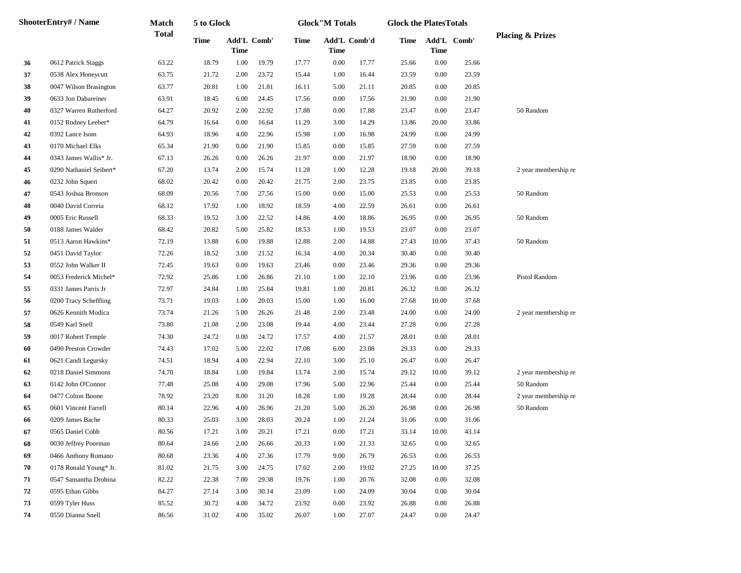|    | ShooterEntry# / Name    | Match        | 5 to Glock  |                            |       |       | <b>Glock</b> "M Totals |              | <b>Glock the PlatesTotals</b> |             |             |                             |
|----|-------------------------|--------------|-------------|----------------------------|-------|-------|------------------------|--------------|-------------------------------|-------------|-------------|-----------------------------|
|    |                         | <b>Total</b> | <b>Time</b> | Add'L Comb'<br><b>Time</b> |       | Time  | <b>Time</b>            | Add'L Comb'd | Time                          | <b>Time</b> | Add'L Comb' | <b>Placing &amp; Prizes</b> |
| 36 | 0612 Patrick Staggs     | 63.22        | 18.79       | 1.00                       | 19.79 | 17.77 | 0.00                   | 17.77        | 25.66                         | 0.00        | 25.66       |                             |
| 37 | 0538 Alex Honeycutt     | 63.75        | 21.72       | 2.00                       | 23.72 | 15.44 | 1.00                   | 16.44        | 23.59                         | 0.00        | 23.59       |                             |
| 38 | 0047 Wilson Brasington  | 63.77        | 20.81       | 1.00                       | 21.81 | 16.11 | 5.00                   | 21.11        | 20.85                         | 0.00        | 20.85       |                             |
| 39 | 0633 Jon Dabareiner     | 63.91        | 18.45       | 6.00                       | 24.45 | 17.56 | 0.00                   | 17.56        | 21.90                         | 0.00        | 21.90       |                             |
| 40 | 0327 Warren Rutherford  | 64.27        | 20.92       | 2.00                       | 22.92 | 17.88 | 0.00                   | 17.88        | 23.47                         | 0.00        | 23.47       | 50 Random                   |
| 41 | 0152 Rodney Leeber*     | 64.79        | 16.64       | 0.00                       | 16.64 | 11.29 | 3.00                   | 14.29        | 13.86                         | 20.00       | 33.86       |                             |
| 42 | 0392 Lance Isom         | 64.93        | 18.96       | 4.00                       | 22.96 | 15.98 | 1.00                   | 16.98        | 24.99                         | 0.00        | 24.99       |                             |
| 43 | 0170 Michael Elks       | 65.34        | 21.90       | 0.00                       | 21.90 | 15.85 | 0.00                   | 15.85        | 27.59                         | 0.00        | 27.59       |                             |
| 44 | 0343 James Wallis* Jr.  | 67.13        | 26.26       | 0.00                       | 26.26 | 21.97 | 0.00                   | 21.97        | 18.90                         | 0.00        | 18.90       |                             |
| 45 | 0290 Nathaniel Seibert* | 67.20        | 13.74       | 2.00                       | 15.74 | 11.28 | 1.00                   | 12.28        | 19.18                         | 20.00       | 39.18       | 2 year membership re        |
| 46 | 0232 John Squeri        | 68.02        | 20.42       | 0.00                       | 20.42 | 21.75 | 2.00                   | 23.75        | 23.85                         | 0.00        | 23.85       |                             |
| 47 | 0543 Joshua Bronson     | 68.09        | 20.56       | 7.00                       | 27.56 | 15.00 | 0.00                   | 15.00        | 25.53                         | 0.00        | 25.53       | 50 Random                   |
| 48 | 0040 David Correia      | 68.12        | 17.92       | 1.00                       | 18.92 | 18.59 | 4.00                   | 22.59        | 26.61                         | 0.00        | 26.61       |                             |
| 49 | 0005 Eric Russell       | 68.33        | 19.52       | 3.00                       | 22.52 | 14.86 | 4.00                   | 18.86        | 26.95                         | 0.00        | 26.95       | 50 Random                   |
| 50 | 0188 James Walder       | 68.42        | 20.82       | 5.00                       | 25.82 | 18.53 | 1.00                   | 19.53        | 23.07                         | 0.00        | 23.07       |                             |
| 51 | 0513 Aaron Hawkins*     | 72.19        | 13.88       | 6.00                       | 19.88 | 12.88 | 2.00                   | 14.88        | 27.43                         | 10.00       | 37.43       | 50 Random                   |
| 52 | 0451 David Taylor       | 72.26        | 18.52       | 3.00                       | 21.52 | 16.34 | 4.00                   | 20.34        | 30.40                         | 0.00        | 30.40       |                             |
| 53 | 0552 John Walker II     | 72.45        | 19.63       | 0.00                       | 19.63 | 23.46 | 0.00                   | 23.46        | 29.36                         | 0.00        | 29.36       |                             |
| 54 | 0053 Frederick Michel*  | 72.92        | 25.86       | 1.00                       | 26.86 | 21.10 | 1.00                   | 22.10        | 23.96                         | 0.00        | 23.96       | Pistol Random               |
| 55 | 0331 James Parris Jr    | 72.97        | 24.84       | 1.00                       | 25.84 | 19.81 | 1.00                   | 20.81        | 26.32                         | 0.00        | 26.32       |                             |
| 56 | 0200 Tracy Scheffling   | 73.71        | 19.03       | 1.00                       | 20.03 | 15.00 | 1.00                   | 16.00        | 27.68                         | 10.00       | 37.68       |                             |
| 57 | 0626 Kennith Modica     | 73.74        | 21.26       | 5.00                       | 26.26 | 21.48 | 2.00                   | 23.48        | 24.00                         | 0.00        | 24.00       | 2 year membership re        |
| 58 | 0549 Karl Snell         | 73.80        | 21.08       | 2.00                       | 23.08 | 19.44 | 4.00                   | 23.44        | 27.28                         | 0.00        | 27.28       |                             |
| 59 | 0017 Robert Temple      | 74.30        | 24.72       | 0.00                       | 24.72 | 17.57 | 4.00                   | 21.57        | 28.01                         | 0.00        | 28.01       |                             |
| 60 | 0490 Preston Crowder    | 74.43        | 17.02       | 5.00                       | 22.02 | 17.08 | 6.00                   | 23.08        | 29.33                         | 0.00        | 29.33       |                             |
| 61 | 0621 Candi Legursky     | 74.51        | 18.94       | 4.00                       | 22.94 | 22.10 | 3.00                   | 25.10        | 26.47                         | 0.00        | 26.47       |                             |
| 62 | 0218 Daniel Simmons     | 74.70        | 18.84       | 1.00                       | 19.84 | 13.74 | 2.00                   | 15.74        | 29.12                         | 10.00       | 39.12       | 2 year membership re        |
| 63 | 0142 John O'Connor      | 77.48        | 25.08       | 4.00                       | 29.08 | 17.96 | 5.00                   | 22.96        | 25.44                         | 0.00        | 25.44       | 50 Random                   |
| 64 | 0477 Colton Boone       | 78.92        | 23.20       | 8.00                       | 31.20 | 18.28 | 1.00                   | 19.28        | 28.44                         | 0.00        | 28.44       | 2 year membership re        |
| 65 | 0601 Vincent Farrell    | 80.14        | 22.96       | 4.00                       | 26.96 | 21.20 | 5.00                   | 26.20        | 26.98                         | 0.00        | 26.98       | 50 Random                   |
| 66 | 0209 James Bache        | 80.33        | 25.03       | 3.00                       | 28.03 | 20.24 | 1.00                   | 21.24        | 31.06                         | 0.00        | 31.06       |                             |
| 67 | 0565 Daniel Cobb        | 80.56        | 17.21       | 3.00                       | 20.21 | 17.21 | 0.00                   | 17.21        | 33.14                         | 10.00       | 43.14       |                             |
| 68 | 0030 Jeffrey Poorman    | 80.64        | 24.66       | 2.00                       | 26.66 | 20.33 | 1.00                   | 21.33        | 32.65                         | $0.00\,$    | 32.65       |                             |
| 69 | 0466 Anthony Romano     | 80.68        | 23.36       | 4.00                       | 27.36 | 17.79 | 9.00                   | 26.79        | 26.53                         | 0.00        | 26.53       |                             |
| 70 | 0178 Ronald Young* Jr.  | 81.02        | 21.75       | 3.00                       | 24.75 | 17.02 | 2.00                   | 19.02        | 27.25                         | 10.00       | 37.25       |                             |
| 71 | 0547 Samantha Drobina   | 82.22        | 22.38       | 7.00                       | 29.38 | 19.76 | 1.00                   | 20.76        | 32.08                         | 0.00        | 32.08       |                             |
| 72 | 0595 Ethan Gibbs        | 84.27        | 27.14       | 3.00                       | 30.14 | 23.09 | 1.00                   | 24.09        | 30.04                         | 0.00        | 30.04       |                             |
| 73 | 0599 Tyler Huss         | 85.52        | 30.72       | 4.00                       | 34.72 | 23.92 | 0.00                   | 23.92        | 26.88                         | 0.00        | 26.88       |                             |
| 74 | 0550 Dianna Snell       | 86.56        | 31.02       | 4.00                       | 35.02 | 26.07 | 1.00                   | 27.07        | 24.47                         | 0.00        | 24.47       |                             |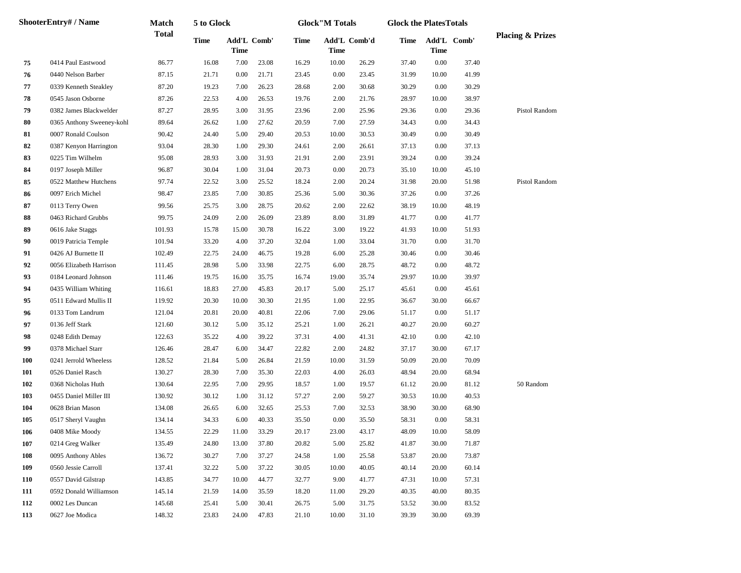|     | <b>ShooterEntry#/Name</b> | <b>Match</b> | 5 to Glock  |                            |       |       | <b>Glock</b> "M Totals |              | <b>Glock the PlatesTotals</b> |             |             |                             |
|-----|---------------------------|--------------|-------------|----------------------------|-------|-------|------------------------|--------------|-------------------------------|-------------|-------------|-----------------------------|
|     |                           | <b>Total</b> | <b>Time</b> | Add'L Comb'<br><b>Time</b> |       | Time  | <b>Time</b>            | Add'L Comb'd | Time                          | <b>Time</b> | Add'L Comb' | <b>Placing &amp; Prizes</b> |
| 75  | 0414 Paul Eastwood        | 86.77        | 16.08       | 7.00                       | 23.08 | 16.29 | 10.00                  | 26.29        | 37.40                         | 0.00        | 37.40       |                             |
| 76  | 0440 Nelson Barber        | 87.15        | 21.71       | 0.00                       | 21.71 | 23.45 | 0.00                   | 23.45        | 31.99                         | 10.00       | 41.99       |                             |
| 77  | 0339 Kenneth Steakley     | 87.20        | 19.23       | 7.00                       | 26.23 | 28.68 | 2.00                   | 30.68        | 30.29                         | 0.00        | 30.29       |                             |
| 78  | 0545 Jason Osborne        | 87.26        | 22.53       | 4.00                       | 26.53 | 19.76 | 2.00                   | 21.76        | 28.97                         | 10.00       | 38.97       |                             |
| 79  | 0382 James Blackwelder    | 87.27        | 28.95       | 3.00                       | 31.95 | 23.96 | 2.00                   | 25.96        | 29.36                         | 0.00        | 29.36       | Pistol Random               |
| 80  | 0365 Anthony Sweeney-kohl | 89.64        | 26.62       | 1.00                       | 27.62 | 20.59 | 7.00                   | 27.59        | 34.43                         | 0.00        | 34.43       |                             |
| 81  | 0007 Ronald Coulson       | 90.42        | 24.40       | 5.00                       | 29.40 | 20.53 | 10.00                  | 30.53        | 30.49                         | 0.00        | 30.49       |                             |
| 82  | 0387 Kenyon Harrington    | 93.04        | 28.30       | 1.00                       | 29.30 | 24.61 | 2.00                   | 26.61        | 37.13                         | 0.00        | 37.13       |                             |
| 83  | 0225 Tim Wilhelm          | 95.08        | 28.93       | 3.00                       | 31.93 | 21.91 | 2.00                   | 23.91        | 39.24                         | 0.00        | 39.24       |                             |
| 84  | 0197 Joseph Miller        | 96.87        | 30.04       | 1.00                       | 31.04 | 20.73 | 0.00                   | 20.73        | 35.10                         | 10.00       | 45.10       |                             |
| 85  | 0522 Matthew Hutchens     | 97.74        | 22.52       | 3.00                       | 25.52 | 18.24 | 2.00                   | 20.24        | 31.98                         | 20.00       | 51.98       | Pistol Random               |
| 86  | 0097 Erich Michel         | 98.47        | 23.85       | 7.00                       | 30.85 | 25.36 | 5.00                   | 30.36        | 37.26                         | 0.00        | 37.26       |                             |
| 87  | 0113 Terry Owen           | 99.56        | 25.75       | 3.00                       | 28.75 | 20.62 | 2.00                   | 22.62        | 38.19                         | 10.00       | 48.19       |                             |
| 88  | 0463 Richard Grubbs       | 99.75        | 24.09       | 2.00                       | 26.09 | 23.89 | 8.00                   | 31.89        | 41.77                         | 0.00        | 41.77       |                             |
| 89  | 0616 Jake Staggs          | 101.93       | 15.78       | 15.00                      | 30.78 | 16.22 | 3.00                   | 19.22        | 41.93                         | 10.00       | 51.93       |                             |
| 90  | 0019 Patricia Temple      | 101.94       | 33.20       | 4.00                       | 37.20 | 32.04 | 1.00                   | 33.04        | 31.70                         | 0.00        | 31.70       |                             |
| 91  | 0426 AJ Burnette II       | 102.49       | 22.75       | 24.00                      | 46.75 | 19.28 | 6.00                   | 25.28        | 30.46                         | 0.00        | 30.46       |                             |
| 92  | 0056 Elizabeth Harrison   | 111.45       | 28.98       | 5.00                       | 33.98 | 22.75 | 6.00                   | 28.75        | 48.72                         | 0.00        | 48.72       |                             |
| 93  | 0184 Leonard Johnson      | 111.46       | 19.75       | 16.00                      | 35.75 | 16.74 | 19.00                  | 35.74        | 29.97                         | 10.00       | 39.97       |                             |
| 94  | 0435 William Whiting      | 116.61       | 18.83       | 27.00                      | 45.83 | 20.17 | 5.00                   | 25.17        | 45.61                         | 0.00        | 45.61       |                             |
| 95  | 0511 Edward Mullis II     | 119.92       | 20.30       | 10.00                      | 30.30 | 21.95 | 1.00                   | 22.95        | 36.67                         | 30.00       | 66.67       |                             |
| 96  | 0133 Tom Landrum          | 121.04       | 20.81       | 20.00                      | 40.81 | 22.06 | 7.00                   | 29.06        | 51.17                         | 0.00        | 51.17       |                             |
| 97  | 0136 Jeff Stark           | 121.60       | 30.12       | 5.00                       | 35.12 | 25.21 | 1.00                   | 26.21        | 40.27                         | 20.00       | 60.27       |                             |
| 98  | 0248 Edith Demay          | 122.63       | 35.22       | 4.00                       | 39.22 | 37.31 | 4.00                   | 41.31        | 42.10                         | 0.00        | 42.10       |                             |
| 99  | 0378 Michael Starr        | 126.46       | 28.47       | 6.00                       | 34.47 | 22.82 | 2.00                   | 24.82        | 37.17                         | 30.00       | 67.17       |                             |
| 100 | 0241 Jerrold Wheeless     | 128.52       | 21.84       | 5.00                       | 26.84 | 21.59 | 10.00                  | 31.59        | 50.09                         | 20.00       | 70.09       |                             |
| 101 | 0526 Daniel Rasch         | 130.27       | 28.30       | 7.00                       | 35.30 | 22.03 | 4.00                   | 26.03        | 48.94                         | 20.00       | 68.94       |                             |
| 102 | 0368 Nicholas Huth        | 130.64       | 22.95       | 7.00                       | 29.95 | 18.57 | 1.00                   | 19.57        | 61.12                         | 20.00       | 81.12       | 50 Random                   |
| 103 | 0455 Daniel Miller III    | 130.92       | 30.12       | 1.00                       | 31.12 | 57.27 | 2.00                   | 59.27        | 30.53                         | 10.00       | 40.53       |                             |
| 104 | 0628 Brian Mason          | 134.08       | 26.65       | 6.00                       | 32.65 | 25.53 | 7.00                   | 32.53        | 38.90                         | 30.00       | 68.90       |                             |
| 105 | 0517 Sheryl Vaughn        | 134.14       | 34.33       | 6.00                       | 40.33 | 35.50 | 0.00                   | 35.50        | 58.31                         | 0.00        | 58.31       |                             |
| 106 | 0408 Mike Moody           | 134.55       | 22.29       | 11.00                      | 33.29 | 20.17 | 23.00                  | 43.17        | 48.09                         | 10.00       | 58.09       |                             |
| 107 | 0214 Greg Walker          | 135.49       | 24.80       | 13.00                      | 37.80 | 20.82 | 5.00                   | 25.82        | 41.87                         | 30.00       | 71.87       |                             |
| 108 | 0095 Anthony Ables        | 136.72       | 30.27       | 7.00                       | 37.27 | 24.58 | 1.00                   | 25.58        | 53.87                         | 20.00       | 73.87       |                             |
| 109 | 0560 Jessie Carroll       | 137.41       | 32.22       | 5.00                       | 37.22 | 30.05 | 10.00                  | 40.05        | 40.14                         | 20.00       | 60.14       |                             |
| 110 | 0557 David Gilstrap       | 143.85       | 34.77       | 10.00                      | 44.77 | 32.77 | 9.00                   | 41.77        | 47.31                         | 10.00       | 57.31       |                             |
| 111 | 0592 Donald Williamson    | 145.14       | 21.59       | 14.00                      | 35.59 | 18.20 | 11.00                  | 29.20        | 40.35                         | 40.00       | 80.35       |                             |
| 112 | 0002 Les Duncan           | 145.68       | 25.41       | 5.00                       | 30.41 | 26.75 | 5.00                   | 31.75        | 53.52                         | 30.00       | 83.52       |                             |
| 113 | 0627 Joe Modica           | 148.32       | 23.83       | 24.00                      | 47.83 | 21.10 | 10.00                  | 31.10        | 39.39                         | 30.00       | 69.39       |                             |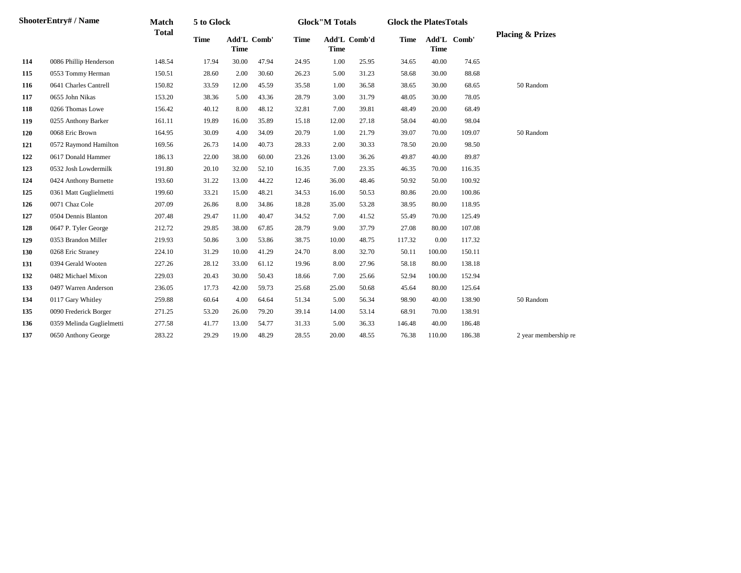|     | <b>ShooterEntry#/Name</b> | Match        | 5 to Glock  |                            |       |             | <b>Glock</b> "M Totals      |       | <b>Glock the PlatesTotals</b> |             |             |                             |
|-----|---------------------------|--------------|-------------|----------------------------|-------|-------------|-----------------------------|-------|-------------------------------|-------------|-------------|-----------------------------|
|     |                           | <b>Total</b> | <b>Time</b> | Add'L Comb'<br><b>Time</b> |       | <b>Time</b> | Add'L Comb'd<br><b>Time</b> |       | <b>Time</b>                   | <b>Time</b> | Add'L Comb' | <b>Placing &amp; Prizes</b> |
| 114 | 0086 Phillip Henderson    | 148.54       | 17.94       | 30.00                      | 47.94 | 24.95       | 1.00                        | 25.95 | 34.65                         | 40.00       | 74.65       |                             |
| 115 | 0553 Tommy Herman         | 150.51       | 28.60       | 2.00                       | 30.60 | 26.23       | 5.00                        | 31.23 | 58.68                         | 30.00       | 88.68       |                             |
| 116 | 0641 Charles Cantrell     | 150.82       | 33.59       | 12.00                      | 45.59 | 35.58       | 1.00                        | 36.58 | 38.65                         | 30.00       | 68.65       | 50 Random                   |
| 117 | 0655 John Nikas           | 153.20       | 38.36       | 5.00                       | 43.36 | 28.79       | 3.00                        | 31.79 | 48.05                         | 30.00       | 78.05       |                             |
| 118 | 0266 Thomas Lowe          | 156.42       | 40.12       | 8.00                       | 48.12 | 32.81       | 7.00                        | 39.81 | 48.49                         | 20.00       | 68.49       |                             |
| 119 | 0255 Anthony Barker       | 161.11       | 19.89       | 16.00                      | 35.89 | 15.18       | 12.00                       | 27.18 | 58.04                         | 40.00       | 98.04       |                             |
| 120 | 0068 Eric Brown           | 164.95       | 30.09       | 4.00                       | 34.09 | 20.79       | 1.00                        | 21.79 | 39.07                         | 70.00       | 109.07      | 50 Random                   |
| 121 | 0572 Raymond Hamilton     | 169.56       | 26.73       | 14.00                      | 40.73 | 28.33       | 2.00                        | 30.33 | 78.50                         | 20.00       | 98.50       |                             |
| 122 | 0617 Donald Hammer        | 186.13       | 22.00       | 38.00                      | 60.00 | 23.26       | 13.00                       | 36.26 | 49.87                         | 40.00       | 89.87       |                             |
| 123 | 0532 Josh Lowdermilk      | 191.80       | 20.10       | 32.00                      | 52.10 | 16.35       | 7.00                        | 23.35 | 46.35                         | 70.00       | 116.35      |                             |
| 124 | 0424 Anthony Burnette     | 193.60       | 31.22       | 13.00                      | 44.22 | 12.46       | 36.00                       | 48.46 | 50.92                         | 50.00       | 100.92      |                             |
| 125 | 0361 Matt Guglielmetti    | 199.60       | 33.21       | 15.00                      | 48.21 | 34.53       | 16.00                       | 50.53 | 80.86                         | 20.00       | 100.86      |                             |
| 126 | 0071 Chaz Cole            | 207.09       | 26.86       | 8.00                       | 34.86 | 18.28       | 35.00                       | 53.28 | 38.95                         | 80.00       | 118.95      |                             |
| 127 | 0504 Dennis Blanton       | 207.48       | 29.47       | 11.00                      | 40.47 | 34.52       | 7.00                        | 41.52 | 55.49                         | 70.00       | 125.49      |                             |
| 128 | 0647 P. Tyler George      | 212.72       | 29.85       | 38.00                      | 67.85 | 28.79       | 9.00                        | 37.79 | 27.08                         | 80.00       | 107.08      |                             |
| 129 | 0353 Brandon Miller       | 219.93       | 50.86       | 3.00                       | 53.86 | 38.75       | 10.00                       | 48.75 | 117.32                        | 0.00        | 117.32      |                             |
| 130 | 0268 Eric Straney         | 224.10       | 31.29       | 10.00                      | 41.29 | 24.70       | 8.00                        | 32.70 | 50.11                         | 100.00      | 150.11      |                             |
| 131 | 0394 Gerald Wooten        | 227.26       | 28.12       | 33.00                      | 61.12 | 19.96       | 8.00                        | 27.96 | 58.18                         | 80.00       | 138.18      |                             |
| 132 | 0482 Michael Mixon        | 229.03       | 20.43       | 30.00                      | 50.43 | 18.66       | 7.00                        | 25.66 | 52.94                         | 100.00      | 152.94      |                             |
| 133 | 0497 Warren Anderson      | 236.05       | 17.73       | 42.00                      | 59.73 | 25.68       | 25.00                       | 50.68 | 45.64                         | 80.00       | 125.64      |                             |
| 134 | 0117 Gary Whitley         | 259.88       | 60.64       | 4.00                       | 64.64 | 51.34       | 5.00                        | 56.34 | 98.90                         | 40.00       | 138.90      | 50 Random                   |
| 135 | 0090 Frederick Borger     | 271.25       | 53.20       | 26.00                      | 79.20 | 39.14       | 14.00                       | 53.14 | 68.91                         | 70.00       | 138.91      |                             |
| 136 | 0359 Melinda Guglielmetti | 277.58       | 41.77       | 13.00                      | 54.77 | 31.33       | 5.00                        | 36.33 | 146.48                        | 40.00       | 186.48      |                             |
| 137 | 0650 Anthony George       | 283.22       | 29.29       | 19.00                      | 48.29 | 28.55       | 20.00                       | 48.55 | 76.38                         | 110.00      | 186.38      | 2 year membership re        |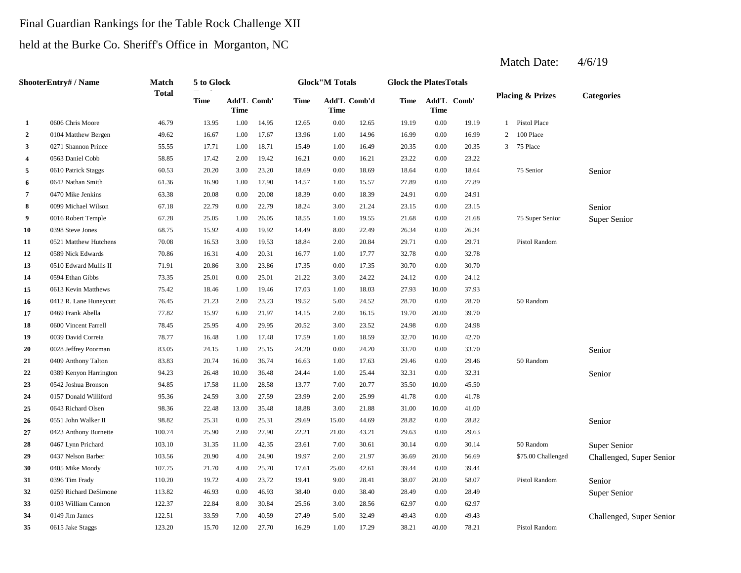## Final Guardian Rankings for the Table Rock Challenge XII

## held at the Burke Co. Sheriff's Office in Morganton, NC

|                         | ShooterEntry# / Name   | Match        | 5 to Glock  |                            |       |             | <b>Glock</b> "M Totals |              | <b>Glock the PlatesTotals</b> |             |             |                |                             |                          |
|-------------------------|------------------------|--------------|-------------|----------------------------|-------|-------------|------------------------|--------------|-------------------------------|-------------|-------------|----------------|-----------------------------|--------------------------|
|                         |                        | <b>Total</b> | <b>Time</b> | Add'L Comb'<br><b>Time</b> |       | <b>Time</b> | <b>Time</b>            | Add'L Comb'd | Time                          | <b>Time</b> | Add'L Comb' |                | <b>Placing &amp; Prizes</b> | <b>Categories</b>        |
| $\mathbf{1}$            | 0606 Chris Moore       | 46.79        | 13.95       | 1.00                       | 14.95 | 12.65       | 0.00                   | 12.65        | 19.19                         | $0.00\,$    | 19.19       |                | 1 Pistol Place              |                          |
| $\overline{2}$          | 0104 Matthew Bergen    | 49.62        | 16.67       | 1.00                       | 17.67 | 13.96       | 1.00                   | 14.96        | 16.99                         | 0.00        | 16.99       | $\overline{2}$ | 100 Place                   |                          |
| 3                       | 0271 Shannon Prince    | 55.55        | 17.71       | 1.00                       | 18.71 | 15.49       | 1.00                   | 16.49        | 20.35                         | 0.00        | 20.35       | 3              | 75 Place                    |                          |
| $\overline{\mathbf{4}}$ | 0563 Daniel Cobb       | 58.85        | 17.42       | 2.00                       | 19.42 | 16.21       | 0.00                   | 16.21        | 23.22                         | 0.00        | 23.22       |                |                             |                          |
| 5                       | 0610 Patrick Staggs    | 60.53        | 20.20       | 3.00                       | 23.20 | 18.69       | 0.00                   | 18.69        | 18.64                         | 0.00        | 18.64       |                | 75 Senior                   | Senior                   |
| 6                       | 0642 Nathan Smith      | 61.36        | 16.90       | 1.00                       | 17.90 | 14.57       | 1.00                   | 15.57        | 27.89                         | 0.00        | 27.89       |                |                             |                          |
| 7                       | 0470 Mike Jenkins      | 63.38        | 20.08       | 0.00                       | 20.08 | 18.39       | 0.00                   | 18.39        | 24.91                         | 0.00        | 24.91       |                |                             |                          |
| 8                       | 0099 Michael Wilson    | 67.18        | 22.79       | 0.00                       | 22.79 | 18.24       | 3.00                   | 21.24        | 23.15                         | 0.00        | 23.15       |                |                             | Senior                   |
| 9                       | 0016 Robert Temple     | 67.28        | 25.05       | 1.00                       | 26.05 | 18.55       | 1.00                   | 19.55        | 21.68                         | 0.00        | 21.68       |                | 75 Super Senior             | Super Senior             |
| 10                      | 0398 Steve Jones       | 68.75        | 15.92       | 4.00                       | 19.92 | 14.49       | 8.00                   | 22.49        | 26.34                         | 0.00        | 26.34       |                |                             |                          |
| 11                      | 0521 Matthew Hutchens  | 70.08        | 16.53       | 3.00                       | 19.53 | 18.84       | 2.00                   | 20.84        | 29.71                         | 0.00        | 29.71       |                | Pistol Random               |                          |
| 12                      | 0589 Nick Edwards      | 70.86        | 16.31       | 4.00                       | 20.31 | 16.77       | 1.00                   | 17.77        | 32.78                         | 0.00        | 32.78       |                |                             |                          |
| 13                      | 0510 Edward Mullis II  | 71.91        | 20.86       | 3.00                       | 23.86 | 17.35       | 0.00                   | 17.35        | 30.70                         | 0.00        | 30.70       |                |                             |                          |
| 14                      | 0594 Ethan Gibbs       | 73.35        | 25.01       | 0.00                       | 25.01 | 21.22       | 3.00                   | 24.22        | 24.12                         | 0.00        | 24.12       |                |                             |                          |
| 15                      | 0613 Kevin Matthews    | 75.42        | 18.46       | 1.00                       | 19.46 | 17.03       | 1.00                   | 18.03        | 27.93                         | 10.00       | 37.93       |                |                             |                          |
| 16                      | 0412 R. Lane Huneycutt | 76.45        | 21.23       | 2.00                       | 23.23 | 19.52       | 5.00                   | 24.52        | 28.70                         | 0.00        | 28.70       |                | 50 Random                   |                          |
| 17                      | 0469 Frank Abella      | 77.82        | 15.97       | 6.00                       | 21.97 | 14.15       | 2.00                   | 16.15        | 19.70                         | 20.00       | 39.70       |                |                             |                          |
| 18                      | 0600 Vincent Farrell   | 78.45        | 25.95       | 4.00                       | 29.95 | 20.52       | 3.00                   | 23.52        | 24.98                         | $0.00\,$    | 24.98       |                |                             |                          |
| 19                      | 0039 David Correia     | 78.77        | 16.48       | 1.00                       | 17.48 | 17.59       | 1.00                   | 18.59        | 32.70                         | 10.00       | 42.70       |                |                             |                          |
| 20                      | 0028 Jeffrey Poorman   | 83.05        | 24.15       | 1.00                       | 25.15 | 24.20       | 0.00                   | 24.20        | 33.70                         | 0.00        | 33.70       |                |                             | Senior                   |
| 21                      | 0409 Anthony Talton    | 83.83        | 20.74       | 16.00                      | 36.74 | 16.63       | 1.00                   | 17.63        | 29.46                         | 0.00        | 29.46       |                | 50 Random                   |                          |
| 22                      | 0389 Kenyon Harrington | 94.23        | 26.48       | 10.00                      | 36.48 | 24.44       | 1.00                   | 25.44        | 32.31                         | 0.00        | 32.31       |                |                             | Senior                   |
| 23                      | 0542 Joshua Bronson    | 94.85        | 17.58       | 11.00                      | 28.58 | 13.77       | 7.00                   | 20.77        | 35.50                         | 10.00       | 45.50       |                |                             |                          |
| 24                      | 0157 Donald Williford  | 95.36        | 24.59       | 3.00                       | 27.59 | 23.99       | 2.00                   | 25.99        | 41.78                         | 0.00        | 41.78       |                |                             |                          |
| 25                      | 0643 Richard Olsen     | 98.36        | 22.48       | 13.00                      | 35.48 | 18.88       | 3.00                   | 21.88        | 31.00                         | 10.00       | 41.00       |                |                             |                          |
| 26                      | 0551 John Walker II    | 98.82        | 25.31       | 0.00                       | 25.31 | 29.69       | 15.00                  | 44.69        | 28.82                         | 0.00        | 28.82       |                |                             | Senior                   |
| 27                      | 0423 Anthony Burnette  | 100.74       | 25.90       | 2.00                       | 27.90 | 22.21       | 21.00                  | 43.21        | 29.63                         | 0.00        | 29.63       |                |                             |                          |
| 28                      | 0467 Lynn Prichard     | 103.10       | 31.35       | 11.00                      | 42.35 | 23.61       | 7.00                   | 30.61        | 30.14                         | 0.00        | 30.14       |                | 50 Random                   | Super Senior             |
| 29                      | 0437 Nelson Barber     | 103.56       | 20.90       | 4.00                       | 24.90 | 19.97       | 2.00                   | 21.97        | 36.69                         | 20.00       | 56.69       |                | \$75.00 Challenged          | Challenged, Super Senior |
| 30                      | 0405 Mike Moody        | 107.75       | 21.70       | 4.00                       | 25.70 | 17.61       | 25.00                  | 42.61        | 39.44                         | 0.00        | 39.44       |                |                             |                          |
| 31                      | 0396 Tim Frady         | 110.20       | 19.72       | 4.00                       | 23.72 | 19.41       | 9.00                   | 28.41        | 38.07                         | 20.00       | 58.07       |                | Pistol Random               | Senior                   |
| 32                      | 0259 Richard DeSimone  | 113.82       | 46.93       | 0.00                       | 46.93 | 38.40       | 0.00                   | 38.40        | 28.49                         | 0.00        | 28.49       |                |                             | Super Senior             |
| 33                      | 0103 William Cannon    | 122.37       | 22.84       | 8.00                       | 30.84 | 25.56       | 3.00                   | 28.56        | 62.97                         | 0.00        | 62.97       |                |                             |                          |
| 34                      | 0149 Jim James         | 122.51       | 33.59       | 7.00                       | 40.59 | 27.49       | 5.00                   | 32.49        | 49.43                         | 0.00        | 49.43       |                |                             | Challenged, Super Senior |
| 35                      | 0615 Jake Staggs       | 123.20       | 15.70       | 12.00                      | 27.70 | 16.29       | 1.00                   | 17.29        | 38.21                         | 40.00       | 78.21       |                | Pistol Random               |                          |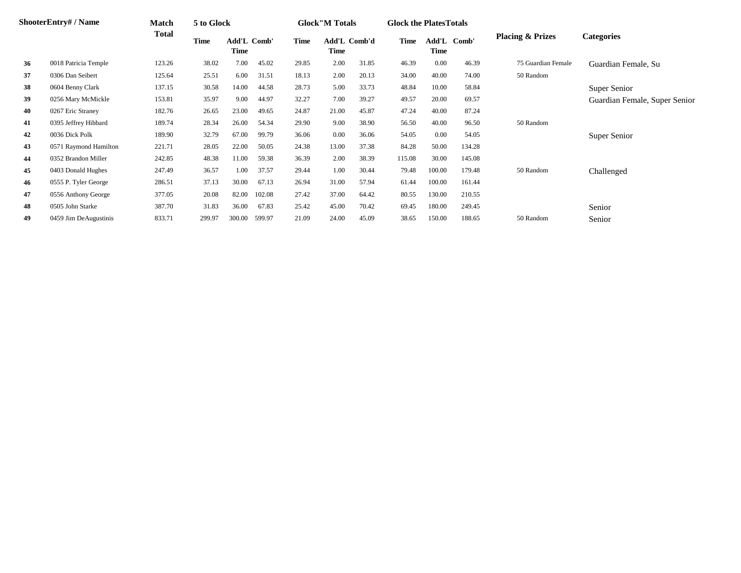|    | ShooterEntry# / Name  | Match        | 5 to Glock  |                            |        |             | <b>Glock</b> "M Totals |              | <b>Glock the Plates Totals</b> |        |             |                             |                               |
|----|-----------------------|--------------|-------------|----------------------------|--------|-------------|------------------------|--------------|--------------------------------|--------|-------------|-----------------------------|-------------------------------|
|    |                       | <b>Total</b> | <b>Time</b> | <b>Add'L Comb'</b><br>Time |        | <b>Time</b> | <b>Time</b>            | Add'L Comb'd | <b>Time</b>                    | Time   | Add'L Comb' | <b>Placing &amp; Prizes</b> | <b>Categories</b>             |
| 36 | 0018 Patricia Temple  | 123.26       | 38.02       | 7.00                       | 45.02  | 29.85       | 2.00                   | 31.85        | 46.39                          | 0.00   | 46.39       | 75 Guardian Female          | Guardian Female, Su           |
| 37 | 0306 Dan Seibert      | 125.64       | 25.51       | 6.00                       | 31.51  | 18.13       | 2.00                   | 20.13        | 34.00                          | 40.00  | 74.00       | 50 Random                   |                               |
| 38 | 0604 Benny Clark      | 137.15       | 30.58       | 14.00                      | 44.58  | 28.73       | 5.00                   | 33.73        | 48.84                          | 10.00  | 58.84       |                             | Super Senior                  |
| 39 | 0256 Mary McMickle    | 153.81       | 35.97       | 9.00                       | 44.97  | 32.27       | 7.00                   | 39.27        | 49.57                          | 20.00  | 69.57       |                             | Guardian Female, Super Senior |
| 40 | 0267 Eric Straney     | 182.76       | 26.65       | 23.00                      | 49.65  | 24.87       | 21.00                  | 45.87        | 47.24                          | 40.00  | 87.24       |                             |                               |
| 41 | 0395 Jeffrey Hibbard  | 189.74       | 28.34       | 26.00                      | 54.34  | 29.90       | 9.00                   | 38.90        | 56.50                          | 40.00  | 96.50       | 50 Random                   |                               |
| 42 | 0036 Dick Polk        | 189.90       | 32.79       | 67.00                      | 99.79  | 36.06       | 0.00                   | 36.06        | 54.05                          | 0.00   | 54.05       |                             | Super Senior                  |
| 43 | 0571 Raymond Hamilton | 221.71       | 28.05       | 22.00                      | 50.05  | 24.38       | 13.00                  | 37.38        | 84.28                          | 50.00  | 134.28      |                             |                               |
| 44 | 0352 Brandon Miller   | 242.85       | 48.38       | 11.00                      | 59.38  | 36.39       | 2.00                   | 38.39        | 115.08                         | 30.00  | 145.08      |                             |                               |
| 45 | 0403 Donald Hughes    | 247.49       | 36.57       | 1.00                       | 37.57  | 29.44       | 1.00                   | 30.44        | 79.48                          | 100.00 | 179.48      | 50 Random                   | Challenged                    |
| 46 | 0555 P. Tyler George  | 286.51       | 37.13       | 30.00                      | 67.13  | 26.94       | 31.00                  | 57.94        | 61.44                          | 100.00 | 161.44      |                             |                               |
| 47 | 0556 Anthony George   | 377.05       | 20.08       | 82.00                      | 102.08 | 27.42       | 37.00                  | 64.42        | 80.55                          | 130.00 | 210.55      |                             |                               |
| 48 | 0505 John Starke      | 387.70       | 31.83       | 36.00                      | 67.83  | 25.42       | 45.00                  | 70.42        | 69.45                          | 180.00 | 249.45      |                             | Senior                        |
| 49 | 0459 Jim DeAugustinis | 833.71       | 299.97      | 300.00                     | 599.97 | 21.09       | 24.00                  | 45.09        | 38.65                          | 150.00 | 188.65      | 50 Random                   | Senior                        |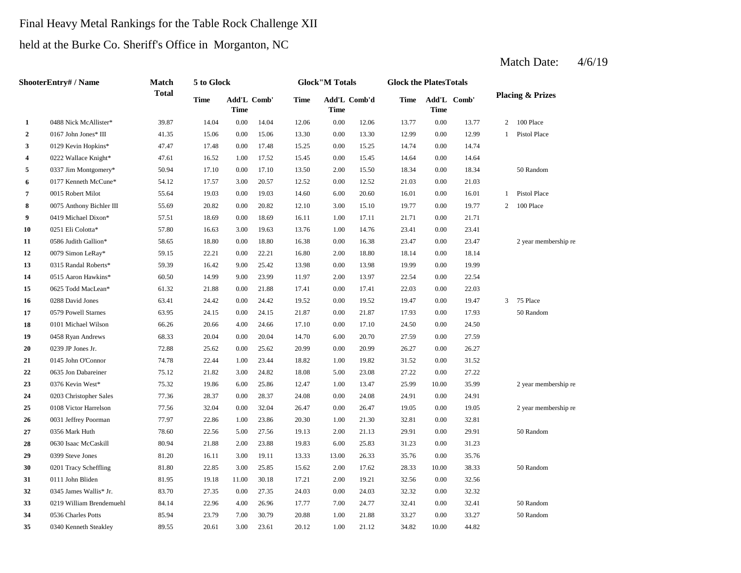#### Final Heavy Metal Rankings for the Table Rock Challenge XII

#### held at the Burke Co. Sheriff's Office in Morganton, NC

|    | <b>ShooterEntry#/Name</b> | Match        | 5 to Glock  |                            |       |       | <b>Glock</b> "M Totals      |       | <b>Glock the PlatesTotals</b> |                            |       |                |                             |
|----|---------------------------|--------------|-------------|----------------------------|-------|-------|-----------------------------|-------|-------------------------------|----------------------------|-------|----------------|-----------------------------|
|    |                           | <b>Total</b> | <b>Time</b> | Add'L Comb'<br><b>Time</b> |       | Time  | Add'L Comb'd<br><b>Time</b> |       | Time                          | Add'L Comb'<br><b>Time</b> |       |                | <b>Placing &amp; Prizes</b> |
| 1  | 0488 Nick McAllister*     | 39.87        | 14.04       | 0.00                       | 14.04 | 12.06 | 0.00                        | 12.06 | 13.77                         | 0.00                       | 13.77 | $\overline{2}$ | 100 Place                   |
| 2  | 0167 John Jones* III      | 41.35        | 15.06       | 0.00                       | 15.06 | 13.30 | 0.00                        | 13.30 | 12.99                         | 0.00                       | 12.99 | $\mathbf{1}$   | Pistol Place                |
| 3  | 0129 Kevin Hopkins*       | 47.47        | 17.48       | 0.00                       | 17.48 | 15.25 | 0.00                        | 15.25 | 14.74                         | 0.00                       | 14.74 |                |                             |
| 4  | 0222 Wallace Knight*      | 47.61        | 16.52       | 1.00                       | 17.52 | 15.45 | 0.00                        | 15.45 | 14.64                         | 0.00                       | 14.64 |                |                             |
| 5  | 0337 Jim Montgomery*      | 50.94        | 17.10       | 0.00                       | 17.10 | 13.50 | 2.00                        | 15.50 | 18.34                         | 0.00                       | 18.34 |                | 50 Random                   |
| 6  | 0177 Kenneth McCune*      | 54.12        | 17.57       | 3.00                       | 20.57 | 12.52 | 0.00                        | 12.52 | 21.03                         | 0.00                       | 21.03 |                |                             |
| 7  | 0015 Robert Milot         | 55.64        | 19.03       | 0.00                       | 19.03 | 14.60 | 6.00                        | 20.60 | 16.01                         | 0.00                       | 16.01 | $\mathbf{1}$   | <b>Pistol Place</b>         |
| 8  | 0075 Anthony Bichler III  | 55.69        | 20.82       | 0.00                       | 20.82 | 12.10 | 3.00                        | 15.10 | 19.77                         | 0.00                       | 19.77 | $\overline{2}$ | 100 Place                   |
| 9  | 0419 Michael Dixon*       | 57.51        | 18.69       | 0.00                       | 18.69 | 16.11 | 1.00                        | 17.11 | 21.71                         | 0.00                       | 21.71 |                |                             |
| 10 | 0251 Eli Colotta*         | 57.80        | 16.63       | 3.00                       | 19.63 | 13.76 | 1.00                        | 14.76 | 23.41                         | 0.00                       | 23.41 |                |                             |
| 11 | 0586 Judith Gallion*      | 58.65        | 18.80       | 0.00                       | 18.80 | 16.38 | 0.00                        | 16.38 | 23.47                         | 0.00                       | 23.47 |                | 2 year membership re        |
| 12 | 0079 Simon LeRay*         | 59.15        | 22.21       | 0.00                       | 22.21 | 16.80 | 2.00                        | 18.80 | 18.14                         | 0.00                       | 18.14 |                |                             |
| 13 | 0315 Randal Roberts*      | 59.39        | 16.42       | 9.00                       | 25.42 | 13.98 | 0.00                        | 13.98 | 19.99                         | 0.00                       | 19.99 |                |                             |
| 14 | 0515 Aaron Hawkins*       | 60.50        | 14.99       | 9.00                       | 23.99 | 11.97 | 2.00                        | 13.97 | 22.54                         | 0.00                       | 22.54 |                |                             |
| 15 | 0625 Todd MacLean*        | 61.32        | 21.88       | 0.00                       | 21.88 | 17.41 | 0.00                        | 17.41 | 22.03                         | 0.00                       | 22.03 |                |                             |
| 16 | 0288 David Jones          | 63.41        | 24.42       | 0.00                       | 24.42 | 19.52 | 0.00                        | 19.52 | 19.47                         | 0.00                       | 19.47 | 3              | 75 Place                    |
| 17 | 0579 Powell Starnes       | 63.95        | 24.15       | $0.00\,$                   | 24.15 | 21.87 | 0.00                        | 21.87 | 17.93                         | 0.00                       | 17.93 |                | 50 Random                   |
| 18 | 0101 Michael Wilson       | 66.26        | 20.66       | 4.00                       | 24.66 | 17.10 | 0.00                        | 17.10 | 24.50                         | 0.00                       | 24.50 |                |                             |
| 19 | 0458 Ryan Andrews         | 68.33        | 20.04       | $0.00\,$                   | 20.04 | 14.70 | 6.00                        | 20.70 | 27.59                         | 0.00                       | 27.59 |                |                             |
| 20 | 0239 JP Jones Jr.         | 72.88        | 25.62       | 0.00                       | 25.62 | 20.99 | 0.00                        | 20.99 | 26.27                         | 0.00                       | 26.27 |                |                             |
| 21 | 0145 John O'Connor        | 74.78        | 22.44       | 1.00                       | 23.44 | 18.82 | 1.00                        | 19.82 | 31.52                         | 0.00                       | 31.52 |                |                             |
| 22 | 0635 Jon Dabareiner       | 75.12        | 21.82       | 3.00                       | 24.82 | 18.08 | 5.00                        | 23.08 | 27.22                         | 0.00                       | 27.22 |                |                             |
| 23 | 0376 Kevin West*          | 75.32        | 19.86       | 6.00                       | 25.86 | 12.47 | 1.00                        | 13.47 | 25.99                         | 10.00                      | 35.99 |                | 2 year membership re        |
| 24 | 0203 Christopher Sales    | 77.36        | 28.37       | 0.00                       | 28.37 | 24.08 | 0.00                        | 24.08 | 24.91                         | 0.00                       | 24.91 |                |                             |
| 25 | 0108 Victor Harrelson     | 77.56        | 32.04       | $0.00\,$                   | 32.04 | 26.47 | 0.00                        | 26.47 | 19.05                         | 0.00                       | 19.05 |                | 2 year membership re        |
| 26 | 0031 Jeffrey Poorman      | 77.97        | 22.86       | 1.00                       | 23.86 | 20.30 | 1.00                        | 21.30 | 32.81                         | 0.00                       | 32.81 |                |                             |
| 27 | 0356 Mark Huth            | 78.60        | 22.56       | 5.00                       | 27.56 | 19.13 | 2.00                        | 21.13 | 29.91                         | 0.00                       | 29.91 |                | 50 Random                   |
| 28 | 0630 Isaac McCaskill      | 80.94        | 21.88       | 2.00                       | 23.88 | 19.83 | 6.00                        | 25.83 | 31.23                         | 0.00                       | 31.23 |                |                             |
| 29 | 0399 Steve Jones          | 81.20        | 16.11       | 3.00                       | 19.11 | 13.33 | 13.00                       | 26.33 | 35.76                         | 0.00                       | 35.76 |                |                             |
| 30 | 0201 Tracy Scheffling     | 81.80        | 22.85       | 3.00                       | 25.85 | 15.62 | 2.00                        | 17.62 | 28.33                         | 10.00                      | 38.33 |                | 50 Random                   |
| 31 | 0111 John Bliden          | 81.95        | 19.18       | 11.00                      | 30.18 | 17.21 | 2.00                        | 19.21 | 32.56                         | 0.00                       | 32.56 |                |                             |
| 32 | 0345 James Wallis* Jr.    | 83.70        | 27.35       | 0.00                       | 27.35 | 24.03 | 0.00                        | 24.03 | 32.32                         | 0.00                       | 32.32 |                |                             |
| 33 | 0219 William Brendemuehl  | 84.14        | 22.96       | 4.00                       | 26.96 | 17.77 | 7.00                        | 24.77 | 32.41                         | 0.00                       | 32.41 |                | 50 Random                   |
| 34 | 0536 Charles Potts        | 85.94        | 23.79       | 7.00                       | 30.79 | 20.88 | 1.00                        | 21.88 | 33.27                         | 0.00                       | 33.27 |                | 50 Random                   |
| 35 | 0340 Kenneth Steakley     | 89.55        | 20.61       | 3.00                       | 23.61 | 20.12 | 1.00                        | 21.12 | 34.82                         | 10.00                      | 44.82 |                |                             |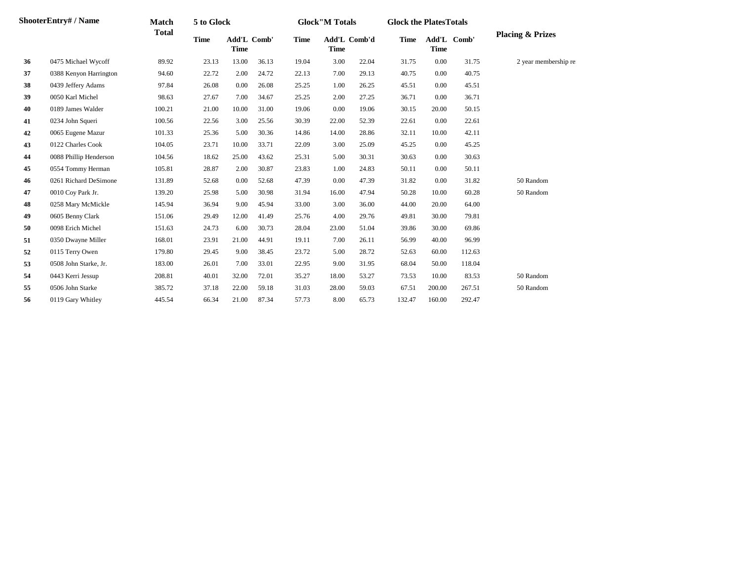|    | ShooterEntry# / Name   | <b>Match</b> | 5 to Glock  |                            |       |             | <b>Glock</b> "M Totals      |       | <b>Glock the PlatesTotals</b> |             |             |                             |
|----|------------------------|--------------|-------------|----------------------------|-------|-------------|-----------------------------|-------|-------------------------------|-------------|-------------|-----------------------------|
|    |                        | <b>Total</b> | <b>Time</b> | Add'L Comb'<br><b>Time</b> |       | <b>Time</b> | Add'L Comb'd<br><b>Time</b> |       | <b>Time</b>                   | <b>Time</b> | Add'L Comb' | <b>Placing &amp; Prizes</b> |
| 36 | 0475 Michael Wycoff    | 89.92        | 23.13       | 13.00                      | 36.13 | 19.04       | 3.00                        | 22.04 | 31.75                         | $0.00\,$    | 31.75       | 2 year membership re        |
| 37 | 0388 Kenyon Harrington | 94.60        | 22.72       | 2.00                       | 24.72 | 22.13       | 7.00                        | 29.13 | 40.75                         | $0.00\,$    | 40.75       |                             |
| 38 | 0439 Jeffery Adams     | 97.84        | 26.08       | 0.00                       | 26.08 | 25.25       | 1.00                        | 26.25 | 45.51                         | 0.00        | 45.51       |                             |
| 39 | 0050 Karl Michel       | 98.63        | 27.67       | 7.00                       | 34.67 | 25.25       | 2.00                        | 27.25 | 36.71                         | 0.00        | 36.71       |                             |
| 40 | 0189 James Walder      | 100.21       | 21.00       | 10.00                      | 31.00 | 19.06       | 0.00                        | 19.06 | 30.15                         | 20.00       | 50.15       |                             |
| 41 | 0234 John Squeri       | 100.56       | 22.56       | 3.00                       | 25.56 | 30.39       | 22.00                       | 52.39 | 22.61                         | 0.00        | 22.61       |                             |
| 42 | 0065 Eugene Mazur      | 101.33       | 25.36       | 5.00                       | 30.36 | 14.86       | 14.00                       | 28.86 | 32.11                         | 10.00       | 42.11       |                             |
| 43 | 0122 Charles Cook      | 104.05       | 23.71       | 10.00                      | 33.71 | 22.09       | 3.00                        | 25.09 | 45.25                         | 0.00        | 45.25       |                             |
| 44 | 0088 Phillip Henderson | 104.56       | 18.62       | 25.00                      | 43.62 | 25.31       | 5.00                        | 30.31 | 30.63                         | 0.00        | 30.63       |                             |
| 45 | 0554 Tommy Herman      | 105.81       | 28.87       | 2.00                       | 30.87 | 23.83       | 1.00                        | 24.83 | 50.11                         | 0.00        | 50.11       |                             |
| 46 | 0261 Richard DeSimone  | 131.89       | 52.68       | 0.00                       | 52.68 | 47.39       | 0.00                        | 47.39 | 31.82                         | $0.00\,$    | 31.82       | 50 Random                   |
| 47 | 0010 Coy Park Jr.      | 139.20       | 25.98       | 5.00                       | 30.98 | 31.94       | 16.00                       | 47.94 | 50.28                         | 10.00       | 60.28       | 50 Random                   |
| 48 | 0258 Mary McMickle     | 145.94       | 36.94       | 9.00                       | 45.94 | 33.00       | 3.00                        | 36.00 | 44.00                         | 20.00       | 64.00       |                             |
| 49 | 0605 Benny Clark       | 151.06       | 29.49       | 12.00                      | 41.49 | 25.76       | 4.00                        | 29.76 | 49.81                         | 30.00       | 79.81       |                             |
| 50 | 0098 Erich Michel      | 151.63       | 24.73       | 6.00                       | 30.73 | 28.04       | 23.00                       | 51.04 | 39.86                         | 30.00       | 69.86       |                             |
| 51 | 0350 Dwayne Miller     | 168.01       | 23.91       | 21.00                      | 44.91 | 19.11       | 7.00                        | 26.11 | 56.99                         | 40.00       | 96.99       |                             |
| 52 | 0115 Terry Owen        | 179.80       | 29.45       | 9.00                       | 38.45 | 23.72       | 5.00                        | 28.72 | 52.63                         | 60.00       | 112.63      |                             |
| 53 | 0508 John Starke, Jr.  | 183.00       | 26.01       | 7.00                       | 33.01 | 22.95       | 9.00                        | 31.95 | 68.04                         | 50.00       | 118.04      |                             |
| 54 | 0443 Kerri Jessup      | 208.81       | 40.01       | 32.00                      | 72.01 | 35.27       | 18.00                       | 53.27 | 73.53                         | 10.00       | 83.53       | 50 Random                   |
| 55 | 0506 John Starke       | 385.72       | 37.18       | 22.00                      | 59.18 | 31.03       | 28.00                       | 59.03 | 67.51                         | 200.00      | 267.51      | 50 Random                   |
| 56 | 0119 Gary Whitley      | 445.54       | 66.34       | 21.00                      | 87.34 | 57.73       | 8.00                        | 65.73 | 132.47                        | 160.00      | 292.47      |                             |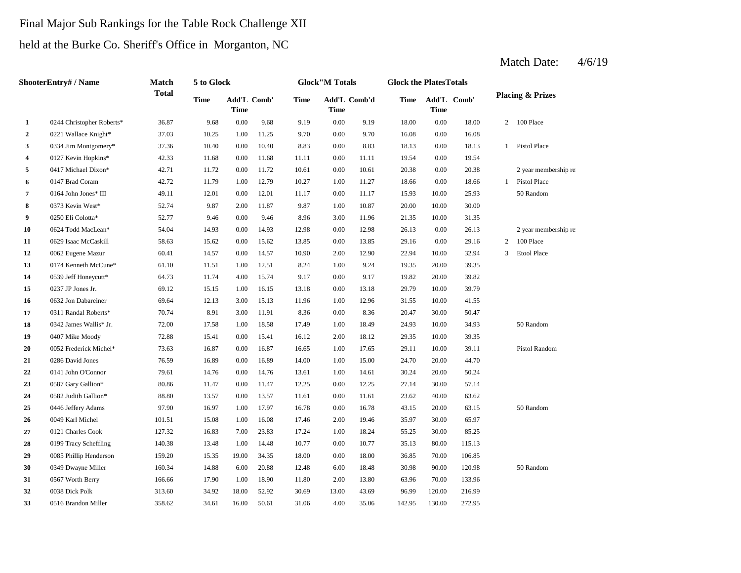#### Final Major Sub Rankings for the Table Rock Challenge XII

## held at the Burke Co. Sheriff's Office in Morganton, NC

|                  | ShooterEntry# / Name      | <b>Match</b> | 5 to Glock  |                            |       |             | <b>Glock</b> "M Totals |              | <b>Glock the PlatesTotals</b> |             |             |                |                             |
|------------------|---------------------------|--------------|-------------|----------------------------|-------|-------------|------------------------|--------------|-------------------------------|-------------|-------------|----------------|-----------------------------|
|                  |                           | <b>Total</b> | <b>Time</b> | Add'L Comb'<br><b>Time</b> |       | <b>Time</b> | <b>Time</b>            | Add'L Comb'd | Time                          | <b>Time</b> | Add'L Comb' |                | <b>Placing &amp; Prizes</b> |
| 1                | 0244 Christopher Roberts* | 36.87        | 9.68        | 0.00                       | 9.68  | 9.19        | 0.00                   | 9.19         | 18.00                         | 0.00        | 18.00       | $\overline{2}$ | 100 Place                   |
| $\boldsymbol{2}$ | 0221 Wallace Knight*      | 37.03        | 10.25       | 1.00                       | 11.25 | 9.70        | 0.00                   | 9.70         | 16.08                         | 0.00        | 16.08       |                |                             |
| 3                | 0334 Jim Montgomery*      | 37.36        | 10.40       | 0.00                       | 10.40 | 8.83        | 0.00                   | 8.83         | 18.13                         | 0.00        | 18.13       | $\mathbf{1}$   | Pistol Place                |
| 4                | 0127 Kevin Hopkins*       | 42.33        | 11.68       | 0.00                       | 11.68 | 11.11       | 0.00                   | 11.11        | 19.54                         | 0.00        | 19.54       |                |                             |
| 5                | 0417 Michael Dixon*       | 42.71        | 11.72       | $0.00\,$                   | 11.72 | 10.61       | 0.00                   | 10.61        | 20.38                         | 0.00        | 20.38       |                | 2 year membership re        |
| 6                | 0147 Brad Coram           | 42.72        | 11.79       | 1.00                       | 12.79 | 10.27       | 1.00                   | 11.27        | 18.66                         | 0.00        | 18.66       | $\mathbf{1}$   | Pistol Place                |
| 7                | 0164 John Jones* III      | 49.11        | 12.01       | 0.00                       | 12.01 | 11.17       | 0.00                   | 11.17        | 15.93                         | 10.00       | 25.93       |                | 50 Random                   |
| 8                | 0373 Kevin West*          | 52.74        | 9.87        | 2.00                       | 11.87 | 9.87        | 1.00                   | 10.87        | 20.00                         | 10.00       | 30.00       |                |                             |
| 9                | 0250 Eli Colotta*         | 52.77        | 9.46        | 0.00                       | 9.46  | 8.96        | 3.00                   | 11.96        | 21.35                         | 10.00       | 31.35       |                |                             |
| 10               | 0624 Todd MacLean*        | 54.04        | 14.93       | 0.00                       | 14.93 | 12.98       | 0.00                   | 12.98        | 26.13                         | 0.00        | 26.13       |                | 2 year membership re        |
| 11               | 0629 Isaac McCaskill      | 58.63        | 15.62       | $0.00\,$                   | 15.62 | 13.85       | 0.00                   | 13.85        | 29.16                         | 0.00        | 29.16       | 2              | 100 Place                   |
| 12               | 0062 Eugene Mazur         | 60.41        | 14.57       | 0.00                       | 14.57 | 10.90       | 2.00                   | 12.90        | 22.94                         | 10.00       | 32.94       | 3              | Etool Place                 |
| 13               | 0174 Kenneth McCune*      | 61.10        | 11.51       | 1.00                       | 12.51 | 8.24        | 1.00                   | 9.24         | 19.35                         | 20.00       | 39.35       |                |                             |
| 14               | 0539 Jeff Honeycutt*      | 64.73        | 11.74       | 4.00                       | 15.74 | 9.17        | 0.00                   | 9.17         | 19.82                         | 20.00       | 39.82       |                |                             |
| 15               | 0237 JP Jones Jr.         | 69.12        | 15.15       | 1.00                       | 16.15 | 13.18       | 0.00                   | 13.18        | 29.79                         | 10.00       | 39.79       |                |                             |
| 16               | 0632 Jon Dabareiner       | 69.64        | 12.13       | 3.00                       | 15.13 | 11.96       | 1.00                   | 12.96        | 31.55                         | 10.00       | 41.55       |                |                             |
| 17               | 0311 Randal Roberts*      | 70.74        | 8.91        | 3.00                       | 11.91 | 8.36        | 0.00                   | 8.36         | 20.47                         | 30.00       | 50.47       |                |                             |
| 18               | 0342 James Wallis* Jr.    | 72.00        | 17.58       | 1.00                       | 18.58 | 17.49       | 1.00                   | 18.49        | 24.93                         | 10.00       | 34.93       |                | 50 Random                   |
| 19               | 0407 Mike Moody           | 72.88        | 15.41       | 0.00                       | 15.41 | 16.12       | 2.00                   | 18.12        | 29.35                         | 10.00       | 39.35       |                |                             |
| 20               | 0052 Frederick Michel*    | 73.63        | 16.87       | 0.00                       | 16.87 | 16.65       | 1.00                   | 17.65        | 29.11                         | 10.00       | 39.11       |                | Pistol Random               |
| 21               | 0286 David Jones          | 76.59        | 16.89       | 0.00                       | 16.89 | 14.00       | 1.00                   | 15.00        | 24.70                         | 20.00       | 44.70       |                |                             |
| 22               | 0141 John O'Connor        | 79.61        | 14.76       | 0.00                       | 14.76 | 13.61       | 1.00                   | 14.61        | 30.24                         | 20.00       | 50.24       |                |                             |
| 23               | 0587 Gary Gallion*        | 80.86        | 11.47       | 0.00                       | 11.47 | 12.25       | 0.00                   | 12.25        | 27.14                         | 30.00       | 57.14       |                |                             |
| 24               | 0582 Judith Gallion*      | 88.80        | 13.57       | 0.00                       | 13.57 | 11.61       | 0.00                   | 11.61        | 23.62                         | 40.00       | 63.62       |                |                             |
| 25               | 0446 Jeffery Adams        | 97.90        | 16.97       | 1.00                       | 17.97 | 16.78       | 0.00                   | 16.78        | 43.15                         | 20.00       | 63.15       |                | 50 Random                   |
| 26               | 0049 Karl Michel          | 101.51       | 15.08       | 1.00                       | 16.08 | 17.46       | 2.00                   | 19.46        | 35.97                         | 30.00       | 65.97       |                |                             |
| 27               | 0121 Charles Cook         | 127.32       | 16.83       | 7.00                       | 23.83 | 17.24       | 1.00                   | 18.24        | 55.25                         | 30.00       | 85.25       |                |                             |
| 28               | 0199 Tracy Scheffling     | 140.38       | 13.48       | 1.00                       | 14.48 | 10.77       | 0.00                   | 10.77        | 35.13                         | 80.00       | 115.13      |                |                             |
| 29               | 0085 Phillip Henderson    | 159.20       | 15.35       | 19.00                      | 34.35 | 18.00       | 0.00                   | 18.00        | 36.85                         | 70.00       | 106.85      |                |                             |
| 30               | 0349 Dwayne Miller        | 160.34       | 14.88       | 6.00                       | 20.88 | 12.48       | 6.00                   | 18.48        | 30.98                         | 90.00       | 120.98      |                | 50 Random                   |
| 31               | 0567 Worth Berry          | 166.66       | 17.90       | 1.00                       | 18.90 | 11.80       | 2.00                   | 13.80        | 63.96                         | 70.00       | 133.96      |                |                             |
| 32               | 0038 Dick Polk            | 313.60       | 34.92       | 18.00                      | 52.92 | 30.69       | 13.00                  | 43.69        | 96.99                         | 120.00      | 216.99      |                |                             |
| 33               | 0516 Brandon Miller       | 358.62       | 34.61       | 16.00                      | 50.61 | 31.06       | 4.00                   | 35.06        | 142.95                        | 130.00      | 272.95      |                |                             |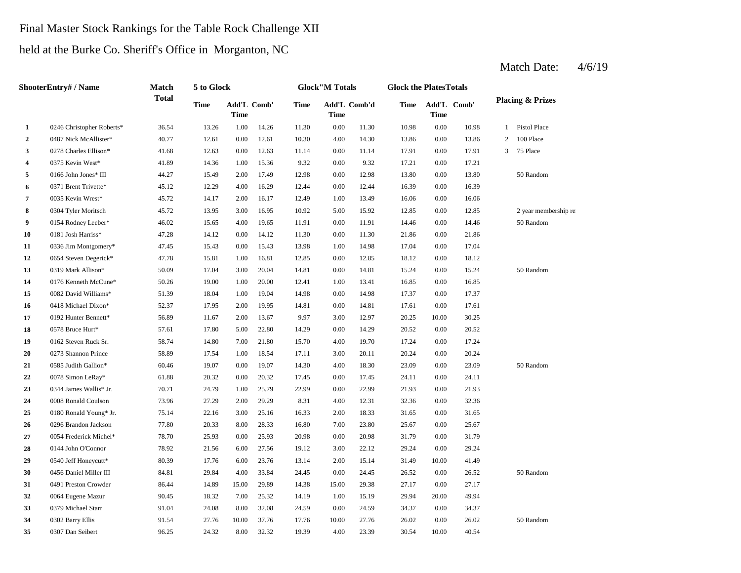#### Final Master Stock Rankings for the Table Rock Challenge XII

held at the Burke Co. Sheriff's Office in Morganton, NC

|                | ShooterEntry# / Name      | Match        | 5 to Glock  |                            |       |             | <b>Glock</b> "M Totals      |       | <b>Glock the PlatesTotals</b> |                            |       |              |                             |
|----------------|---------------------------|--------------|-------------|----------------------------|-------|-------------|-----------------------------|-------|-------------------------------|----------------------------|-------|--------------|-----------------------------|
|                |                           | <b>Total</b> | <b>Time</b> | Add'L Comb'<br><b>Time</b> |       | <b>Time</b> | Add'L Comb'd<br><b>Time</b> |       | Time                          | Add'L Comb'<br><b>Time</b> |       |              | <b>Placing &amp; Prizes</b> |
| 1              | 0246 Christopher Roberts* | 36.54        | 13.26       | 1.00                       | 14.26 | 11.30       | 0.00                        | 11.30 | 10.98                         | 0.00                       | 10.98 | $\mathbf{1}$ | Pistol Place                |
| $\overline{2}$ | 0487 Nick McAllister*     | 40.77        | 12.61       | 0.00                       | 12.61 | 10.30       | 4.00                        | 14.30 | 13.86                         | 0.00                       | 13.86 | 2            | 100 Place                   |
| 3              | 0278 Charles Ellison*     | 41.68        | 12.63       | 0.00                       | 12.63 | 11.14       | 0.00                        | 11.14 | 17.91                         | 0.00                       | 17.91 | 3            | 75 Place                    |
| 4              | 0375 Kevin West*          | 41.89        | 14.36       | 1.00                       | 15.36 | 9.32        | 0.00                        | 9.32  | 17.21                         | 0.00                       | 17.21 |              |                             |
| 5              | 0166 John Jones* III      | 44.27        | 15.49       | 2.00                       | 17.49 | 12.98       | 0.00                        | 12.98 | 13.80                         | 0.00                       | 13.80 |              | 50 Random                   |
| 6              | 0371 Brent Trivette*      | 45.12        | 12.29       | 4.00                       | 16.29 | 12.44       | 0.00                        | 12.44 | 16.39                         | 0.00                       | 16.39 |              |                             |
| 7              | 0035 Kevin Wrest*         | 45.72        | 14.17       | 2.00                       | 16.17 | 12.49       | 1.00                        | 13.49 | 16.06                         | 0.00                       | 16.06 |              |                             |
| 8              | 0304 Tyler Moritsch       | 45.72        | 13.95       | 3.00                       | 16.95 | 10.92       | 5.00                        | 15.92 | 12.85                         | 0.00                       | 12.85 |              | 2 year membership re        |
| 9              | 0154 Rodney Leeber*       | 46.02        | 15.65       | 4.00                       | 19.65 | 11.91       | 0.00                        | 11.91 | 14.46                         | 0.00                       | 14.46 |              | 50 Random                   |
| 10             | 0181 Josh Harriss*        | 47.28        | 14.12       | 0.00                       | 14.12 | 11.30       | 0.00                        | 11.30 | 21.86                         | 0.00                       | 21.86 |              |                             |
| 11             | 0336 Jim Montgomery*      | 47.45        | 15.43       | 0.00                       | 15.43 | 13.98       | 1.00                        | 14.98 | 17.04                         | 0.00                       | 17.04 |              |                             |
| 12             | 0654 Steven Degerick*     | 47.78        | 15.81       | 1.00                       | 16.81 | 12.85       | 0.00                        | 12.85 | 18.12                         | 0.00                       | 18.12 |              |                             |
| 13             | 0319 Mark Allison*        | 50.09        | 17.04       | 3.00                       | 20.04 | 14.81       | 0.00                        | 14.81 | 15.24                         | 0.00                       | 15.24 |              | 50 Random                   |
| 14             | 0176 Kenneth McCune*      | 50.26        | 19.00       | 1.00                       | 20.00 | 12.41       | 1.00                        | 13.41 | 16.85                         | 0.00                       | 16.85 |              |                             |
| 15             | 0082 David Williams*      | 51.39        | 18.04       | 1.00                       | 19.04 | 14.98       | 0.00                        | 14.98 | 17.37                         | 0.00                       | 17.37 |              |                             |
| 16             | 0418 Michael Dixon*       | 52.37        | 17.95       | 2.00                       | 19.95 | 14.81       | 0.00                        | 14.81 | 17.61                         | 0.00                       | 17.61 |              |                             |
| 17             | 0192 Hunter Bennett*      | 56.89        | 11.67       | 2.00                       | 13.67 | 9.97        | 3.00                        | 12.97 | 20.25                         | 10.00                      | 30.25 |              |                             |
| 18             | 0578 Bruce Hurt*          | 57.61        | 17.80       | 5.00                       | 22.80 | 14.29       | 0.00                        | 14.29 | 20.52                         | 0.00                       | 20.52 |              |                             |
| 19             | 0162 Steven Ruck Sr.      | 58.74        | 14.80       | 7.00                       | 21.80 | 15.70       | 4.00                        | 19.70 | 17.24                         | 0.00                       | 17.24 |              |                             |
| 20             | 0273 Shannon Prince       | 58.89        | 17.54       | 1.00                       | 18.54 | 17.11       | 3.00                        | 20.11 | 20.24                         | 0.00                       | 20.24 |              |                             |
| 21             | 0585 Judith Gallion*      | 60.46        | 19.07       | 0.00                       | 19.07 | 14.30       | 4.00                        | 18.30 | 23.09                         | 0.00                       | 23.09 |              | 50 Random                   |
| 22             | 0078 Simon LeRay*         | 61.88        | 20.32       | 0.00                       | 20.32 | 17.45       | 0.00                        | 17.45 | 24.11                         | 0.00                       | 24.11 |              |                             |
| 23             | 0344 James Wallis* Jr.    | 70.71        | 24.79       | 1.00                       | 25.79 | 22.99       | 0.00                        | 22.99 | 21.93                         | 0.00                       | 21.93 |              |                             |
| 24             | 0008 Ronald Coulson       | 73.96        | 27.29       | 2.00                       | 29.29 | 8.31        | 4.00                        | 12.31 | 32.36                         | 0.00                       | 32.36 |              |                             |
| 25             | 0180 Ronald Young* Jr.    | 75.14        | 22.16       | 3.00                       | 25.16 | 16.33       | 2.00                        | 18.33 | 31.65                         | 0.00                       | 31.65 |              |                             |
| 26             | 0296 Brandon Jackson      | 77.80        | 20.33       | 8.00                       | 28.33 | 16.80       | 7.00                        | 23.80 | 25.67                         | 0.00                       | 25.67 |              |                             |
| 27             | 0054 Frederick Michel*    | 78.70        | 25.93       | 0.00                       | 25.93 | 20.98       | 0.00                        | 20.98 | 31.79                         | 0.00                       | 31.79 |              |                             |
| 28             | 0144 John O'Connor        | 78.92        | 21.56       | 6.00                       | 27.56 | 19.12       | 3.00                        | 22.12 | 29.24                         | 0.00                       | 29.24 |              |                             |
| 29             | 0540 Jeff Honeycutt*      | 80.39        | 17.76       | 6.00                       | 23.76 | 13.14       | 2.00                        | 15.14 | 31.49                         | 10.00                      | 41.49 |              |                             |
| 30             | 0456 Daniel Miller III    | 84.81        | 29.84       | 4.00                       | 33.84 | 24.45       | 0.00                        | 24.45 | 26.52                         | 0.00                       | 26.52 |              | 50 Random                   |
| 31             | 0491 Preston Crowder      | 86.44        | 14.89       | 15.00                      | 29.89 | 14.38       | 15.00                       | 29.38 | 27.17                         | 0.00                       | 27.17 |              |                             |
| 32             | 0064 Eugene Mazur         | 90.45        | 18.32       | 7.00                       | 25.32 | 14.19       | 1.00                        | 15.19 | 29.94                         | 20.00                      | 49.94 |              |                             |
| 33             | 0379 Michael Starr        | 91.04        | 24.08       | 8.00                       | 32.08 | 24.59       | 0.00                        | 24.59 | 34.37                         | 0.00                       | 34.37 |              |                             |
| 34             | 0302 Barry Ellis          | 91.54        | 27.76       | 10.00                      | 37.76 | 17.76       | 10.00                       | 27.76 | 26.02                         | 0.00                       | 26.02 |              | 50 Random                   |
| 35             | 0307 Dan Seibert          | 96.25        | 24.32       | 8.00                       | 32.32 | 19.39       | 4.00                        | 23.39 | 30.54                         | 10.00                      | 40.54 |              |                             |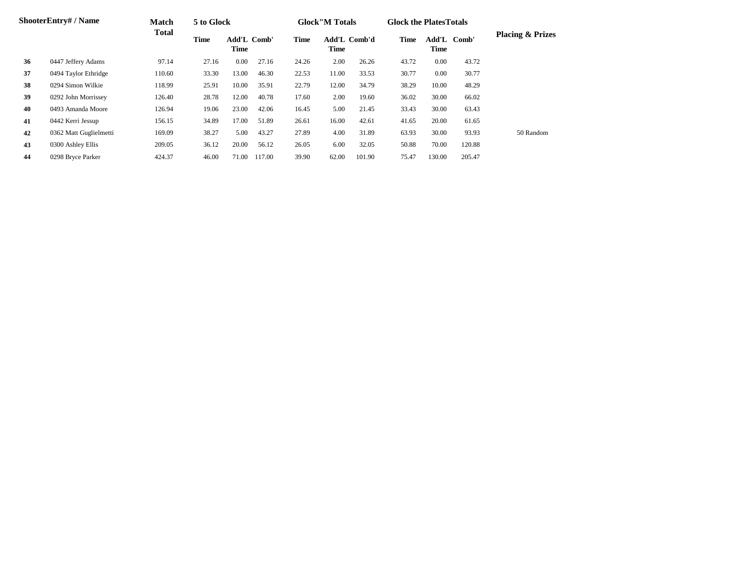|    | <b>ShooterEntry# / Name</b> | <b>Match</b> | 5 to Glock  |                     |        |       | <b>Glock</b> "M Totals |        | <b>Glock the Plates Totals</b> |             |             |                             |
|----|-----------------------------|--------------|-------------|---------------------|--------|-------|------------------------|--------|--------------------------------|-------------|-------------|-----------------------------|
|    |                             | <b>Total</b> | <b>Time</b> | Add'L Comb'<br>Time |        | Time  | Add'L Comb'd<br>Time   |        | <b>Time</b>                    | <b>Time</b> | Add'L Comb' | <b>Placing &amp; Prizes</b> |
| 36 | 0447 Jeffery Adams          | 97.14        | 27.16       | 0.00                | 27.16  | 24.26 | 2.00                   | 26.26  | 43.72                          | 0.00        | 43.72       |                             |
| 37 | 0494 Taylor Ethridge        | 110.60       | 33.30       | 13.00               | 46.30  | 22.53 | 11.00                  | 33.53  | 30.77                          | $0.00\,$    | 30.77       |                             |
| 38 | 0294 Simon Wilkie           | 118.99       | 25.91       | 10.00               | 35.91  | 22.79 | 12.00                  | 34.79  | 38.29                          | 10.00       | 48.29       |                             |
| 39 | 0292 John Morrissey         | 126.40       | 28.78       | 12.00               | 40.78  | 17.60 | 2.00                   | 19.60  | 36.02                          | 30.00       | 66.02       |                             |
| 40 | 0493 Amanda Moore           | 126.94       | 19.06       | 23.00               | 42.06  | 16.45 | 5.00                   | 21.45  | 33.43                          | 30.00       | 63.43       |                             |
| 41 | 0442 Kerri Jessup           | 156.15       | 34.89       | 17.00               | 51.89  | 26.61 | 16.00                  | 42.61  | 41.65                          | 20.00       | 61.65       |                             |
| 42 | 0362 Matt Guglielmetti      | 169.09       | 38.27       | 5.00                | 43.27  | 27.89 | 4.00                   | 31.89  | 63.93                          | 30.00       | 93.93       | 50 Random                   |
| 43 | 0300 Ashley Ellis           | 209.05       | 36.12       | 20.00               | 56.12  | 26.05 | 6.00                   | 32.05  | 50.88                          | 70.00       | 120.88      |                             |
| 44 | 0298 Bryce Parker           | 424.37       | 46.00       | 71.00               | 117.00 | 39.90 | 62.00                  | 101.90 | 75.47                          | 130.00      | 205.47      |                             |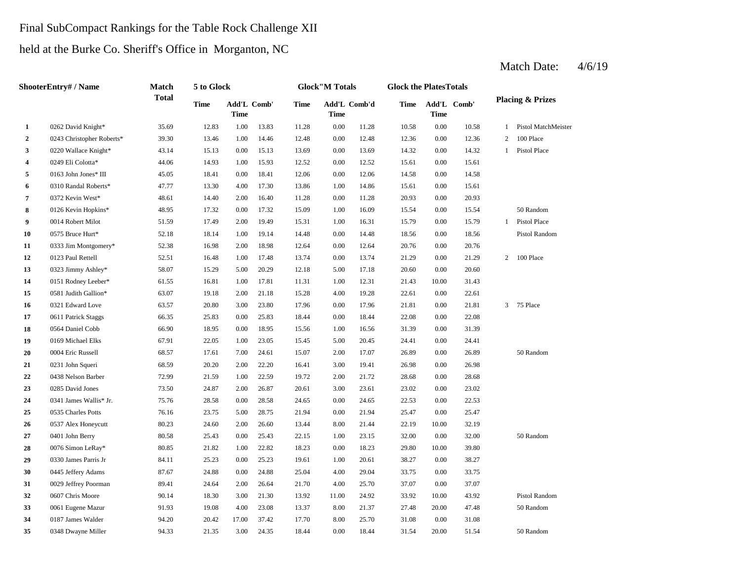## Final SubCompact Rankings for the Table Rock Challenge XII

## held at the Burke Co. Sheriff's Office in Morganton, NC

|                | <b>ShooterEntry# / Name</b> | Match        | 5 to Glock  |             |             |             | <b>Glock</b> "M Totals |              | <b>Glock the PlatesTotals</b> |             |             |                |                             |
|----------------|-----------------------------|--------------|-------------|-------------|-------------|-------------|------------------------|--------------|-------------------------------|-------------|-------------|----------------|-----------------------------|
|                |                             | <b>Total</b> | <b>Time</b> | <b>Time</b> | Add'L Comb' | <b>Time</b> | <b>Time</b>            | Add'L Comb'd | <b>Time</b>                   | <b>Time</b> | Add'L Comb' |                | <b>Placing &amp; Prizes</b> |
| 1              | 0262 David Knight*          | 35.69        | 12.83       | 1.00        | 13.83       | 11.28       | 0.00                   | 11.28        | 10.58                         | 0.00        | 10.58       | 1              | Pistol MatchMeister         |
| $\overline{2}$ | 0243 Christopher Roberts*   | 39.30        | 13.46       | 1.00        | 14.46       | 12.48       | 0.00                   | 12.48        | 12.36                         | 0.00        | 12.36       | $\overline{c}$ | 100 Place                   |
| 3              | 0220 Wallace Knight*        | 43.14        | 15.13       | 0.00        | 15.13       | 13.69       | $0.00\,$               | 13.69        | 14.32                         | 0.00        | 14.32       | $\mathbf{1}$   | Pistol Place                |
| 4              | 0249 Eli Colotta*           | 44.06        | 14.93       | 1.00        | 15.93       | 12.52       | 0.00                   | 12.52        | 15.61                         | 0.00        | 15.61       |                |                             |
| 5              | 0163 John Jones* III        | 45.05        | 18.41       | 0.00        | 18.41       | 12.06       | 0.00                   | 12.06        | 14.58                         | 0.00        | 14.58       |                |                             |
| 6              | 0310 Randal Roberts*        | 47.77        | 13.30       | 4.00        | 17.30       | 13.86       | 1.00                   | 14.86        | 15.61                         | 0.00        | 15.61       |                |                             |
| 7              | 0372 Kevin West*            | 48.61        | 14.40       | 2.00        | 16.40       | 11.28       | $0.00\,$               | 11.28        | 20.93                         | 0.00        | 20.93       |                |                             |
| 8              | 0126 Kevin Hopkins*         | 48.95        | 17.32       | 0.00        | 17.32       | 15.09       | 1.00                   | 16.09        | 15.54                         | 0.00        | 15.54       |                | 50 Random                   |
| 9              | 0014 Robert Milot           | 51.59        | 17.49       | 2.00        | 19.49       | 15.31       | 1.00                   | 16.31        | 15.79                         | 0.00        | 15.79       | $\mathbf{1}$   | Pistol Place                |
| 10             | 0575 Bruce Hurt*            | 52.18        | 18.14       | 1.00        | 19.14       | 14.48       | 0.00                   | 14.48        | 18.56                         | 0.00        | 18.56       |                | Pistol Random               |
| 11             | 0333 Jim Montgomery*        | 52.38        | 16.98       | 2.00        | 18.98       | 12.64       | 0.00                   | 12.64        | 20.76                         | 0.00        | 20.76       |                |                             |
| 12             | 0123 Paul Rettell           | 52.51        | 16.48       | 1.00        | 17.48       | 13.74       | 0.00                   | 13.74        | 21.29                         | 0.00        | 21.29       | 2              | 100 Place                   |
| 13             | 0323 Jimmy Ashley*          | 58.07        | 15.29       | 5.00        | 20.29       | 12.18       | 5.00                   | 17.18        | 20.60                         | 0.00        | 20.60       |                |                             |
| 14             | 0151 Rodney Leeber*         | 61.55        | 16.81       | 1.00        | 17.81       | 11.31       | 1.00                   | 12.31        | 21.43                         | 10.00       | 31.43       |                |                             |
| 15             | 0581 Judith Gallion*        | 63.07        | 19.18       | 2.00        | 21.18       | 15.28       | 4.00                   | 19.28        | 22.61                         | 0.00        | 22.61       |                |                             |
| 16             | 0321 Edward Love            | 63.57        | 20.80       | 3.00        | 23.80       | 17.96       | $0.00\,$               | 17.96        | 21.81                         | 0.00        | 21.81       | $\mathbf{3}$   | 75 Place                    |
| 17             | 0611 Patrick Staggs         | 66.35        | 25.83       | 0.00        | 25.83       | 18.44       | 0.00                   | 18.44        | 22.08                         | 0.00        | 22.08       |                |                             |
| 18             | 0564 Daniel Cobb            | 66.90        | 18.95       | 0.00        | 18.95       | 15.56       | 1.00                   | 16.56        | 31.39                         | 0.00        | 31.39       |                |                             |
| 19             | 0169 Michael Elks           | 67.91        | 22.05       | 1.00        | 23.05       | 15.45       | 5.00                   | 20.45        | 24.41                         | 0.00        | 24.41       |                |                             |
| 20             | 0004 Eric Russell           | 68.57        | 17.61       | 7.00        | 24.61       | 15.07       | 2.00                   | 17.07        | 26.89                         | 0.00        | 26.89       |                | 50 Random                   |
| 21             | 0231 John Squeri            | 68.59        | 20.20       | 2.00        | 22.20       | 16.41       | 3.00                   | 19.41        | 26.98                         | 0.00        | 26.98       |                |                             |
| 22             | 0438 Nelson Barber          | 72.99        | 21.59       | 1.00        | 22.59       | 19.72       | 2.00                   | 21.72        | 28.68                         | 0.00        | 28.68       |                |                             |
| 23             | 0285 David Jones            | 73.50        | 24.87       | 2.00        | 26.87       | 20.61       | 3.00                   | 23.61        | 23.02                         | 0.00        | 23.02       |                |                             |
| 24             | 0341 James Wallis* Jr.      | 75.76        | 28.58       | 0.00        | 28.58       | 24.65       | 0.00                   | 24.65        | 22.53                         | 0.00        | 22.53       |                |                             |
| 25             | 0535 Charles Potts          | 76.16        | 23.75       | 5.00        | 28.75       | 21.94       | 0.00                   | 21.94        | 25.47                         | 0.00        | 25.47       |                |                             |
| 26             | 0537 Alex Honeycutt         | 80.23        | 24.60       | 2.00        | 26.60       | 13.44       | 8.00                   | 21.44        | 22.19                         | 10.00       | 32.19       |                |                             |
| 27             | 0401 John Berry             | 80.58        | 25.43       | 0.00        | 25.43       | 22.15       | 1.00                   | 23.15        | 32.00                         | 0.00        | 32.00       |                | 50 Random                   |
| 28             | 0076 Simon LeRay*           | 80.85        | 21.82       | 1.00        | 22.82       | 18.23       | 0.00                   | 18.23        | 29.80                         | 10.00       | 39.80       |                |                             |
| 29             | 0330 James Parris Jr        | 84.11        | 25.23       | 0.00        | 25.23       | 19.61       | 1.00                   | 20.61        | 38.27                         | 0.00        | 38.27       |                |                             |
| 30             | 0445 Jeffery Adams          | 87.67        | 24.88       | 0.00        | 24.88       | 25.04       | 4.00                   | 29.04        | 33.75                         | 0.00        | 33.75       |                |                             |
| 31             | 0029 Jeffrey Poorman        | 89.41        | 24.64       | 2.00        | 26.64       | 21.70       | 4.00                   | 25.70        | 37.07                         | 0.00        | 37.07       |                |                             |
| 32             | 0607 Chris Moore            | 90.14        | 18.30       | 3.00        | 21.30       | 13.92       | 11.00                  | 24.92        | 33.92                         | 10.00       | 43.92       |                | Pistol Random               |
| 33             | 0061 Eugene Mazur           | 91.93        | 19.08       | 4.00        | 23.08       | 13.37       | 8.00                   | 21.37        | 27.48                         | 20.00       | 47.48       |                | 50 Random                   |
| 34             | 0187 James Walder           | 94.20        | 20.42       | 17.00       | 37.42       | 17.70       | 8.00                   | 25.70        | 31.08                         | 0.00        | 31.08       |                |                             |
| 35             | 0348 Dwayne Miller          | 94.33        | 21.35       | 3.00        | 24.35       | 18.44       | 0.00                   | 18.44        | 31.54                         | 20.00       | 51.54       |                | 50 Random                   |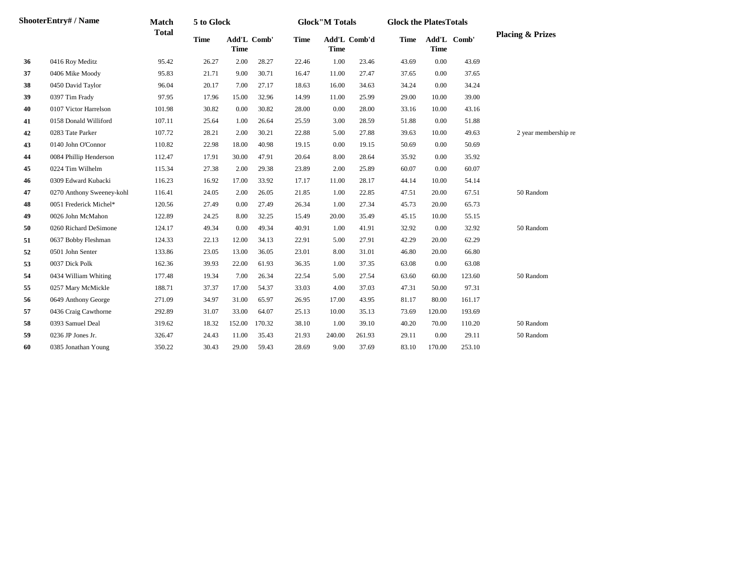|    | ShooterEntry# / Name      | <b>Match</b> | 5 to Glock  |                            |        |             | <b>Glock</b> "M Totals |              | <b>Glock the Plates Totals</b> |             |             |                             |
|----|---------------------------|--------------|-------------|----------------------------|--------|-------------|------------------------|--------------|--------------------------------|-------------|-------------|-----------------------------|
|    |                           | <b>Total</b> | <b>Time</b> | Add'L Comb'<br><b>Time</b> |        | <b>Time</b> | <b>Time</b>            | Add'L Comb'd | <b>Time</b>                    | <b>Time</b> | Add'L Comb' | <b>Placing &amp; Prizes</b> |
| 36 | 0416 Roy Meditz           | 95.42        | 26.27       | 2.00                       | 28.27  | 22.46       | 1.00                   | 23.46        | 43.69                          | 0.00        | 43.69       |                             |
| 37 | 0406 Mike Moody           | 95.83        | 21.71       | 9.00                       | 30.71  | 16.47       | 11.00                  | 27.47        | 37.65                          | 0.00        | 37.65       |                             |
| 38 | 0450 David Taylor         | 96.04        | 20.17       | 7.00                       | 27.17  | 18.63       | 16.00                  | 34.63        | 34.24                          | 0.00        | 34.24       |                             |
| 39 | 0397 Tim Frady            | 97.95        | 17.96       | 15.00                      | 32.96  | 14.99       | 11.00                  | 25.99        | 29.00                          | 10.00       | 39.00       |                             |
| 40 | 0107 Victor Harrelson     | 101.98       | 30.82       | 0.00                       | 30.82  | 28.00       | 0.00                   | 28.00        | 33.16                          | 10.00       | 43.16       |                             |
| 41 | 0158 Donald Williford     | 107.11       | 25.64       | 1.00                       | 26.64  | 25.59       | 3.00                   | 28.59        | 51.88                          | 0.00        | 51.88       |                             |
| 42 | 0283 Tate Parker          | 107.72       | 28.21       | 2.00                       | 30.21  | 22.88       | 5.00                   | 27.88        | 39.63                          | 10.00       | 49.63       | 2 year membership re        |
| 43 | 0140 John O'Connor        | 110.82       | 22.98       | 18.00                      | 40.98  | 19.15       | 0.00                   | 19.15        | 50.69                          | 0.00        | 50.69       |                             |
| 44 | 0084 Phillip Henderson    | 112.47       | 17.91       | 30.00                      | 47.91  | 20.64       | 8.00                   | 28.64        | 35.92                          | 0.00        | 35.92       |                             |
| 45 | 0224 Tim Wilhelm          | 115.34       | 27.38       | 2.00                       | 29.38  | 23.89       | 2.00                   | 25.89        | 60.07                          | 0.00        | 60.07       |                             |
| 46 | 0309 Edward Kubacki       | 116.23       | 16.92       | 17.00                      | 33.92  | 17.17       | 11.00                  | 28.17        | 44.14                          | 10.00       | 54.14       |                             |
| 47 | 0270 Anthony Sweeney-kohl | 116.41       | 24.05       | 2.00                       | 26.05  | 21.85       | 1.00                   | 22.85        | 47.51                          | 20.00       | 67.51       | 50 Random                   |
| 48 | 0051 Frederick Michel*    | 120.56       | 27.49       | 0.00                       | 27.49  | 26.34       | 1.00                   | 27.34        | 45.73                          | 20.00       | 65.73       |                             |
| 49 | 0026 John McMahon         | 122.89       | 24.25       | 8.00                       | 32.25  | 15.49       | 20.00                  | 35.49        | 45.15                          | 10.00       | 55.15       |                             |
| 50 | 0260 Richard DeSimone     | 124.17       | 49.34       | 0.00                       | 49.34  | 40.91       | 1.00                   | 41.91        | 32.92                          | 0.00        | 32.92       | 50 Random                   |
| 51 | 0637 Bobby Fleshman       | 124.33       | 22.13       | 12.00                      | 34.13  | 22.91       | 5.00                   | 27.91        | 42.29                          | 20.00       | 62.29       |                             |
| 52 | 0501 John Senter          | 133.86       | 23.05       | 13.00                      | 36.05  | 23.01       | 8.00                   | 31.01        | 46.80                          | 20.00       | 66.80       |                             |
| 53 | 0037 Dick Polk            | 162.36       | 39.93       | 22.00                      | 61.93  | 36.35       | 1.00                   | 37.35        | 63.08                          | 0.00        | 63.08       |                             |
| 54 | 0434 William Whiting      | 177.48       | 19.34       | 7.00                       | 26.34  | 22.54       | 5.00                   | 27.54        | 63.60                          | 60.00       | 123.60      | 50 Random                   |
| 55 | 0257 Mary McMickle        | 188.71       | 37.37       | 17.00                      | 54.37  | 33.03       | 4.00                   | 37.03        | 47.31                          | 50.00       | 97.31       |                             |
| 56 | 0649 Anthony George       | 271.09       | 34.97       | 31.00                      | 65.97  | 26.95       | 17.00                  | 43.95        | 81.17                          | 80.00       | 161.17      |                             |
| 57 | 0436 Craig Cawthorne      | 292.89       | 31.07       | 33.00                      | 64.07  | 25.13       | 10.00                  | 35.13        | 73.69                          | 120.00      | 193.69      |                             |
| 58 | 0393 Samuel Deal          | 319.62       | 18.32       | 152.00                     | 170.32 | 38.10       | 1.00                   | 39.10        | 40.20                          | 70.00       | 110.20      | 50 Random                   |
| 59 | 0236 JP Jones Jr.         | 326.47       | 24.43       | 11.00                      | 35.43  | 21.93       | 240.00                 | 261.93       | 29.11                          | 0.00        | 29.11       | 50 Random                   |
| 60 | 0385 Jonathan Young       | 350.22       | 30.43       | 29.00                      | 59.43  | 28.69       | 9.00                   | 37.69        | 83.10                          | 170.00      | 253.10      |                             |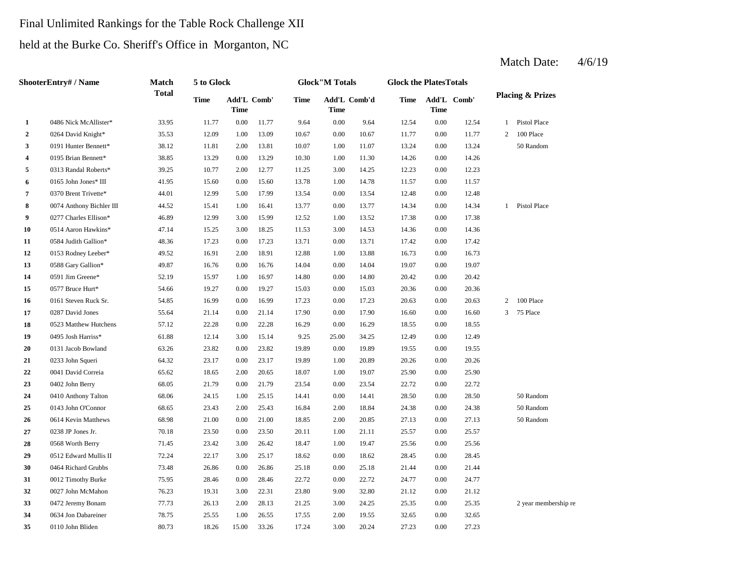### Final Unlimited Rankings for the Table Rock Challenge XII

## held at the Burke Co. Sheriff's Office in Morganton, NC

|                | <b>ShooterEntry#/Name</b> | Match        | 5 to Glock  |                     |       |             | <b>Glock</b> "M Totals      |       | <b>Glock the PlatesTotals</b> |                     |       |                |                             |
|----------------|---------------------------|--------------|-------------|---------------------|-------|-------------|-----------------------------|-------|-------------------------------|---------------------|-------|----------------|-----------------------------|
|                |                           | <b>Total</b> | <b>Time</b> | Add'L Comb'<br>Time |       | <b>Time</b> | Add'L Comb'd<br><b>Time</b> |       | Time                          | Add'L Comb'<br>Time |       |                | <b>Placing &amp; Prizes</b> |
| 1              | 0486 Nick McAllister*     | 33.95        | 11.77       | 0.00                | 11.77 | 9.64        | 0.00                        | 9.64  | 12.54                         | 0.00                | 12.54 | $\mathbf{1}$   | Pistol Place                |
| $\overline{2}$ | 0264 David Knight*        | 35.53        | 12.09       | 1.00                | 13.09 | 10.67       | 0.00                        | 10.67 | 11.77                         | 0.00                | 11.77 | $\overline{2}$ | 100 Place                   |
| 3              | 0191 Hunter Bennett*      | 38.12        | 11.81       | 2.00                | 13.81 | 10.07       | 1.00                        | 11.07 | 13.24                         | 0.00                | 13.24 |                | 50 Random                   |
| 4              | 0195 Brian Bennett*       | 38.85        | 13.29       | 0.00                | 13.29 | 10.30       | 1.00                        | 11.30 | 14.26                         | 0.00                | 14.26 |                |                             |
| 5              | 0313 Randal Roberts*      | 39.25        | 10.77       | 2.00                | 12.77 | 11.25       | 3.00                        | 14.25 | 12.23                         | 0.00                | 12.23 |                |                             |
| 6              | 0165 John Jones* III      | 41.95        | 15.60       | 0.00                | 15.60 | 13.78       | 1.00                        | 14.78 | 11.57                         | 0.00                | 11.57 |                |                             |
| 7              | 0370 Brent Trivette*      | 44.01        | 12.99       | 5.00                | 17.99 | 13.54       | 0.00                        | 13.54 | 12.48                         | 0.00                | 12.48 |                |                             |
| 8              | 0074 Anthony Bichler III  | 44.52        | 15.41       | 1.00                | 16.41 | 13.77       | 0.00                        | 13.77 | 14.34                         | 0.00                | 14.34 | $\mathbf{1}$   | Pistol Place                |
| 9              | 0277 Charles Ellison*     | 46.89        | 12.99       | 3.00                | 15.99 | 12.52       | 1.00                        | 13.52 | 17.38                         | 0.00                | 17.38 |                |                             |
| 10             | 0514 Aaron Hawkins*       | 47.14        | 15.25       | 3.00                | 18.25 | 11.53       | 3.00                        | 14.53 | 14.36                         | 0.00                | 14.36 |                |                             |
| 11             | 0584 Judith Gallion*      | 48.36        | 17.23       | 0.00                | 17.23 | 13.71       | 0.00                        | 13.71 | 17.42                         | 0.00                | 17.42 |                |                             |
| 12             | 0153 Rodney Leeber*       | 49.52        | 16.91       | 2.00                | 18.91 | 12.88       | 1.00                        | 13.88 | 16.73                         | 0.00                | 16.73 |                |                             |
| 13             | 0588 Gary Gallion*        | 49.87        | 16.76       | 0.00                | 16.76 | 14.04       | 0.00                        | 14.04 | 19.07                         | 0.00                | 19.07 |                |                             |
| 14             | 0591 Jim Greene*          | 52.19        | 15.97       | 1.00                | 16.97 | 14.80       | 0.00                        | 14.80 | 20.42                         | 0.00                | 20.42 |                |                             |
| 15             | 0577 Bruce Hurt*          | 54.66        | 19.27       | 0.00                | 19.27 | 15.03       | 0.00                        | 15.03 | 20.36                         | 0.00                | 20.36 |                |                             |
| 16             | 0161 Steven Ruck Sr.      | 54.85        | 16.99       | 0.00                | 16.99 | 17.23       | 0.00                        | 17.23 | 20.63                         | 0.00                | 20.63 | $\overline{2}$ | 100 Place                   |
| 17             | 0287 David Jones          | 55.64        | 21.14       | 0.00                | 21.14 | 17.90       | 0.00                        | 17.90 | 16.60                         | 0.00                | 16.60 | 3              | 75 Place                    |
| 18             | 0523 Matthew Hutchens     | 57.12        | 22.28       | 0.00                | 22.28 | 16.29       | 0.00                        | 16.29 | 18.55                         | 0.00                | 18.55 |                |                             |
| 19             | 0495 Josh Harriss*        | 61.88        | 12.14       | 3.00                | 15.14 | 9.25        | 25.00                       | 34.25 | 12.49                         | 0.00                | 12.49 |                |                             |
| 20             | 0131 Jacob Bowland        | 63.26        | 23.82       | 0.00                | 23.82 | 19.89       | 0.00                        | 19.89 | 19.55                         | 0.00                | 19.55 |                |                             |
| 21             | 0233 John Squeri          | 64.32        | 23.17       | 0.00                | 23.17 | 19.89       | 1.00                        | 20.89 | 20.26                         | 0.00                | 20.26 |                |                             |
| 22             | 0041 David Correia        | 65.62        | 18.65       | 2.00                | 20.65 | 18.07       | 1.00                        | 19.07 | 25.90                         | 0.00                | 25.90 |                |                             |
| 23             | 0402 John Berry           | 68.05        | 21.79       | 0.00                | 21.79 | 23.54       | 0.00                        | 23.54 | 22.72                         | 0.00                | 22.72 |                |                             |
| 24             | 0410 Anthony Talton       | 68.06        | 24.15       | 1.00                | 25.15 | 14.41       | 0.00                        | 14.41 | 28.50                         | 0.00                | 28.50 |                | 50 Random                   |
| 25             | 0143 John O'Connor        | 68.65        | 23.43       | 2.00                | 25.43 | 16.84       | 2.00                        | 18.84 | 24.38                         | 0.00                | 24.38 |                | 50 Random                   |
| 26             | 0614 Kevin Matthews       | 68.98        | 21.00       | 0.00                | 21.00 | 18.85       | 2.00                        | 20.85 | 27.13                         | 0.00                | 27.13 |                | 50 Random                   |
| 27             | 0238 JP Jones Jr.         | 70.18        | 23.50       | 0.00                | 23.50 | 20.11       | 1.00                        | 21.11 | 25.57                         | 0.00                | 25.57 |                |                             |
| 28             | 0568 Worth Berry          | 71.45        | 23.42       | 3.00                | 26.42 | 18.47       | 1.00                        | 19.47 | 25.56                         | 0.00                | 25.56 |                |                             |
| 29             | 0512 Edward Mullis II     | 72.24        | 22.17       | 3.00                | 25.17 | 18.62       | 0.00                        | 18.62 | 28.45                         | 0.00                | 28.45 |                |                             |
| 30             | 0464 Richard Grubbs       | 73.48        | 26.86       | 0.00                | 26.86 | 25.18       | 0.00                        | 25.18 | 21.44                         | 0.00                | 21.44 |                |                             |
| 31             | 0012 Timothy Burke        | 75.95        | 28.46       | 0.00                | 28.46 | 22.72       | 0.00                        | 22.72 | 24.77                         | 0.00                | 24.77 |                |                             |
| 32             | 0027 John McMahon         | 76.23        | 19.31       | 3.00                | 22.31 | 23.80       | 9.00                        | 32.80 | 21.12                         | 0.00                | 21.12 |                |                             |
| 33             | 0472 Jeremy Bonam         | 77.73        | 26.13       | 2.00                | 28.13 | 21.25       | 3.00                        | 24.25 | 25.35                         | 0.00                | 25.35 |                | 2 year membership re        |
| 34             | 0634 Jon Dabareiner       | 78.75        | 25.55       | 1.00                | 26.55 | 17.55       | 2.00                        | 19.55 | 32.65                         | 0.00                | 32.65 |                |                             |
| 35             | 0110 John Bliden          | 80.73        | 18.26       | 15.00               | 33.26 | 17.24       | 3.00                        | 20.24 | 27.23                         | 0.00                | 27.23 |                |                             |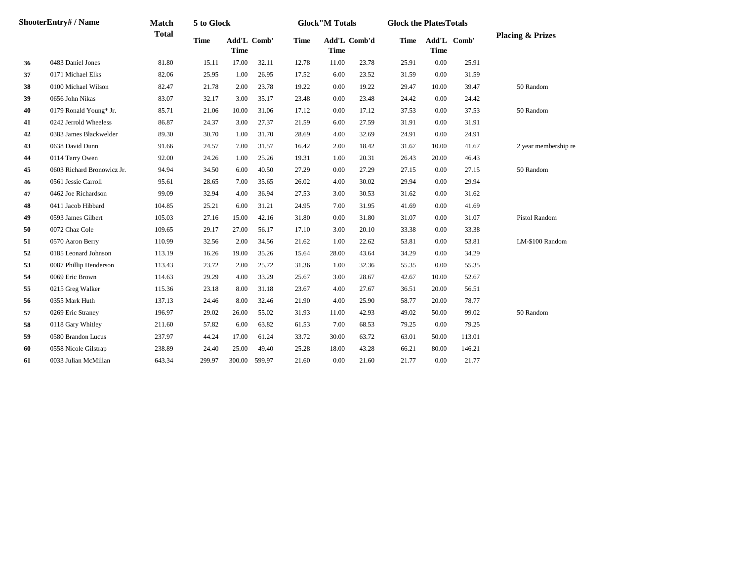| ShooterEntry# / Name | <b>Match</b>               | 5 to Glock   |             |                            |        | <b>Glock</b> "M Totals |                             | <b>Glock the PlatesTotals</b> |             |                            |        |                             |
|----------------------|----------------------------|--------------|-------------|----------------------------|--------|------------------------|-----------------------------|-------------------------------|-------------|----------------------------|--------|-----------------------------|
|                      |                            | <b>Total</b> | <b>Time</b> | Add'L Comb'<br><b>Time</b> |        | <b>Time</b>            | Add'L Comb'd<br><b>Time</b> |                               | <b>Time</b> | Add'L Comb'<br><b>Time</b> |        | <b>Placing &amp; Prizes</b> |
| 36                   | 0483 Daniel Jones          | 81.80        | 15.11       | 17.00                      | 32.11  | 12.78                  | 11.00                       | 23.78                         | 25.91       | 0.00                       | 25.91  |                             |
| 37                   | 0171 Michael Elks          | 82.06        | 25.95       | 1.00                       | 26.95  | 17.52                  | 6.00                        | 23.52                         | 31.59       | 0.00                       | 31.59  |                             |
| 38                   | 0100 Michael Wilson        | 82.47        | 21.78       | 2.00                       | 23.78  | 19.22                  | 0.00                        | 19.22                         | 29.47       | 10.00                      | 39.47  | 50 Random                   |
| 39                   | 0656 John Nikas            | 83.07        | 32.17       | 3.00                       | 35.17  | 23.48                  | 0.00                        | 23.48                         | 24.42       | 0.00                       | 24.42  |                             |
| 40                   | 0179 Ronald Young* Jr.     | 85.71        | 21.06       | 10.00                      | 31.06  | 17.12                  | 0.00                        | 17.12                         | 37.53       | 0.00                       | 37.53  | 50 Random                   |
| 41                   | 0242 Jerrold Wheeless      | 86.87        | 24.37       | 3.00                       | 27.37  | 21.59                  | 6.00                        | 27.59                         | 31.91       | 0.00                       | 31.91  |                             |
| 42                   | 0383 James Blackwelder     | 89.30        | 30.70       | 1.00                       | 31.70  | 28.69                  | 4.00                        | 32.69                         | 24.91       | 0.00                       | 24.91  |                             |
| 43                   | 0638 David Dunn            | 91.66        | 24.57       | 7.00                       | 31.57  | 16.42                  | 2.00                        | 18.42                         | 31.67       | 10.00                      | 41.67  | 2 year membership re        |
| 44                   | 0114 Terry Owen            | 92.00        | 24.26       | 1.00                       | 25.26  | 19.31                  | 1.00                        | 20.31                         | 26.43       | 20.00                      | 46.43  |                             |
| 45                   | 0603 Richard Bronowicz Jr. | 94.94        | 34.50       | 6.00                       | 40.50  | 27.29                  | 0.00                        | 27.29                         | 27.15       | 0.00                       | 27.15  | 50 Random                   |
| 46                   | 0561 Jessie Carroll        | 95.61        | 28.65       | 7.00                       | 35.65  | 26.02                  | 4.00                        | 30.02                         | 29.94       | 0.00                       | 29.94  |                             |
| 47                   | 0462 Joe Richardson        | 99.09        | 32.94       | 4.00                       | 36.94  | 27.53                  | 3.00                        | 30.53                         | 31.62       | 0.00                       | 31.62  |                             |
| 48                   | 0411 Jacob Hibbard         | 104.85       | 25.21       | 6.00                       | 31.21  | 24.95                  | 7.00                        | 31.95                         | 41.69       | 0.00                       | 41.69  |                             |
| 49                   | 0593 James Gilbert         | 105.03       | 27.16       | 15.00                      | 42.16  | 31.80                  | 0.00                        | 31.80                         | 31.07       | 0.00                       | 31.07  | Pistol Random               |
| 50                   | 0072 Chaz Cole             | 109.65       | 29.17       | 27.00                      | 56.17  | 17.10                  | 3.00                        | 20.10                         | 33.38       | 0.00                       | 33.38  |                             |
| 51                   | 0570 Aaron Berry           | 110.99       | 32.56       | 2.00                       | 34.56  | 21.62                  | 1.00                        | 22.62                         | 53.81       | 0.00                       | 53.81  | LM-\$100 Random             |
| 52                   | 0185 Leonard Johnson       | 113.19       | 16.26       | 19.00                      | 35.26  | 15.64                  | 28.00                       | 43.64                         | 34.29       | 0.00                       | 34.29  |                             |
| 53                   | 0087 Phillip Henderson     | 113.43       | 23.72       | 2.00                       | 25.72  | 31.36                  | 1.00                        | 32.36                         | 55.35       | 0.00                       | 55.35  |                             |
| 54                   | 0069 Eric Brown            | 114.63       | 29.29       | 4.00                       | 33.29  | 25.67                  | 3.00                        | 28.67                         | 42.67       | 10.00                      | 52.67  |                             |
| 55                   | 0215 Greg Walker           | 115.36       | 23.18       | 8.00                       | 31.18  | 23.67                  | 4.00                        | 27.67                         | 36.51       | 20.00                      | 56.51  |                             |
| 56                   | 0355 Mark Huth             | 137.13       | 24.46       | 8.00                       | 32.46  | 21.90                  | 4.00                        | 25.90                         | 58.77       | 20.00                      | 78.77  |                             |
| 57                   | 0269 Eric Straney          | 196.97       | 29.02       | 26.00                      | 55.02  | 31.93                  | 11.00                       | 42.93                         | 49.02       | 50.00                      | 99.02  | 50 Random                   |
| 58                   | 0118 Gary Whitley          | 211.60       | 57.82       | 6.00                       | 63.82  | 61.53                  | 7.00                        | 68.53                         | 79.25       | 0.00                       | 79.25  |                             |
| 59                   | 0580 Brandon Lucus         | 237.97       | 44.24       | 17.00                      | 61.24  | 33.72                  | 30.00                       | 63.72                         | 63.01       | 50.00                      | 113.01 |                             |
| 60                   | 0558 Nicole Gilstrap       | 238.89       | 24.40       | 25.00                      | 49.40  | 25.28                  | 18.00                       | 43.28                         | 66.21       | 80.00                      | 146.21 |                             |
| 61                   | 0033 Julian McMillan       | 643.34       | 299.97      | 300.00                     | 599.97 | 21.60                  | 0.00                        | 21.60                         | 21.77       | 0.00                       | 21.77  |                             |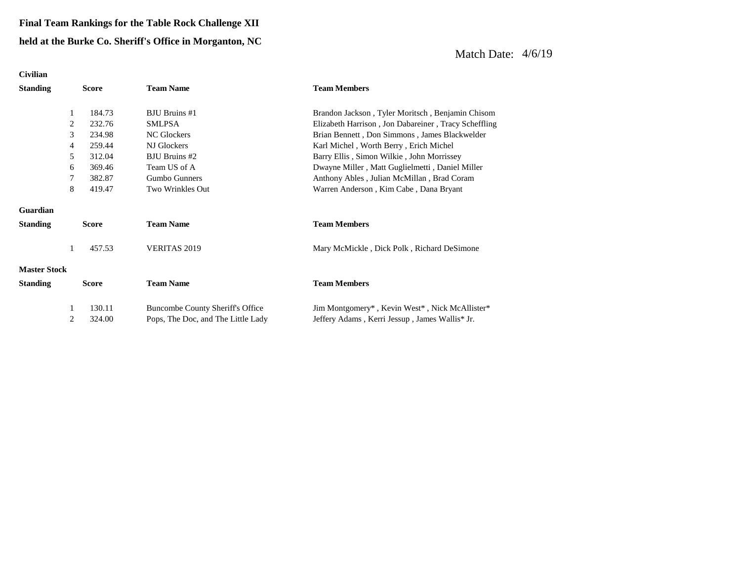## **Final Team Rankings for the Table Rock Challenge XII held at the Burke Co. Sheriff's Office in Morganton, NC**

| <b>Civilian</b>     |              |              |                                         |                                                      |
|---------------------|--------------|--------------|-----------------------------------------|------------------------------------------------------|
| <b>Standing</b>     | <b>Score</b> |              | <b>Team Name</b>                        | <b>Team Members</b>                                  |
|                     |              |              |                                         |                                                      |
|                     | $\mathbf{1}$ | 184.73       | BJU Bruins #1                           | Brandon Jackson, Tyler Moritsch, Benjamin Chisom     |
|                     | 2            | 232.76       | <b>SMLPSA</b>                           | Elizabeth Harrison, Jon Dabareiner, Tracy Scheffling |
|                     | 3            | 234.98       | <b>NC Glockers</b>                      | Brian Bennett, Don Simmons, James Blackwelder        |
|                     | 4            | 259.44       | NJ Glockers                             | Karl Michel, Worth Berry, Erich Michel               |
|                     | 5            | 312.04       | <b>BJU Bruins #2</b>                    | Barry Ellis, Simon Wilkie, John Morrissey            |
|                     | 6            | 369.46       | Team US of A                            | Dwayne Miller, Matt Guglielmetti, Daniel Miller      |
|                     | 7            | 382.87       | Gumbo Gunners                           | Anthony Ables, Julian McMillan, Brad Coram           |
|                     | 8            | 419.47       | Two Wrinkles Out                        | Warren Anderson, Kim Cabe, Dana Bryant               |
| Guardian            |              |              |                                         |                                                      |
|                     |              |              |                                         |                                                      |
| <b>Standing</b>     |              | <b>Score</b> | <b>Team Name</b>                        | <b>Team Members</b>                                  |
|                     | 1            | 457.53       | <b>VERITAS 2019</b>                     | Mary McMickle, Dick Polk, Richard DeSimone           |
| <b>Master Stock</b> |              |              |                                         |                                                      |
| <b>Standing</b>     |              | <b>Score</b> | <b>Team Name</b>                        | <b>Team Members</b>                                  |
|                     | 1            | 130.11       | <b>Buncombe County Sheriff's Office</b> | Jim Montgomery*, Kevin West*, Nick McAllister*       |
|                     | 2            | 324.00       | Pops, The Doc, and The Little Lady      | Jeffery Adams, Kerri Jessup, James Wallis* Jr.       |